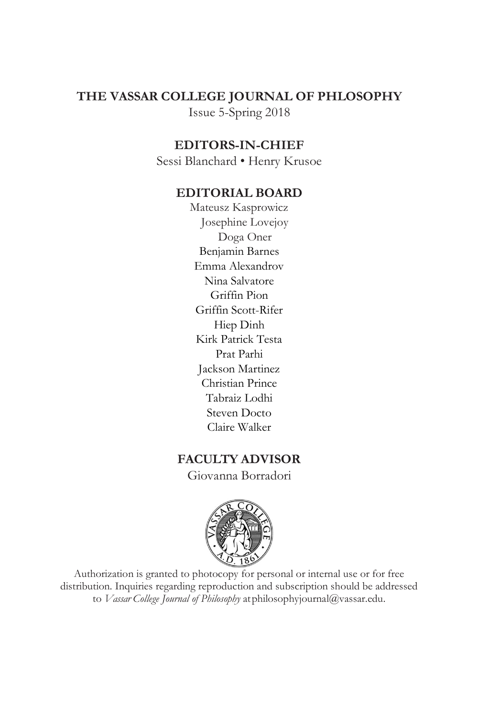# **THE VASSAR COLLEGE JOURNAL OF PHLOSOPHY** Issue 5-Spring 2018

## **EDITORS-IN-CHIEF**

Sessi Blanchard • Henry Krusoe

## **EDITORIAL BOARD**

Mateusz Kasprowicz Josephine Lovejoy Doga Oner Benjamin Barnes Emma Alexandrov Nina Salvatore Griffin Pion Griffin Scott-Rifer Hiep Dinh Kirk Patrick Testa Prat Parhi Jackson Martinez Christian Prince Tabraiz Lodhi Steven Docto Claire Walker

## **FACULTY ADVISOR**

Giovanna Borradori



Authorization is granted to photocopy for personal or internal use or for free distribution. Inquiries regarding reproduction and subscription should be addressed to *Vassar College Journal of Philosophy* a[tphilosophyjournal@vassar.edu.](mailto:philosophyjournal@vassar.edu)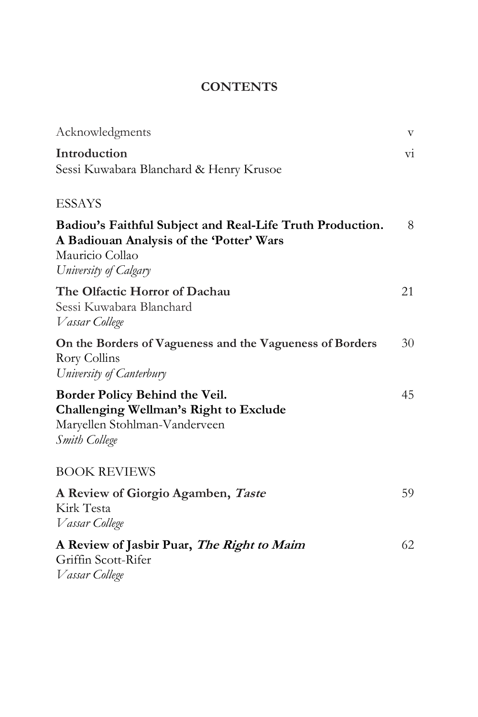# **CONTENTS**

| Acknowledgments                                                                                                                                   | $\boldsymbol{\mathrm{V}}$ |
|---------------------------------------------------------------------------------------------------------------------------------------------------|---------------------------|
| Introduction<br>Sessi Kuwabara Blanchard & Henry Krusoe                                                                                           | $\overline{\mathrm{v}}$   |
| <b>ESSAYS</b>                                                                                                                                     |                           |
| Badiou's Faithful Subject and Real-Life Truth Production.<br>A Badiouan Analysis of the 'Potter' Wars<br>Mauricio Collao<br>University of Calgary | 8                         |
| The Olfactic Horror of Dachau<br>Sessi Kuwabara Blanchard<br>Vassar College                                                                       | 21                        |
| On the Borders of Vagueness and the Vagueness of Borders<br>Rory Collins<br>University of Canterbury                                              | 30                        |
| Border Policy Behind the Veil.<br>Challenging Wellman's Right to Exclude<br>Maryellen Stohlman-Vanderveen<br>Smith College                        | 45                        |
| <b>BOOK REVIEWS</b>                                                                                                                               |                           |
| A Review of Giorgio Agamben, Taste<br>Kirk Testa<br>Vassar College                                                                                | 59                        |
| A Review of Jasbir Puar, The Right to Maim<br>Griffin Scott-Rifer<br>Vassar College                                                               | 62                        |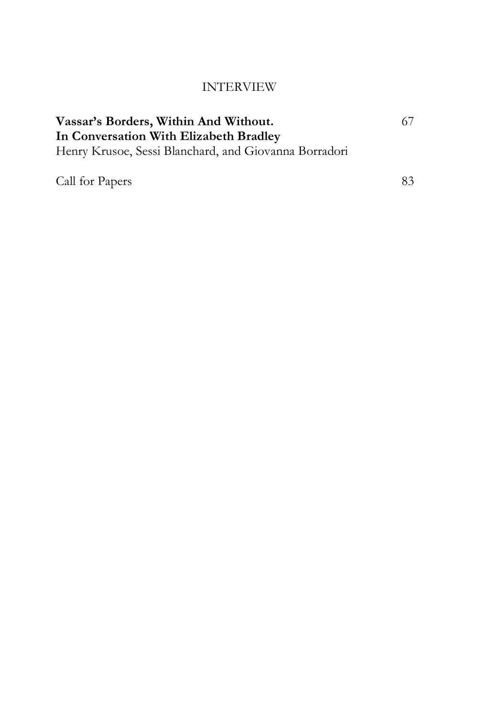# INTERVIEW

| Vassar's Borders, Within And Without.                 | -67 |
|-------------------------------------------------------|-----|
| In Conversation With Elizabeth Bradley                |     |
| Henry Krusoe, Sessi Blanchard, and Giovanna Borradori |     |
|                                                       |     |

Call for Papers....................................................................................... 83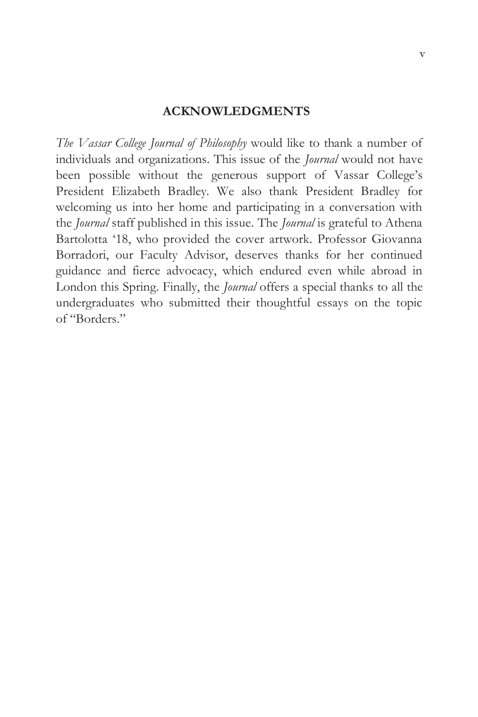#### **ACKNOWLEDGMENTS**

*The Vassar College Journal of Philosophy* would like to thank a number of individuals and organizations. This issue of the *Journal* would not have been possible without the generous support of Vassar College's President Elizabeth Bradley. We also thank President Bradley for welcoming us into her home and participating in a conversation with the *Journal* staff published in this issue. The *Journal* is grateful to Athena Bartolotta '18, who provided the cover artwork. Professor Giovanna Borradori, our Faculty Advisor, deserves thanks for her continued guidance and fierce advocacy, which endured even while abroad in London this Spring. Finally, the *Journal* offers a special thanks to all the undergraduates who submitted their thoughtful essays on the topic of "Borders."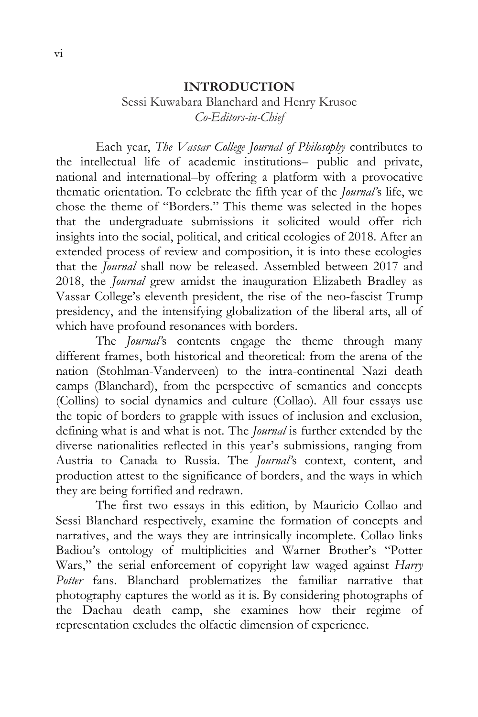#### **INTRODUCTION**

## Sessi Kuwabara Blanchard and Henry Krusoe *Co-Editors-in-Chief*

Each year, *The Vassar College Journal of Philosophy* contributes to the intellectual life of academic institutions– public and private, national and international–by offering a platform with a provocative thematic orientation. To celebrate the fifth year of the *Journal'*s life, we chose the theme of "Borders." This theme was selected in the hopes that the undergraduate submissions it solicited would offer rich insights into the social, political, and critical ecologies of 2018. After an extended process of review and composition, it is into these ecologies that the *Journal* shall now be released. Assembled between 2017 and 2018, the *Journal* grew amidst the inauguration Elizabeth Bradley as Vassar College's eleventh president, the rise of the neo-fascist Trump presidency, and the intensifying globalization of the liberal arts, all of which have profound resonances with borders.

The *Journal'*s contents engage the theme through many different frames, both historical and theoretical: from the arena of the nation (Stohlman-Vanderveen) to the intra-continental Nazi death camps (Blanchard), from the perspective of semantics and concepts (Collins) to social dynamics and culture (Collao). All four essays use the topic of borders to grapple with issues of inclusion and exclusion, defining what is and what is not. The *Journal* is further extended by the diverse nationalities reflected in this year's submissions, ranging from Austria to Canada to Russia. The *Journal'*s context, content, and production attest to the significance of borders, and the ways in which they are being fortified and redrawn.

The first two essays in this edition, by Mauricio Collao and Sessi Blanchard respectively, examine the formation of concepts and narratives, and the ways they are intrinsically incomplete. Collao links Badiou's ontology of multiplicities and Warner Brother's "Potter Wars," the serial enforcement of copyright law waged against *Harry*  Potter fans. Blanchard problematizes the familiar narrative that photography captures the world as it is. By considering photographs of the Dachau death camp, she examines how their regime of representation excludes the olfactic dimension of experience.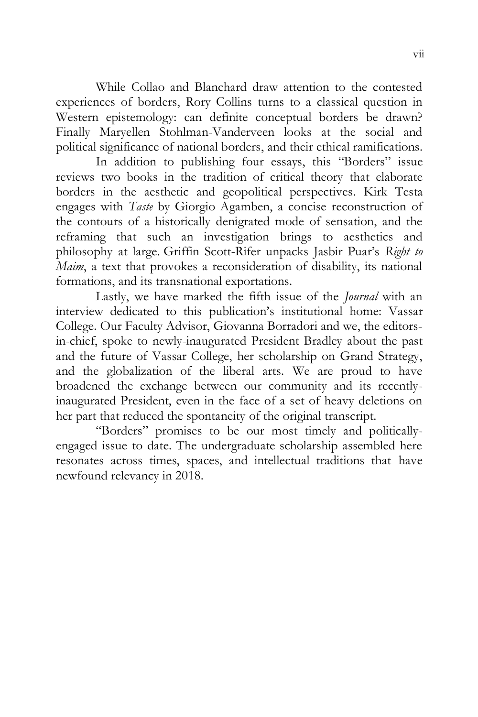While Collao and Blanchard draw attention to the contested experiences of borders, Rory Collins turns to a classical question in Western epistemology: can definite conceptual borders be drawn? Finally Maryellen Stohlman-Vanderveen looks at the social and political significance of national borders, and their ethical ramifications.

In addition to publishing four essays, this "Borders" issue reviews two books in the tradition of critical theory that elaborate borders in the aesthetic and geopolitical perspectives. Kirk Testa engages with *Taste* by Giorgio Agamben, a concise reconstruction of the contours of a historically denigrated mode of sensation, and the reframing that such an investigation brings to aesthetics and philosophy at large. Griffin Scott-Rifer unpacks Jasbir Puar's *Right to Maim*, a text that provokes a reconsideration of disability, its national formations, and its transnational exportations.

Lastly, we have marked the fifth issue of the *Journal* with an interview dedicated to this publication's institutional home: Vassar College. Our Faculty Advisor, Giovanna Borradori and we, the editorsin-chief, spoke to newly-inaugurated President Bradley about the past and the future of Vassar College, her scholarship on Grand Strategy, and the globalization of the liberal arts. We are proud to have broadened the exchange between our community and its recentlyinaugurated President, even in the face of a set of heavy deletions on her part that reduced the spontaneity of the original transcript.

"Borders" promises to be our most timely and politicallyengaged issue to date. The undergraduate scholarship assembled here resonates across times, spaces, and intellectual traditions that have newfound relevancy in 2018.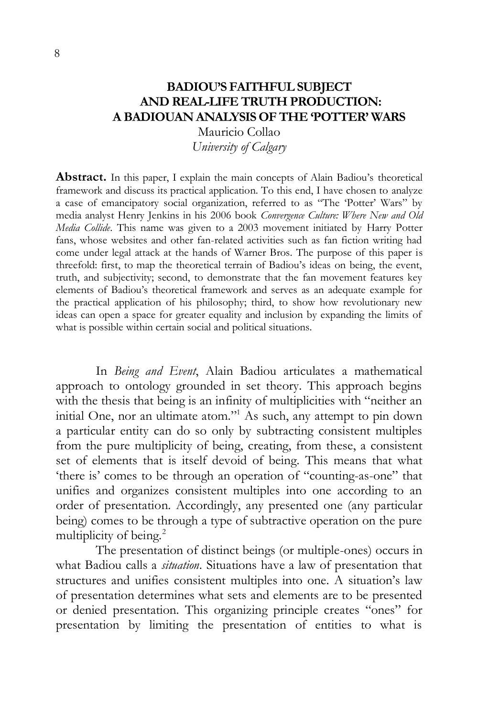# **BADIOU'S FAITHFUL SUBJECT AND REAL-LIFE TRUTH PRODUCTION: A BADIOUAN ANALYSIS OF THE 'POTTER' WARS**

Mauricio Collao *University of Calgary* 

**Abstract.** In this paper, I explain the main concepts of Alain Badiou's theoretical framework and discuss its practical application. To this end, I have chosen to analyze a case of emancipatory social organization, referred to as "The 'Potter' Wars" by media analyst Henry Jenkins in his 2006 book *Convergence Culture: Where New and Old Media Collide*. This name was given to a 2003 movement initiated by Harry Potter fans, whose websites and other fan-related activities such as fan fiction writing had come under legal attack at the hands of Warner Bros. The purpose of this paper is threefold: first, to map the theoretical terrain of Badiou's ideas on being, the event, truth, and subjectivity; second, to demonstrate that the fan movement features key elements of Badiou's theoretical framework and serves as an adequate example for the practical application of his philosophy; third, to show how revolutionary new ideas can open a space for greater equality and inclusion by expanding the limits of what is possible within certain social and political situations.

In *Being and Event*, Alain Badiou articulates a mathematical approach to ontology grounded in set theory. This approach begins with the thesis that being is an infinity of multiplicities with "neither an initial One, nor an ultimate atom."<sup>1</sup> As such, any attempt to pin down a particular entity can do so only by subtracting consistent multiples from the pure multiplicity of being, creating, from these, a consistent set of elements that is itself devoid of being. This means that what 'there is' comes to be through an operation of "counting-as-one" that unifies and organizes consistent multiples into one according to an order of presentation. Accordingly, any presented one (any particular being) comes to be through a type of subtractive operation on the pure multiplicity of being.<sup>2</sup>

The presentation of distinct beings (or multiple-ones) occurs in what Badiou calls a *situation*. Situations have a law of presentation that structures and unifies consistent multiples into one. A situation's law of presentation determines what sets and elements are to be presented or denied presentation. This organizing principle creates "ones" for presentation by limiting the presentation of entities to what is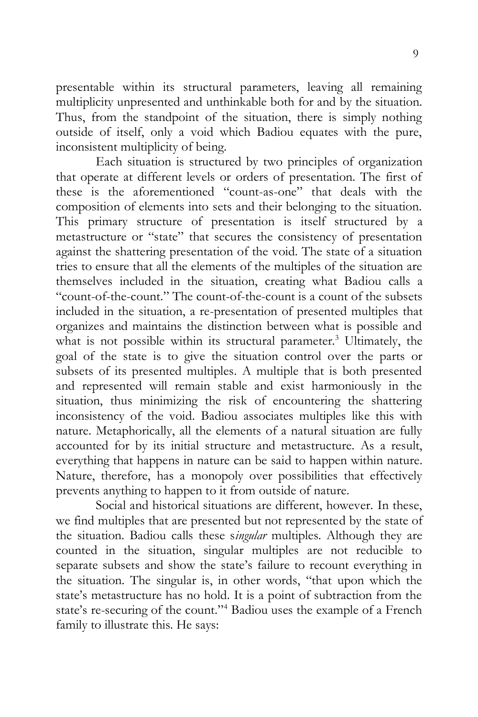presentable within its structural parameters, leaving all remaining multiplicity unpresented and unthinkable both for and by the situation. Thus, from the standpoint of the situation, there is simply nothing outside of itself, only a void which Badiou equates with the pure, inconsistent multiplicity of being.

Each situation is structured by two principles of organization that operate at different levels or orders of presentation. The first of these is the aforementioned "count-as-one" that deals with the composition of elements into sets and their belonging to the situation. This primary structure of presentation is itself structured by a metastructure or "state" that secures the consistency of presentation against the shattering presentation of the void. The state of a situation tries to ensure that all the elements of the multiples of the situation are themselves included in the situation, creating what Badiou calls a "count-of-the-count." The count-of-the-count is a count of the subsets included in the situation, a re-presentation of presented multiples that organizes and maintains the distinction between what is possible and what is not possible within its structural parameter.<sup>3</sup> Ultimately, the goal of the state is to give the situation control over the parts or subsets of its presented multiples. A multiple that is both presented and represented will remain stable and exist harmoniously in the situation, thus minimizing the risk of encountering the shattering inconsistency of the void. Badiou associates multiples like this with nature. Metaphorically, all the elements of a natural situation are fully accounted for by its initial structure and metastructure. As a result, everything that happens in nature can be said to happen within nature. Nature, therefore, has a monopoly over possibilities that effectively prevents anything to happen to it from outside of nature.

Social and historical situations are different, however. In these, we find multiples that are presented but not represented by the state of the situation. Badiou calls these s*ingular* multiples. Although they are counted in the situation, singular multiples are not reducible to separate subsets and show the state's failure to recount everything in the situation. The singular is, in other words, "that upon which the state's metastructure has no hold. It is a point of subtraction from the state's re-securing of the count."<sup>4</sup> Badiou uses the example of a French family to illustrate this. He says: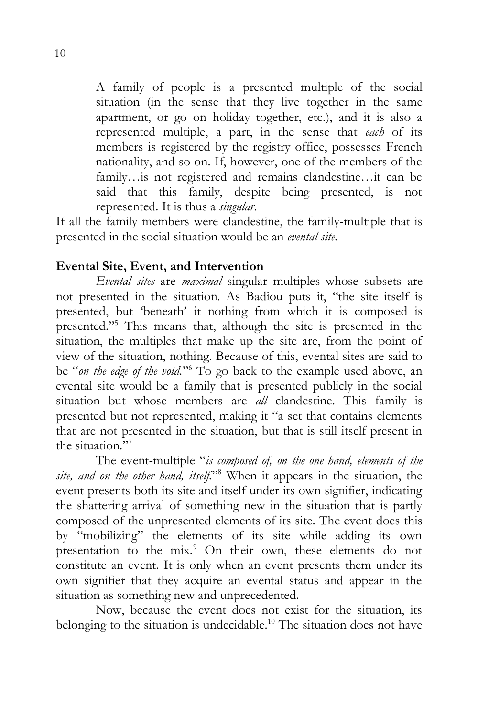A family of people is a presented multiple of the social situation (in the sense that they live together in the same apartment, or go on holiday together, etc.), and it is also a represented multiple, a part, in the sense that *each* of its members is registered by the registry office, possesses French nationality, and so on. If, however, one of the members of the family…is not registered and remains clandestine…it can be said that this family, despite being presented, is not represented. It is thus a *singular*.

If all the family members were clandestine, the family-multiple that is presented in the social situation would be an *evental site*.

## **Evental Site, Event, and Intervention**

*Evental sites* are *maximal* singular multiples whose subsets are not presented in the situation. As Badiou puts it, "the site itself is presented, but 'beneath' it nothing from which it is composed is presented."<sup>5</sup> This means that, although the site is presented in the situation, the multiples that make up the site are, from the point of view of the situation, nothing. Because of this, evental sites are said to be "on the edge of the void."<sup>6</sup> To go back to the example used above, an evental site would be a family that is presented publicly in the social situation but whose members are *all* clandestine. This family is presented but not represented, making it "a set that contains elements that are not presented in the situation, but that is still itself present in the situation."<sup>7</sup>

The event-multiple "*is composed of, on the one hand, elements of the site, and on the other hand, itself*."<sup>8</sup> When it appears in the situation, the event presents both its site and itself under its own signifier, indicating the shattering arrival of something new in the situation that is partly composed of the unpresented elements of its site. The event does this by "mobilizing" the elements of its site while adding its own presentation to the mix.<sup>9</sup> On their own, these elements do not constitute an event. It is only when an event presents them under its own signifier that they acquire an evental status and appear in the situation as something new and unprecedented.

Now, because the event does not exist for the situation, its belonging to the situation is undecidable.<sup>10</sup> The situation does not have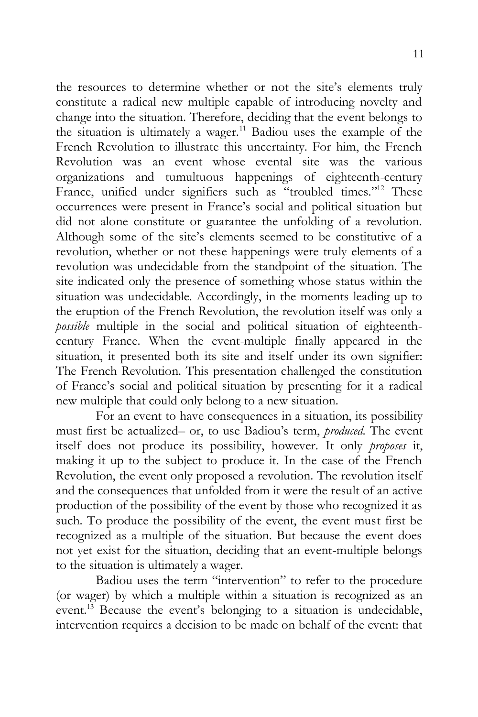the resources to determine whether or not the site's elements truly constitute a radical new multiple capable of introducing novelty and change into the situation. Therefore, deciding that the event belongs to the situation is ultimately a wager.<sup>11</sup> Badiou uses the example of the French Revolution to illustrate this uncertainty. For him, the French Revolution was an event whose evental site was the various organizations and tumultuous happenings of eighteenth-century France, unified under signifiers such as "troubled times."<sup>12</sup> These occurrences were present in France's social and political situation but did not alone constitute or guarantee the unfolding of a revolution. Although some of the site's elements seemed to be constitutive of a revolution, whether or not these happenings were truly elements of a revolution was undecidable from the standpoint of the situation. The site indicated only the presence of something whose status within the situation was undecidable. Accordingly, in the moments leading up to the eruption of the French Revolution, the revolution itself was only a *possible* multiple in the social and political situation of eighteenthcentury France. When the event-multiple finally appeared in the situation, it presented both its site and itself under its own signifier: The French Revolution. This presentation challenged the constitution of France's social and political situation by presenting for it a radical new multiple that could only belong to a new situation.

For an event to have consequences in a situation, its possibility must first be actualized– or, to use Badiou's term, *produced*. The event itself does not produce its possibility, however. It only *proposes* it, making it up to the subject to produce it. In the case of the French Revolution, the event only proposed a revolution. The revolution itself and the consequences that unfolded from it were the result of an active production of the possibility of the event by those who recognized it as such. To produce the possibility of the event, the event must first be recognized as a multiple of the situation. But because the event does not yet exist for the situation, deciding that an event-multiple belongs to the situation is ultimately a wager.

Badiou uses the term "intervention" to refer to the procedure (or wager) by which a multiple within a situation is recognized as an event.<sup>13</sup> Because the event's belonging to a situation is undecidable, intervention requires a decision to be made on behalf of the event: that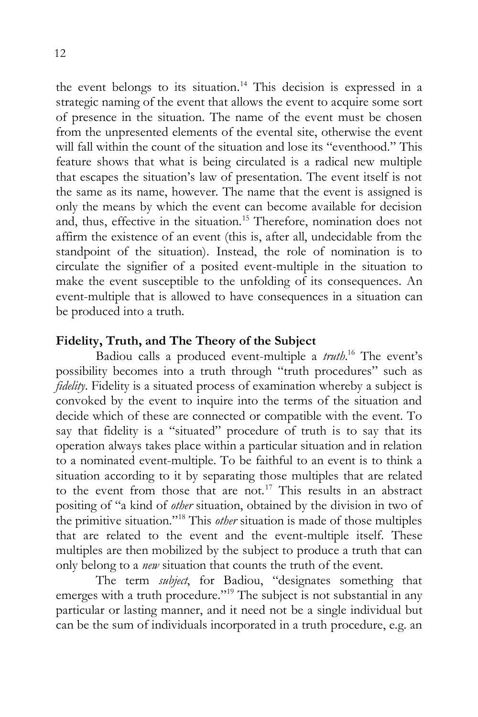the event belongs to its situation. <sup>14</sup> This decision is expressed in a strategic naming of the event that allows the event to acquire some sort of presence in the situation. The name of the event must be chosen from the unpresented elements of the evental site, otherwise the event will fall within the count of the situation and lose its "eventhood." This feature shows that what is being circulated is a radical new multiple that escapes the situation's law of presentation. The event itself is not the same as its name, however. The name that the event is assigned is only the means by which the event can become available for decision and, thus, effective in the situation.<sup>15</sup> Therefore, nomination does not affirm the existence of an event (this is, after all, undecidable from the standpoint of the situation). Instead, the role of nomination is to circulate the signifier of a posited event-multiple in the situation to make the event susceptible to the unfolding of its consequences. An event-multiple that is allowed to have consequences in a situation can be produced into a truth.

## **Fidelity, Truth, and The Theory of the Subject**

Badiou calls a produced event-multiple a *truth*. <sup>16</sup> The event's possibility becomes into a truth through "truth procedures" such as *fidelity*. Fidelity is a situated process of examination whereby a subject is convoked by the event to inquire into the terms of the situation and decide which of these are connected or compatible with the event. To say that fidelity is a "situated" procedure of truth is to say that its operation always takes place within a particular situation and in relation to a nominated event-multiple. To be faithful to an event is to think a situation according to it by separating those multiples that are related to the event from those that are not.<sup>17</sup> This results in an abstract positing of "a kind of *other* situation, obtained by the division in two of the primitive situation."<sup>18</sup> This *other* situation is made of those multiples that are related to the event and the event-multiple itself. These multiples are then mobilized by the subject to produce a truth that can only belong to a *new* situation that counts the truth of the event.

The term *subject*, for Badiou, "designates something that emerges with a truth procedure."<sup>19</sup> The subject is not substantial in any particular or lasting manner, and it need not be a single individual but can be the sum of individuals incorporated in a truth procedure, e.g. an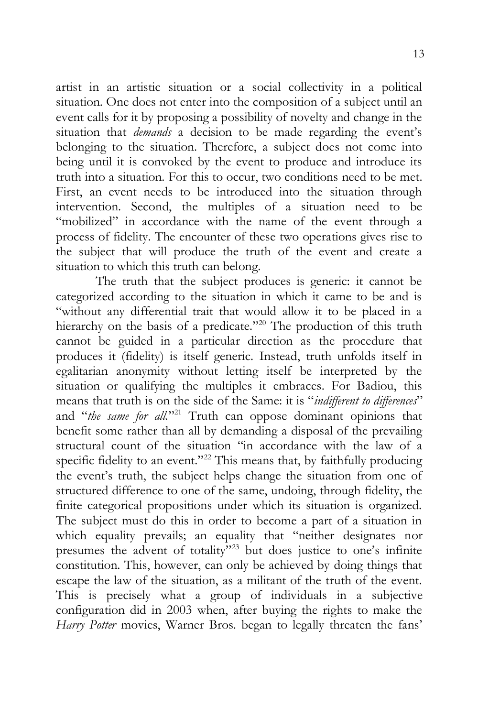artist in an artistic situation or a social collectivity in a political situation. One does not enter into the composition of a subject until an event calls for it by proposing a possibility of novelty and change in the situation that *demands* a decision to be made regarding the event's belonging to the situation. Therefore, a subject does not come into being until it is convoked by the event to produce and introduce its truth into a situation. For this to occur, two conditions need to be met. First, an event needs to be introduced into the situation through intervention. Second, the multiples of a situation need to be "mobilized" in accordance with the name of the event through a process of fidelity. The encounter of these two operations gives rise to the subject that will produce the truth of the event and create a situation to which this truth can belong.

The truth that the subject produces is generic: it cannot be categorized according to the situation in which it came to be and is "without any differential trait that would allow it to be placed in a hierarchy on the basis of a predicate."<sup>20</sup> The production of this truth cannot be guided in a particular direction as the procedure that produces it (fidelity) is itself generic. Instead, truth unfolds itself in egalitarian anonymity without letting itself be interpreted by the situation or qualifying the multiples it embraces. For Badiou, this means that truth is on the side of the Same: it is "*indifferent to differences*" and "*the same for all.*"<sup>21</sup> Truth can oppose dominant opinions that benefit some rather than all by demanding a disposal of the prevailing structural count of the situation "in accordance with the law of a specific fidelity to an event."<sup>22</sup> This means that, by faithfully producing the event's truth, the subject helps change the situation from one of structured difference to one of the same, undoing, through fidelity, the finite categorical propositions under which its situation is organized. The subject must do this in order to become a part of a situation in which equality prevails; an equality that "neither designates nor presumes the advent of totality"<sup>23</sup> but does justice to one's infinite constitution. This, however, can only be achieved by doing things that escape the law of the situation, as a militant of the truth of the event. This is precisely what a group of individuals in a subjective configuration did in 2003 when, after buying the rights to make the *Harry Potter* movies, Warner Bros. began to legally threaten the fans'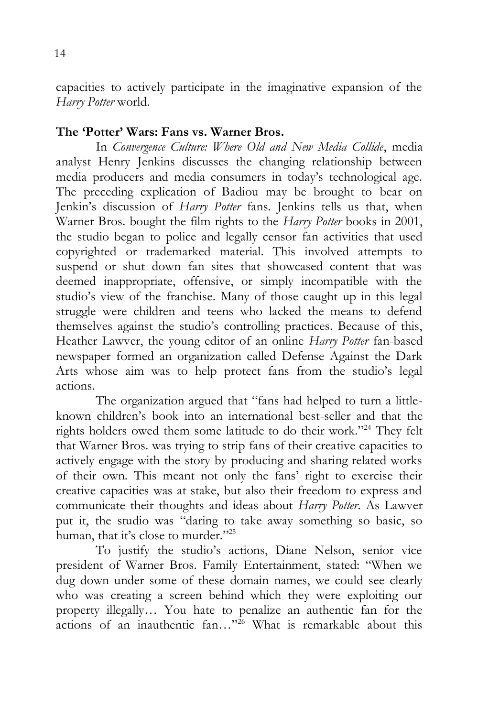capacities to actively participate in the imaginative expansion of the *Harry Potter* world.

#### **The 'Potter' Wars: Fans vs. Warner Bros.**

In *Convergence Culture: Where Old and New Media Collide*, media analyst Henry Jenkins discusses the changing relationship between media producers and media consumers in today's technological age. The preceding explication of Badiou may be brought to bear on Jenkin's discussion of *Harry Potter* fans. Jenkins tells us that, when Warner Bros. bought the film rights to the *Harry Potter* books in 2001, the studio began to police and legally censor fan activities that used copyrighted or trademarked material. This involved attempts to suspend or shut down fan sites that showcased content that was deemed inappropriate, offensive, or simply incompatible with the studio's view of the franchise. Many of those caught up in this legal struggle were children and teens who lacked the means to defend themselves against the studio's controlling practices. Because of this, Heather Lawver, the young editor of an online *Harry Potter* fan-based newspaper formed an organization called Defense Against the Dark Arts whose aim was to help protect fans from the studio's legal actions.

The organization argued that "fans had helped to turn a littleknown children's book into an international best-seller and that the rights holders owed them some latitude to do their work."<sup>24</sup> They felt that Warner Bros. was trying to strip fans of their creative capacities to actively engage with the story by producing and sharing related works of their own. This meant not only the fans' right to exercise their creative capacities was at stake, but also their freedom to express and communicate their thoughts and ideas about *Harry Potter*. As Lawver put it, the studio was "daring to take away something so basic, so human, that it's close to murder."<sup>25</sup>

To justify the studio's actions, Diane Nelson, senior vice president of Warner Bros. Family Entertainment, stated: "When we dug down under some of these domain names, we could see clearly who was creating a screen behind which they were exploiting our property illegally… You hate to penalize an authentic fan for the actions of an inauthentic fan..."<sup>26</sup> What is remarkable about this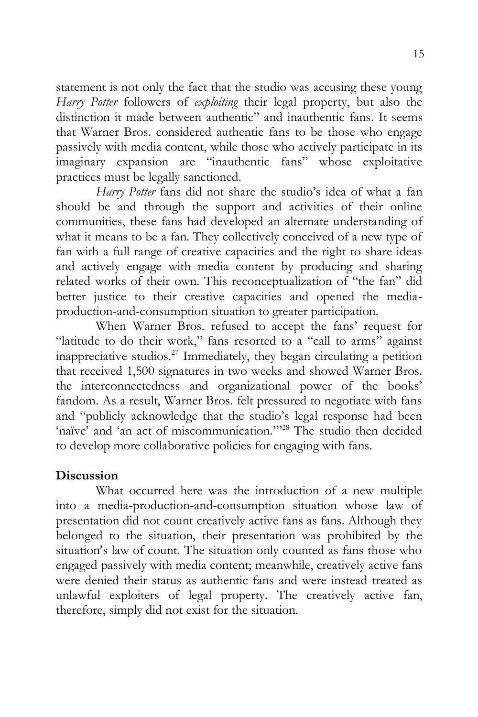statement is not only the fact that the studio was accusing these young *Harry Potter* followers of *exploiting* their legal property, but also the distinction it made between authentic" and inauthentic fans. It seems that Warner Bros. considered authentic fans to be those who engage passively with media content, while those who actively participate in its imaginary expansion are "inauthentic fans" whose exploitative practices must be legally sanctioned.

*Harry Potter* fans did not share the studio's idea of what a fan should be and through the support and activities of their online communities, these fans had developed an alternate understanding of what it means to be a fan. They collectively conceived of a new type of fan with a full range of creative capacities and the right to share ideas and actively engage with media content by producing and sharing related works of their own. This reconceptualization of "the fan" did better justice to their creative capacities and opened the mediaproduction-and-consumption situation to greater participation.

When Warner Bros. refused to accept the fans' request for "latitude to do their work," fans resorted to a "call to arms" against inappreciative studios.<sup>27</sup> Immediately, they began circulating a petition that received 1,500 signatures in two weeks and showed Warner Bros. the interconnectedness and organizational power of the books' fandom. As a result, Warner Bros. felt pressured to negotiate with fans and "publicly acknowledge that the studio's legal response had been 'naïve' and 'an act of miscommunication."<sup>28</sup> The studio then decided to develop more collaborative policies for engaging with fans.

# **Discussion**

What occurred here was the introduction of a new multiple into a media-production-and-consumption situation whose law of presentation did not count creatively active fans as fans. Although they belonged to the situation, their presentation was prohibited by the situation's law of count. The situation only counted as fans those who engaged passively with media content; meanwhile, creatively active fans were denied their status as authentic fans and were instead treated as unlawful exploiters of legal property. The creatively active fan, therefore, simply did not exist for the situation.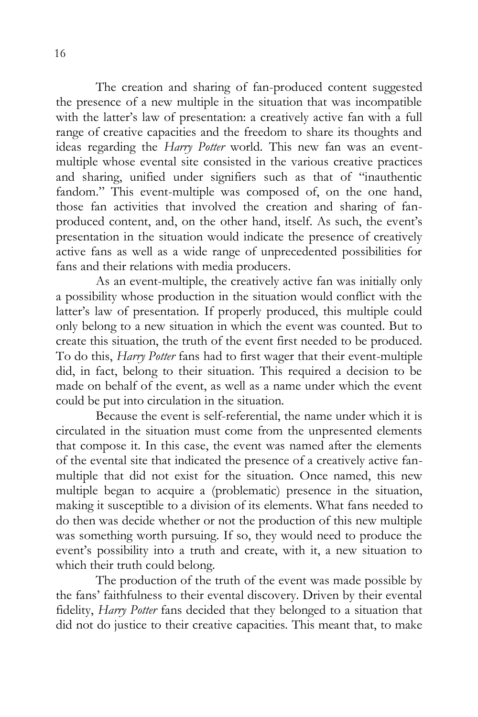The creation and sharing of fan-produced content suggested the presence of a new multiple in the situation that was incompatible with the latter's law of presentation: a creatively active fan with a full range of creative capacities and the freedom to share its thoughts and ideas regarding the *Harry Potter* world. This new fan was an eventmultiple whose evental site consisted in the various creative practices and sharing, unified under signifiers such as that of "inauthentic fandom." This event-multiple was composed of, on the one hand, those fan activities that involved the creation and sharing of fanproduced content, and, on the other hand, itself. As such, the event's presentation in the situation would indicate the presence of creatively active fans as well as a wide range of unprecedented possibilities for fans and their relations with media producers.

As an event-multiple, the creatively active fan was initially only a possibility whose production in the situation would conflict with the latter's law of presentation. If properly produced, this multiple could only belong to a new situation in which the event was counted. But to create this situation, the truth of the event first needed to be produced. To do this, *Harry Potter* fans had to first wager that their event-multiple did, in fact, belong to their situation. This required a decision to be made on behalf of the event, as well as a name under which the event could be put into circulation in the situation.

Because the event is self-referential, the name under which it is circulated in the situation must come from the unpresented elements that compose it. In this case, the event was named after the elements of the evental site that indicated the presence of a creatively active fanmultiple that did not exist for the situation. Once named, this new multiple began to acquire a (problematic) presence in the situation, making it susceptible to a division of its elements. What fans needed to do then was decide whether or not the production of this new multiple was something worth pursuing. If so, they would need to produce the event's possibility into a truth and create, with it, a new situation to which their truth could belong.

The production of the truth of the event was made possible by the fans' faithfulness to their evental discovery. Driven by their evental fidelity, *Harry Potter* fans decided that they belonged to a situation that did not do justice to their creative capacities. This meant that, to make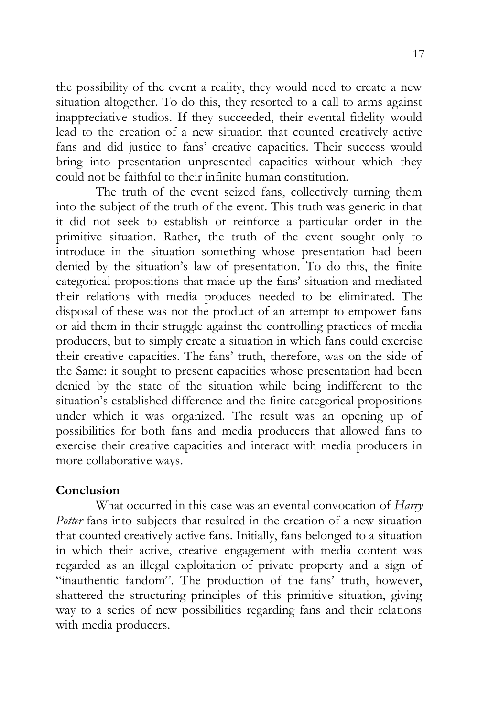the possibility of the event a reality, they would need to create a new situation altogether. To do this, they resorted to a call to arms against inappreciative studios. If they succeeded, their evental fidelity would lead to the creation of a new situation that counted creatively active fans and did justice to fans' creative capacities. Their success would bring into presentation unpresented capacities without which they could not be faithful to their infinite human constitution.

The truth of the event seized fans, collectively turning them into the subject of the truth of the event. This truth was generic in that it did not seek to establish or reinforce a particular order in the primitive situation. Rather, the truth of the event sought only to introduce in the situation something whose presentation had been denied by the situation's law of presentation. To do this, the finite categorical propositions that made up the fans' situation and mediated their relations with media produces needed to be eliminated. The disposal of these was not the product of an attempt to empower fans or aid them in their struggle against the controlling practices of media producers, but to simply create a situation in which fans could exercise their creative capacities. The fans' truth, therefore, was on the side of the Same: it sought to present capacities whose presentation had been denied by the state of the situation while being indifferent to the situation's established difference and the finite categorical propositions under which it was organized. The result was an opening up of possibilities for both fans and media producers that allowed fans to exercise their creative capacities and interact with media producers in more collaborative ways.

## **Conclusion**

What occurred in this case was an evental convocation of *Harry Potter* fans into subjects that resulted in the creation of a new situation that counted creatively active fans. Initially, fans belonged to a situation in which their active, creative engagement with media content was regarded as an illegal exploitation of private property and a sign of "inauthentic fandom". The production of the fans' truth, however, shattered the structuring principles of this primitive situation, giving way to a series of new possibilities regarding fans and their relations with media producers.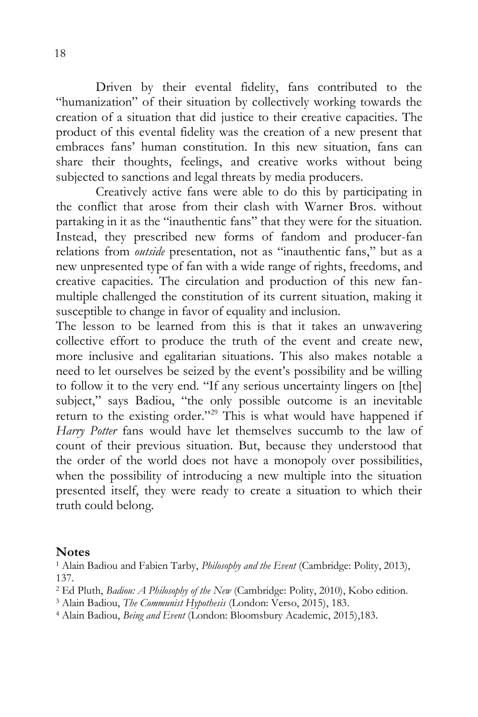Driven by their evental fidelity, fans contributed to the "humanization" of their situation by collectively working towards the creation of a situation that did justice to their creative capacities. The product of this evental fidelity was the creation of a new present that embraces fans' human constitution. In this new situation, fans can share their thoughts, feelings, and creative works without being subjected to sanctions and legal threats by media producers.

Creatively active fans were able to do this by participating in the conflict that arose from their clash with Warner Bros. without partaking in it as the "inauthentic fans" that they were for the situation. Instead, they prescribed new forms of fandom and producer-fan relations from *outside* presentation, not as "inauthentic fans," but as a new unpresented type of fan with a wide range of rights, freedoms, and creative capacities. The circulation and production of this new fanmultiple challenged the constitution of its current situation, making it susceptible to change in favor of equality and inclusion.

The lesson to be learned from this is that it takes an unwavering collective effort to produce the truth of the event and create new, more inclusive and egalitarian situations. This also makes notable a need to let ourselves be seized by the event's possibility and be willing to follow it to the very end. "If any serious uncertainty lingers on [the] subject," says Badiou, "the only possible outcome is an inevitable return to the existing order."<sup>29</sup> This is what would have happened if *Harry Potter* fans would have let themselves succumb to the law of count of their previous situation. But, because they understood that the order of the world does not have a monopoly over possibilities, when the possibility of introducing a new multiple into the situation presented itself, they were ready to create a situation to which their truth could belong.

### **Notes**

<sup>1</sup> Alain Badiou and Fabien Tarby, *Philosophy and the Event* (Cambridge: Polity, 2013), 137.

<sup>2</sup> Ed Pluth, *Badiou: A Philosophy of the New* (Cambridge: Polity, 2010), Kobo edition.

<sup>3</sup> Alain Badiou, *The Communist Hypothesis* (London: Verso, 2015), 183.

<sup>4</sup> Alain Badiou, *Being and Event* (London: Bloomsbury Academic, 2015),183.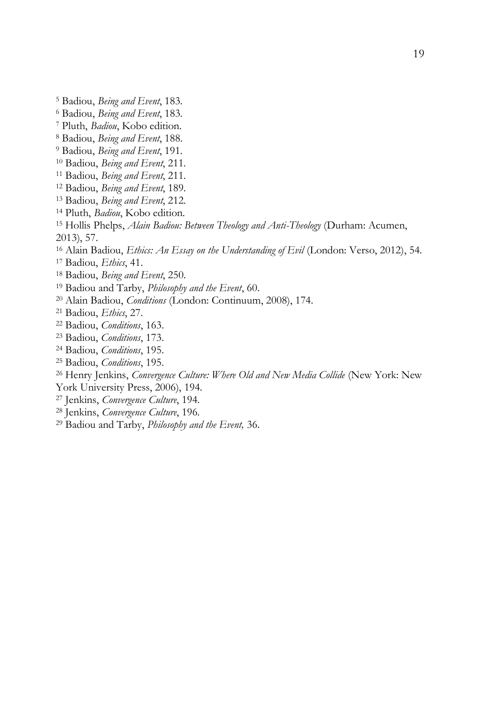Badiou, *Being and Event*, 183.

Badiou, *Being and Event*, 183.

Pluth, *Badiou*, Kobo edition.

Badiou, *Being and Event*, 188.

Badiou, *Being and Event*, 191.

- Badiou, *Being and Event*, 211.
- Badiou, *Being and Event*, 211.
- Badiou, *Being and Event*, 189.
- Badiou, *Being and Event*, 212.
- Pluth, *Badiou*, Kobo edition.

 Hollis Phelps, *Alain Badiou: Between Theology and Anti-Theology* (Durham: Acumen, 2013), 57.

Alain Badiou, *Ethics: An Essay on the Understanding of Evil* (London: Verso, 2012), 54.

Badiou, *Ethics*, 41.

Badiou, *Being and Event*, 250.

Badiou and Tarby, *Philosophy and the Event*, 60.

- Alain Badiou, *Conditions* (London: Continuum, 2008), 174.
- Badiou, *Ethics*, 27.
- Badiou, *Conditions*, 163.
- Badiou, *Conditions*, 173.
- Badiou, *Conditions*, 195.
- Badiou, *Conditions*, 195.

Henry Jenkins, *Convergence Culture: Where Old and New Media Collide* (New York: New

York University Press, 2006), 194.

- Jenkins, *Convergence Culture*, 194.
- Jenkins, *Convergence Culture*, 196.
- Badiou and Tarby, *Philosophy and the Event,* 36.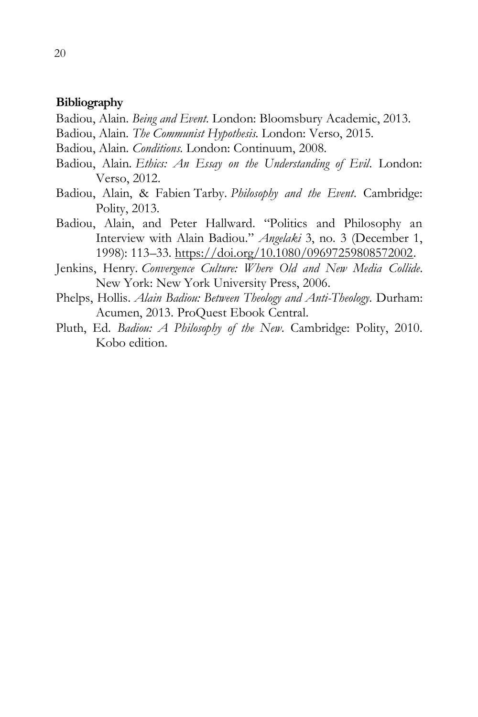#### **Bibliography**

- Badiou, Alain. *Being and Event*. London: Bloomsbury Academic, 2013.
- Badiou, Alain. *The Communist Hypothesis*. London: Verso, 2015.
- Badiou, Alain. *Conditions*. London: Continuum, 2008.
- Badiou, Alain. *Ethics: An Essay on the Understanding of Evil*. London: Verso, 2012.
- Badiou, Alain, & Fabien Tarby. *Philosophy and the Event*. Cambridge: Polity, 2013.
- Badiou, Alain, and Peter Hallward. "Politics and Philosophy an Interview with Alain Badiou." *Angelaki* 3, no. 3 (December 1, 1998): 113–33. [https://doi.org/10.1080/09697259808572002.](https://doi.org/10.1080/09697259808572002)
- Jenkins, Henry. *Convergence Culture: Where Old and New Media Collide*. New York: New York University Press, 2006.
- Phelps, Hollis. *Alain Badiou: Between Theology and Anti-Theology*. Durham: Acumen, 2013. ProQuest Ebook Central.
- Pluth, Ed. *Badiou: A Philosophy of the New*. Cambridge: Polity, 2010. Kobo edition.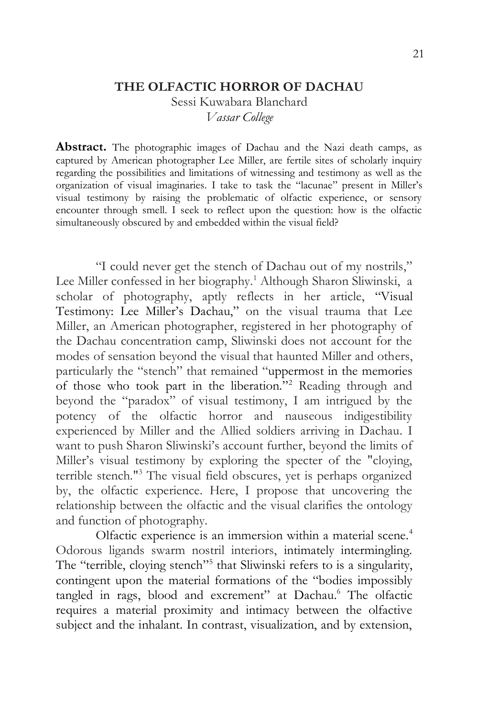#### **THE OLFACTIC HORROR OF DACHAU**

Sessi Kuwabara Blanchard *Vassar College*

**Abstract.** The photographic images of Dachau and the Nazi death camps, as captured by American photographer Lee Miller, are fertile sites of scholarly inquiry regarding the possibilities and limitations of witnessing and testimony as well as the organization of visual imaginaries. I take to task the "lacunae" present in Miller's visual testimony by raising the problematic of olfactic experience, or sensory encounter through smell. I seek to reflect upon the question: how is the olfactic simultaneously obscured by and embedded within the visual field?

"I could never get the stench of Dachau out of my nostrils," Lee Miller confessed in her biography.<sup>1</sup> Although Sharon Sliwinski, a scholar of photography, aptly reflects in her article, "Visual Testimony: Lee Miller's Dachau," on the visual trauma that Lee Miller, an American photographer, registered in her photography of the Dachau concentration camp, Sliwinski does not account for the modes of sensation beyond the visual that haunted Miller and others, particularly the "stench" that remained "uppermost in the memories of those who took part in the liberation."<sup>2</sup> Reading through and beyond the "paradox" of visual testimony, I am intrigued by the potency of the olfactic horror and nauseous indigestibility experienced by Miller and the Allied soldiers arriving in Dachau. I want to push Sharon Sliwinski's account further, beyond the limits of Miller's visual testimony by exploring the specter of the "cloying, terrible stench."<sup>3</sup> The visual field obscures, yet is perhaps organized by, the olfactic experience. Here, I propose that uncovering the relationship between the olfactic and the visual clarifies the ontology and function of photography.

Olfactic experience is an immersion within a material scene.<sup>4</sup> Odorous ligands swarm nostril interiors, intimately intermingling. The "terrible, cloying stench"<sup>5</sup> that Sliwinski refers to is a singularity, contingent upon the material formations of the "bodies impossibly tangled in rags, blood and excrement" at Dachau.<sup>6</sup> The olfactic requires a material proximity and intimacy between the olfactive subject and the inhalant. In contrast, visualization, and by extension,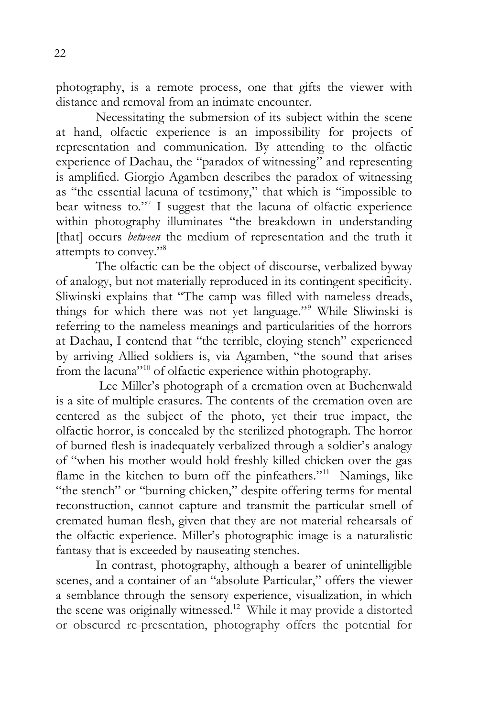photography, is a remote process, one that gifts the viewer with distance and removal from an intimate encounter.

Necessitating the submersion of its subject within the scene at hand, olfactic experience is an impossibility for projects of representation and communication. By attending to the olfactic experience of Dachau, the "paradox of witnessing" and representing is amplified. Giorgio Agamben describes the paradox of witnessing as "the essential lacuna of testimony," that which is "impossible to bear witness to."<sup>7</sup> I suggest that the lacuna of olfactic experience within photography illuminates "the breakdown in understanding [that] occurs *between* the medium of representation and the truth it attempts to convey."<sup>8</sup>

The olfactic can be the object of discourse, verbalized byway of analogy, but not materially reproduced in its contingent specificity. Sliwinski explains that "The camp was filled with nameless dreads, things for which there was not yet language."<sup>9</sup> While Sliwinski is referring to the nameless meanings and particularities of the horrors at Dachau, I contend that "the terrible, cloying stench" experienced by arriving Allied soldiers is, via Agamben, "the sound that arises from the lacuna"<sup>10</sup> of olfactic experience within photography.

Lee Miller's photograph of a cremation oven at Buchenwald is a site of multiple erasures. The contents of the cremation oven are centered as the subject of the photo, yet their true impact, the olfactic horror, is concealed by the sterilized photograph. The horror of burned flesh is inadequately verbalized through a soldier's analogy of "when his mother would hold freshly killed chicken over the gas flame in the kitchen to burn off the pinfeathers."<sup>11</sup> Namings, like "the stench" or "burning chicken," despite offering terms for mental reconstruction, cannot capture and transmit the particular smell of cremated human flesh, given that they are not material rehearsals of the olfactic experience. Miller's photographic image is a naturalistic fantasy that is exceeded by nauseating stenches.

In contrast, photography, although a bearer of unintelligible scenes, and a container of an "absolute Particular," offers the viewer a semblance through the sensory experience, visualization, in which the scene was originally witnessed. <sup>12</sup> While it may provide a distorted or obscured re-presentation, photography offers the potential for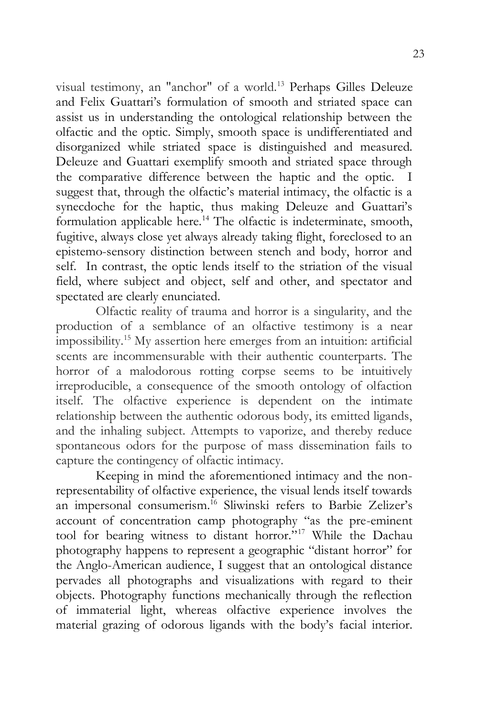visual testimony, an "anchor" of a world.<sup>13</sup> Perhaps Gilles Deleuze and Felix Guattari's formulation of smooth and striated space can assist us in understanding the ontological relationship between the olfactic and the optic. Simply, smooth space is undifferentiated and disorganized while striated space is distinguished and measured. Deleuze and Guattari exemplify smooth and striated space through the comparative difference between the haptic and the optic. I suggest that, through the olfactic's material intimacy, the olfactic is a synecdoche for the haptic, thus making Deleuze and Guattari's formulation applicable here.<sup>14</sup> The olfactic is indeterminate, smooth, fugitive, always close yet always already taking flight, foreclosed to an epistemo-sensory distinction between stench and body, horror and self. In contrast, the optic lends itself to the striation of the visual field, where subject and object, self and other, and spectator and spectated are clearly enunciated.

Olfactic reality of trauma and horror is a singularity, and the production of a semblance of an olfactive testimony is a near impossibility.<sup>15</sup> My assertion here emerges from an intuition: artificial scents are incommensurable with their authentic counterparts. The horror of a malodorous rotting corpse seems to be intuitively irreproducible, a consequence of the smooth ontology of olfaction itself. The olfactive experience is dependent on the intimate relationship between the authentic odorous body, its emitted ligands, and the inhaling subject. Attempts to vaporize, and thereby reduce spontaneous odors for the purpose of mass dissemination fails to capture the contingency of olfactic intimacy.

Keeping in mind the aforementioned intimacy and the nonrepresentability of olfactive experience, the visual lends itself towards an impersonal consumerism.<sup>16</sup> Sliwinski refers to Barbie Zelizer's account of concentration camp photography "as the pre-eminent tool for bearing witness to distant horror."<sup>17</sup> While the Dachau photography happens to represent a geographic "distant horror" for the Anglo-American audience, I suggest that an ontological distance pervades all photographs and visualizations with regard to their objects. Photography functions mechanically through the reflection of immaterial light, whereas olfactive experience involves the material grazing of odorous ligands with the body's facial interior.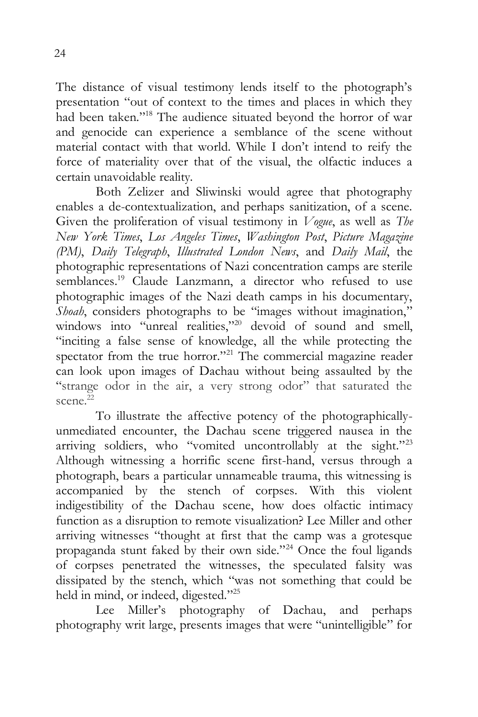The distance of visual testimony lends itself to the photograph's presentation "out of context to the times and places in which they had been taken."<sup>18</sup> The audience situated beyond the horror of war and genocide can experience a semblance of the scene without material contact with that world. While I don't intend to reify the force of materiality over that of the visual, the olfactic induces a certain unavoidable reality.

Both Zelizer and Sliwinski would agree that photography enables a de-contextualization, and perhaps sanitization, of a scene. Given the proliferation of visual testimony in *Vogue*, as well as *The New York Times*, *Los Angeles Times*, *Washington Post*, *Picture Magazine (PM)*, *Daily Telegraph*, *Illustrated London News*, and *Daily Mail*, the photographic representations of Nazi concentration camps are sterile semblances.<sup>19</sup> Claude Lanzmann, a director who refused to use photographic images of the Nazi death camps in his documentary, *Shoah*, considers photographs to be "images without imagination," windows into "unreal realities,"<sup>20</sup> devoid of sound and smell, "inciting a false sense of knowledge, all the while protecting the spectator from the true horror."<sup>21</sup> The commercial magazine reader can look upon images of Dachau without being assaulted by the "strange odor in the air, a very strong odor" that saturated the scene.<sup>22</sup>

To illustrate the affective potency of the photographicallyunmediated encounter, the Dachau scene triggered nausea in the arriving soldiers, who "vomited uncontrollably at the sight."<sup>23</sup> Although witnessing a horrific scene first-hand, versus through a photograph, bears a particular unnameable trauma, this witnessing is accompanied by the stench of corpses. With this violent indigestibility of the Dachau scene, how does olfactic intimacy function as a disruption to remote visualization? Lee Miller and other arriving witnesses "thought at first that the camp was a grotesque propaganda stunt faked by their own side."<sup>24</sup> Once the foul ligands of corpses penetrated the witnesses, the speculated falsity was dissipated by the stench, which "was not something that could be held in mind, or indeed, digested."25

Lee Miller's photography of Dachau, and perhaps photography writ large, presents images that were "unintelligible" for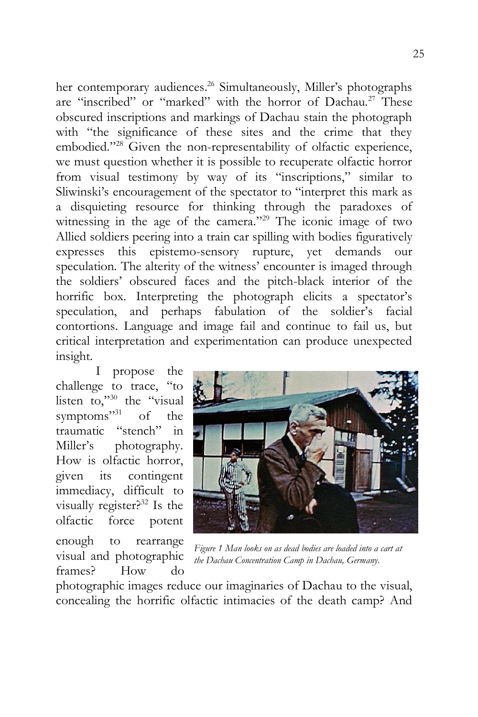her contemporary audiences.<sup>26</sup> Simultaneously, Miller's photographs are "inscribed" or "marked" with the horror of Dachau.<sup>27</sup> These obscured inscriptions and markings of Dachau stain the photograph with "the significance of these sites and the crime that they embodied."<sup>28</sup> Given the non-representability of olfactic experience, we must question whether it is possible to recuperate olfactic horror from visual testimony by way of its "inscriptions," similar to Sliwinski's encouragement of the spectator to "interpret this mark as a disquieting resource for thinking through the paradoxes of witnessing in the age of the camera."<sup>29</sup> The iconic image of two Allied soldiers peering into a train car spilling with bodies figuratively expresses this epistemo-sensory rupture, yet demands our speculation. The alterity of the witness' encounter is imaged through the soldiers' obscured faces and the pitch-black interior of the horrific box. Interpreting the photograph elicits a spectator's speculation, and perhaps fabulation of the soldier's facial contortions. Language and image fail and continue to fail us, but critical interpretation and experimentation can produce unexpected insight.

I propose the challenge to trace, "to listen to,"<sup>30</sup> the "visual" symptoms"<sup>31</sup> of the traumatic "stench" in Miller's photography. How is olfactic horror, given its contingent immediacy, difficult to visually register? $32$  Is the olfactic force potent

enough to rearrange visual and photographic frames? How do



*Figure 1 Man looks on as dead bodies are loaded into a cart at the Dachau Concentration Camp in Dachau, Germany.*

photographic images reduce our imaginaries of Dachau to the visual, concealing the horrific olfactic intimacies of the death camp? And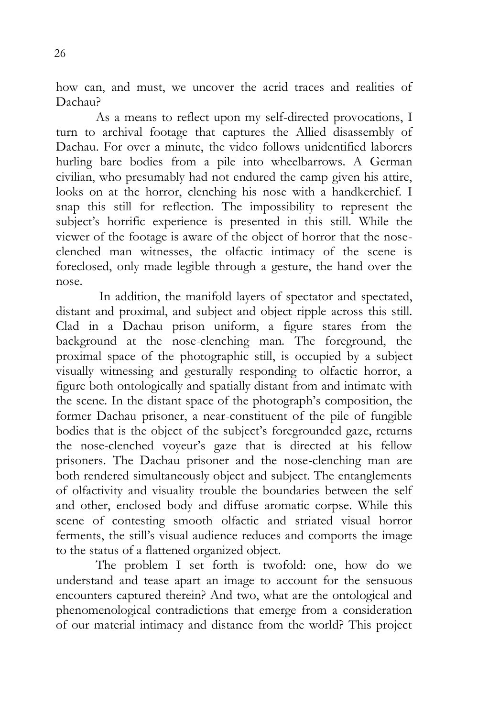how can, and must, we uncover the acrid traces and realities of Dachau?

As a means to reflect upon my self-directed provocations, I turn to archival footage that captures the Allied disassembly of Dachau. For over a minute, the video follows unidentified laborers hurling bare bodies from a pile into wheelbarrows. A German civilian, who presumably had not endured the camp given his attire, looks on at the horror, clenching his nose with a handkerchief. I snap this still for reflection. The impossibility to represent the subject's horrific experience is presented in this still. While the viewer of the footage is aware of the object of horror that the noseclenched man witnesses, the olfactic intimacy of the scene is foreclosed, only made legible through a gesture, the hand over the nose.

In addition, the manifold layers of spectator and spectated, distant and proximal, and subject and object ripple across this still. Clad in a Dachau prison uniform, a figure stares from the background at the nose-clenching man. The foreground, the proximal space of the photographic still, is occupied by a subject visually witnessing and gesturally responding to olfactic horror, a figure both ontologically and spatially distant from and intimate with the scene. In the distant space of the photograph's composition, the former Dachau prisoner, a near-constituent of the pile of fungible bodies that is the object of the subject's foregrounded gaze, returns the nose-clenched voyeur's gaze that is directed at his fellow prisoners. The Dachau prisoner and the nose-clenching man are both rendered simultaneously object and subject. The entanglements of olfactivity and visuality trouble the boundaries between the self and other, enclosed body and diffuse aromatic corpse. While this scene of contesting smooth olfactic and striated visual horror ferments, the still's visual audience reduces and comports the image to the status of a flattened organized object.

The problem I set forth is twofold: one, how do we understand and tease apart an image to account for the sensuous encounters captured therein? And two, what are the ontological and phenomenological contradictions that emerge from a consideration of our material intimacy and distance from the world? This project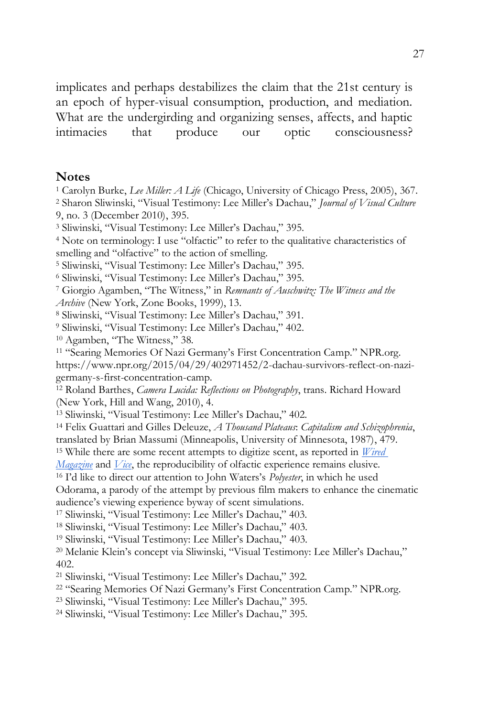implicates and perhaps destabilizes the claim that the 21st century is an epoch of hyper-visual consumption, production, and mediation. What are the undergirding and organizing senses, affects, and haptic intimacies that produce our optic consciousness?

#### **Notes**

Carolyn Burke, *Lee Miller: A Life* (Chicago, University of Chicago Press, 2005), 367.

 Sharon Sliwinski, "Visual Testimony: Lee Miller's Dachau," *Journal of Visual Culture*  9, no. 3 (December 2010), 395.

Sliwinski, "Visual Testimony: Lee Miller's Dachau," 395.

 Note on terminology: I use "olfactic" to refer to the qualitative characteristics of smelling and "olfactive" to the action of smelling.

Sliwinski, "Visual Testimony: Lee Miller's Dachau," 395.

Sliwinski, "Visual Testimony: Lee Miller's Dachau," 395.

 Giorgio Agamben, "The Witness," in *Remnants of Auschwitz: The Witness and the Archive* (New York, Zone Books, 1999), 13.

Sliwinski, "Visual Testimony: Lee Miller's Dachau," 391.

Sliwinski, "Visual Testimony: Lee Miller's Dachau," 402.

Agamben, "The Witness," 38.

 "Searing Memories Of Nazi Germany's First Concentration Camp." NPR.org. https://www.npr.org/2015/04/29/402971452/2-dachau-survivors-reflect-on-nazigermany-s-first-concentration-camp.

 Roland Barthes, *Camera Lucida: Reflections on Photography*, trans. Richard Howard (New York, Hill and Wang, 2010), 4.

Sliwinski, "Visual Testimony: Lee Miller's Dachau," 402.

 Felix Guattari and Gilles Deleuze, *A Thousand Plateaus*: *Capitalism and Schizophrenia*, translated by Brian Massumi (Minneapolis, University of Minnesota, 1987), 479.

While there are some recent attempts to digitize scent, as reported in *[Wired](https://www.wired.com/1999/11/digiscent/)* 

*[Magazine](https://www.wired.com/1999/11/digiscent/)* and *[Vice](https://motherboard.vice.com/en_us/article/xyggad/cyrano-digital-scent-gadget)*, the reproducibility of olfactic experience remains elusive.

I'd like to direct our attention to John Waters's *Polyester*, in which he used

Odorama, a parody of the attempt by previous film makers to enhance the cinematic audience's viewing experience byway of scent simulations.

Sliwinski, "Visual Testimony: Lee Miller's Dachau," 403.

Sliwinski, "Visual Testimony: Lee Miller's Dachau," 403.

Sliwinski, "Visual Testimony: Lee Miller's Dachau," 403.

 Melanie Klein's concept via Sliwinski, "Visual Testimony: Lee Miller's Dachau," 402.

Sliwinski, "Visual Testimony: Lee Miller's Dachau," 392.

"Searing Memories Of Nazi Germany's First Concentration Camp." NPR.org.

Sliwinski, "Visual Testimony: Lee Miller's Dachau," 395.

Sliwinski, "Visual Testimony: Lee Miller's Dachau," 395.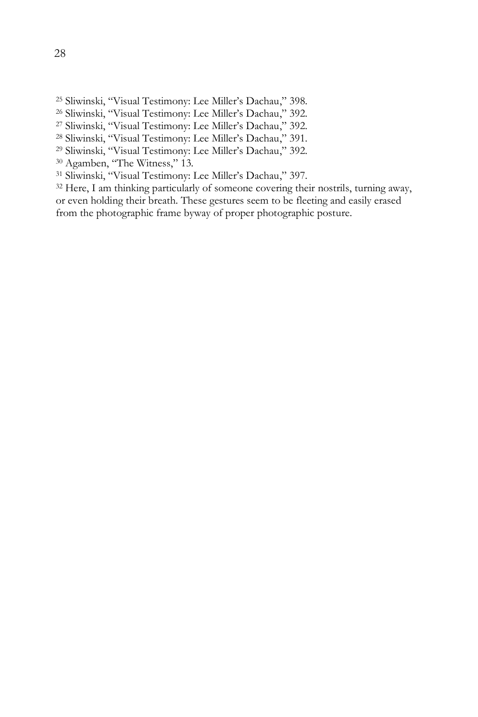- Sliwinski, "Visual Testimony: Lee Miller's Dachau," 398.
- Sliwinski, "Visual Testimony: Lee Miller's Dachau," 392.
- Sliwinski, "Visual Testimony: Lee Miller's Dachau," 392.
- Sliwinski, "Visual Testimony: Lee Miller's Dachau," 391.
- Sliwinski, "Visual Testimony: Lee Miller's Dachau," 392.
- Agamben, "The Witness," 13.
- Sliwinski, "Visual Testimony: Lee Miller's Dachau," 397.

<sup>32</sup> Here, I am thinking particularly of someone covering their nostrils, turning away, or even holding their breath. These gestures seem to be fleeting and easily erased from the photographic frame byway of proper photographic posture.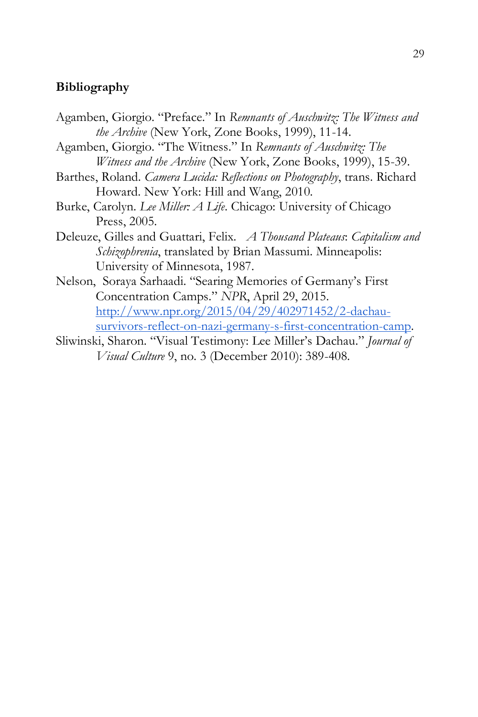## **Bibliography**

- Agamben, Giorgio. "Preface." In *Remnants of Auschwitz: The Witness and the Archive* (New York, Zone Books, 1999), 11-14.
- Agamben, Giorgio. "The Witness." In *Remnants of Auschwitz: The Witness and the Archive* (New York, Zone Books, 1999), 15-39.
- Barthes, Roland. *Camera Lucida: Reflections on Photography*, trans. Richard Howard. New York: Hill and Wang, 2010.
- Burke, Carolyn. *Lee Miller: A Life*. Chicago: University of Chicago Press, 2005.
- Deleuze, Gilles and Guattari, Felix. *A Thousand Plateaus*: *Capitalism and Schizophrenia*, translated by Brian Massumi. Minneapolis: University of Minnesota, 1987.
- Nelson, Soraya Sarhaadi. "Searing Memories of Germany's First Concentration Camps." *NPR*, April 29, 2015. [http://www.npr.org/2015/04/29/402971452/2-dachau](http://www.npr.org/2015/04/29/402971452/2-dachau-survivors-reflect-on-nazi-germany-s-first-concentration-camp)[survivors-reflect-on-nazi-germany-s-first-concentration-camp.](http://www.npr.org/2015/04/29/402971452/2-dachau-survivors-reflect-on-nazi-germany-s-first-concentration-camp)
- Sliwinski, Sharon. "Visual Testimony: Lee Miller's Dachau." *Journal of Visual Culture* 9, no. 3 (December 2010): 389-408.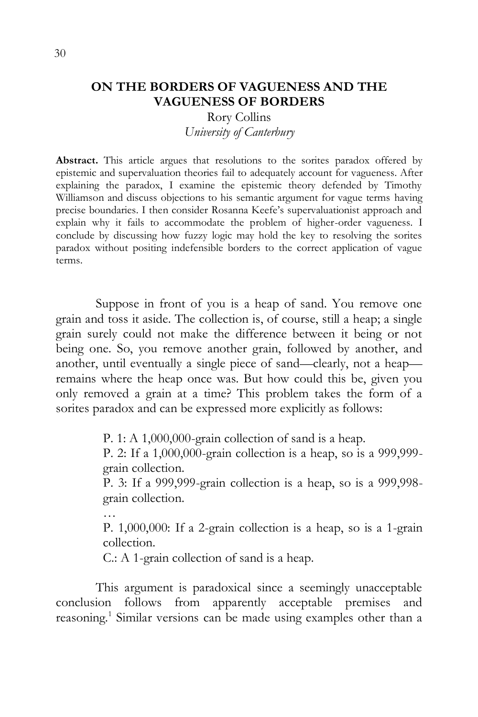## **ON THE BORDERS OF VAGUENESS AND THE VAGUENESS OF BORDERS**

## Rory Collins *University of Canterbury*

**Abstract.** This article argues that resolutions to the sorites paradox offered by epistemic and supervaluation theories fail to adequately account for vagueness. After explaining the paradox, I examine the epistemic theory defended by Timothy Williamson and discuss objections to his semantic argument for vague terms having precise boundaries. I then consider Rosanna Keefe's supervaluationist approach and explain why it fails to accommodate the problem of higher-order vagueness. I conclude by discussing how fuzzy logic may hold the key to resolving the sorites paradox without positing indefensible borders to the correct application of vague terms.

Suppose in front of you is a heap of sand. You remove one grain and toss it aside. The collection is, of course, still a heap; a single grain surely could not make the difference between it being or not being one. So, you remove another grain, followed by another, and another, until eventually a single piece of sand—clearly, not a heap remains where the heap once was. But how could this be, given you only removed a grain at a time? This problem takes the form of a sorites paradox and can be expressed more explicitly as follows:

P. 1: A 1,000,000-grain collection of sand is a heap.

P. 2: If a 1,000,000-grain collection is a heap, so is a 999,999 grain collection.

P. 3: If a 999,999-grain collection is a heap, so is a 999,998 grain collection.

…

P. 1,000,000: If a 2-grain collection is a heap, so is a 1-grain collection.

C.: A 1-grain collection of sand is a heap.

This argument is paradoxical since a seemingly unacceptable conclusion follows from apparently acceptable premises and reasoning.<sup>1</sup> Similar versions can be made using examples other than a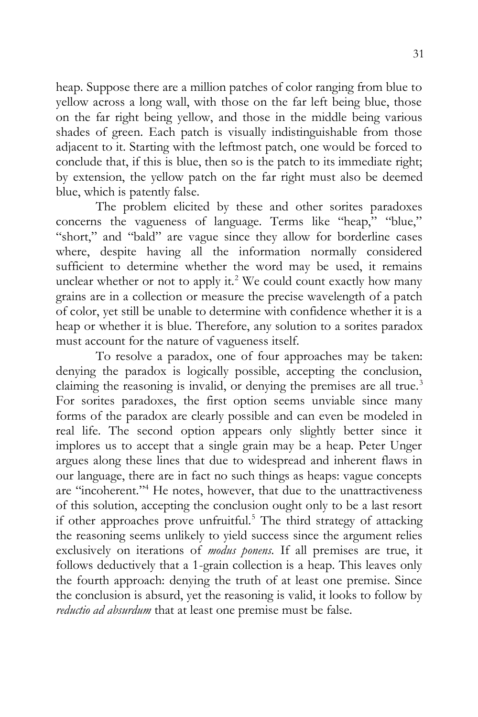heap. Suppose there are a million patches of color ranging from blue to yellow across a long wall, with those on the far left being blue, those on the far right being yellow, and those in the middle being various shades of green. Each patch is visually indistinguishable from those adjacent to it. Starting with the leftmost patch, one would be forced to conclude that, if this is blue, then so is the patch to its immediate right; by extension, the yellow patch on the far right must also be deemed blue, which is patently false.

The problem elicited by these and other sorites paradoxes concerns the vagueness of language. Terms like "heap," "blue," "short," and "bald" are vague since they allow for borderline cases where, despite having all the information normally considered sufficient to determine whether the word may be used, it remains unclear whether or not to apply it.<sup>2</sup> We could count exactly how many grains are in a collection or measure the precise wavelength of a patch of color, yet still be unable to determine with confidence whether it is a heap or whether it is blue. Therefore, any solution to a sorites paradox must account for the nature of vagueness itself.

To resolve a paradox, one of four approaches may be taken: denying the paradox is logically possible, accepting the conclusion, claiming the reasoning is invalid, or denying the premises are all true.<sup>3</sup> For sorites paradoxes, the first option seems unviable since many forms of the paradox are clearly possible and can even be modeled in real life. The second option appears only slightly better since it implores us to accept that a single grain may be a heap. Peter Unger argues along these lines that due to widespread and inherent flaws in our language, there are in fact no such things as heaps: vague concepts are "incoherent."<sup>4</sup> He notes, however, that due to the unattractiveness of this solution, accepting the conclusion ought only to be a last resort if other approaches prove unfruitful.<sup>5</sup> The third strategy of attacking the reasoning seems unlikely to yield success since the argument relies exclusively on iterations of *modus ponens*. If all premises are true, it follows deductively that a 1-grain collection is a heap. This leaves only the fourth approach: denying the truth of at least one premise. Since the conclusion is absurd, yet the reasoning is valid, it looks to follow by *reductio ad absurdum* that at least one premise must be false.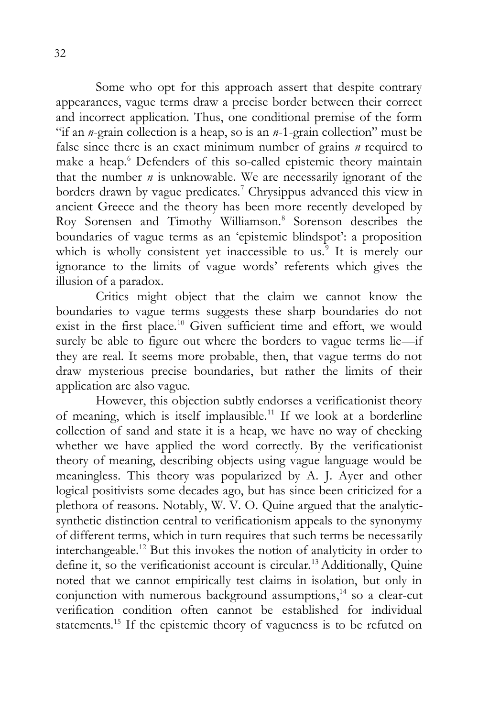Some who opt for this approach assert that despite contrary appearances, vague terms draw a precise border between their correct and incorrect application. Thus, one conditional premise of the form "if an *n*-grain collection is a heap, so is an *n*-1-grain collection" must be false since there is an exact minimum number of grains *n* required to make a heap.<sup>6</sup> Defenders of this so-called epistemic theory maintain that the number *n* is unknowable. We are necessarily ignorant of the borders drawn by vague predicates.<sup>7</sup> Chrysippus advanced this view in ancient Greece and the theory has been more recently developed by Roy Sorensen and Timothy Williamson.<sup>8</sup> Sorenson describes the boundaries of vague terms as an 'epistemic blindspot': a proposition which is wholly consistent yet inaccessible to us.<sup>9</sup> It is merely our ignorance to the limits of vague words' referents which gives the illusion of a paradox.

Critics might object that the claim we cannot know the boundaries to vague terms suggests these sharp boundaries do not exist in the first place.<sup>10</sup> Given sufficient time and effort, we would surely be able to figure out where the borders to vague terms lie-if they are real. It seems more probable, then, that vague terms do not draw mysterious precise boundaries, but rather the limits of their application are also vague.

However, this objection subtly endorses a verificationist theory of meaning, which is itself implausible.<sup>11</sup> If we look at a borderline collection of sand and state it is a heap, we have no way of checking whether we have applied the word correctly. By the verificationist theory of meaning, describing objects using vague language would be meaningless. This theory was popularized by A. J. Ayer and other logical positivists some decades ago, but has since been criticized for a plethora of reasons. Notably, W. V. O. Quine argued that the analyticsynthetic distinction central to verificationism appeals to the synonymy of different terms, which in turn requires that such terms be necessarily interchangeable.<sup>12</sup> But this invokes the notion of analyticity in order to define it, so the verificationist account is circular.<sup>13</sup> Additionally, Quine noted that we cannot empirically test claims in isolation, but only in conjunction with numerous background assumptions, <sup>14</sup> so a clear-cut verification condition often cannot be established for individual statements.<sup>15</sup> If the epistemic theory of vagueness is to be refuted on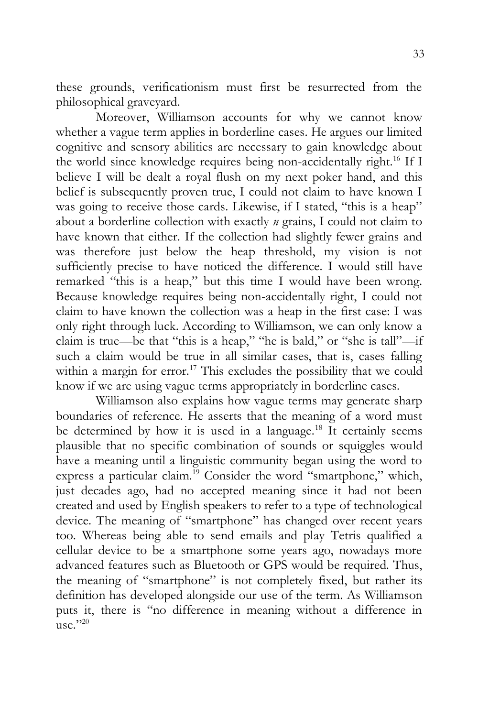these grounds, verificationism must first be resurrected from the philosophical graveyard.

Moreover, Williamson accounts for why we cannot know whether a vague term applies in borderline cases. He argues our limited cognitive and sensory abilities are necessary to gain knowledge about the world since knowledge requires being non-accidentally right.<sup>16</sup> If I believe I will be dealt a royal flush on my next poker hand, and this belief is subsequently proven true, I could not claim to have known I was going to receive those cards. Likewise, if I stated, "this is a heap" about a borderline collection with exactly *n* grains, I could not claim to have known that either. If the collection had slightly fewer grains and was therefore just below the heap threshold, my vision is not sufficiently precise to have noticed the difference. I would still have remarked "this is a heap," but this time I would have been wrong. Because knowledge requires being non-accidentally right, I could not claim to have known the collection was a heap in the first case: I was only right through luck. According to Williamson, we can only know a claim is true—be that "this is a heap," "he is bald," or "she is tall"—if such a claim would be true in all similar cases, that is, cases falling within a margin for  $error.^{17}$  This excludes the possibility that we could know if we are using vague terms appropriately in borderline cases.

Williamson also explains how vague terms may generate sharp boundaries of reference. He asserts that the meaning of a word must be determined by how it is used in a language.<sup>18</sup> It certainly seems plausible that no specific combination of sounds or squiggles would have a meaning until a linguistic community began using the word to express a particular claim.<sup>19</sup> Consider the word "smartphone," which, just decades ago, had no accepted meaning since it had not been created and used by English speakers to refer to a type of technological device. The meaning of "smartphone" has changed over recent years too. Whereas being able to send emails and play Tetris qualified a cellular device to be a smartphone some years ago, nowadays more advanced features such as Bluetooth or GPS would be required. Thus, the meaning of "smartphone" is not completely fixed, but rather its definition has developed alongside our use of the term. As Williamson puts it, there is "no difference in meaning without a difference in use."20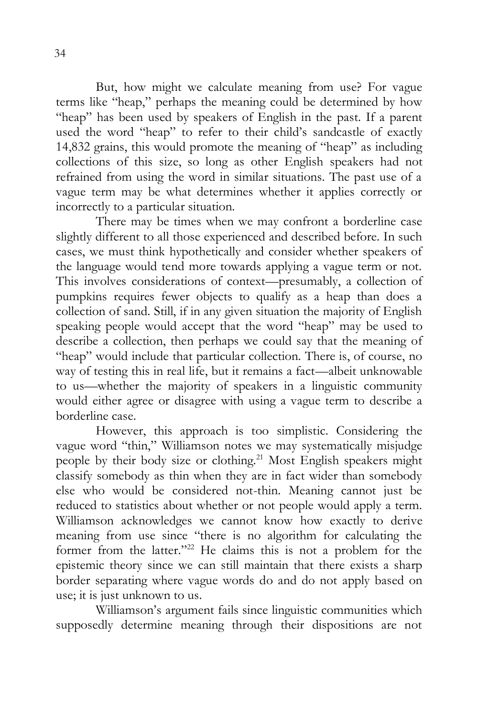But, how might we calculate meaning from use? For vague terms like "heap," perhaps the meaning could be determined by how "heap" has been used by speakers of English in the past. If a parent used the word "heap" to refer to their child's sandcastle of exactly 14,832 grains, this would promote the meaning of "heap" as including collections of this size, so long as other English speakers had not refrained from using the word in similar situations. The past use of a vague term may be what determines whether it applies correctly or incorrectly to a particular situation.

There may be times when we may confront a borderline case slightly different to all those experienced and described before. In such cases, we must think hypothetically and consider whether speakers of the language would tend more towards applying a vague term or not. This involves considerations of context—presumably, a collection of pumpkins requires fewer objects to qualify as a heap than does a collection of sand. Still, if in any given situation the majority of English speaking people would accept that the word "heap" may be used to describe a collection, then perhaps we could say that the meaning of "heap" would include that particular collection. There is, of course, no way of testing this in real life, but it remains a fact—albeit unknowable to us—whether the majority of speakers in a linguistic community would either agree or disagree with using a vague term to describe a borderline case.

However, this approach is too simplistic. Considering the vague word "thin," Williamson notes we may systematically misjudge people by their body size or clothing.<sup>21</sup> Most English speakers might classify somebody as thin when they are in fact wider than somebody else who would be considered not-thin. Meaning cannot just be reduced to statistics about whether or not people would apply a term. Williamson acknowledges we cannot know how exactly to derive meaning from use since "there is no algorithm for calculating the former from the latter."<sup>22</sup> He claims this is not a problem for the epistemic theory since we can still maintain that there exists a sharp border separating where vague words do and do not apply based on use; it is just unknown to us.

Williamson's argument fails since linguistic communities which supposedly determine meaning through their dispositions are not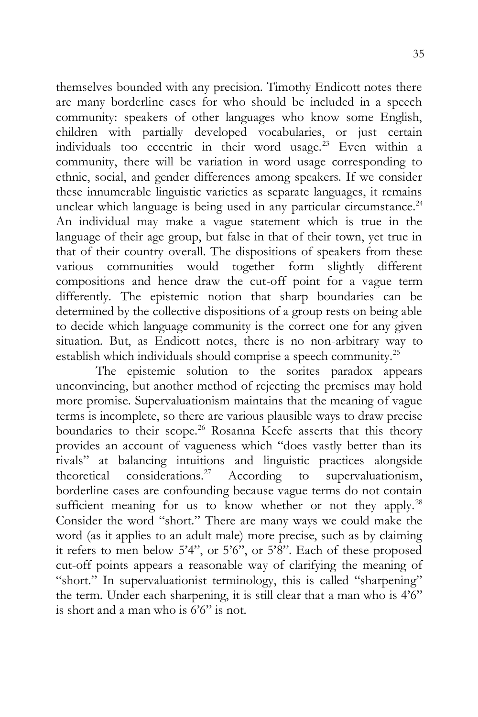themselves bounded with any precision. Timothy Endicott notes there are many borderline cases for who should be included in a speech community: speakers of other languages who know some English, children with partially developed vocabularies, or just certain individuals too eccentric in their word usage.<sup>23</sup> Even within a community, there will be variation in word usage corresponding to ethnic, social, and gender differences among speakers. If we consider these innumerable linguistic varieties as separate languages, it remains unclear which language is being used in any particular circumstance.<sup>24</sup> An individual may make a vague statement which is true in the language of their age group, but false in that of their town, yet true in that of their country overall. The dispositions of speakers from these various communities would together form slightly different compositions and hence draw the cut-off point for a vague term differently. The epistemic notion that sharp boundaries can be determined by the collective dispositions of a group rests on being able to decide which language community is the correct one for any given situation. But, as Endicott notes, there is no non-arbitrary way to establish which individuals should comprise a speech community.<sup>25</sup>

The epistemic solution to the sorites paradox appears unconvincing, but another method of rejecting the premises may hold more promise. Supervaluationism maintains that the meaning of vague terms is incomplete, so there are various plausible ways to draw precise boundaries to their scope.<sup>26</sup> Rosanna Keefe asserts that this theory provides an account of vagueness which "does vastly better than its rivals" at balancing intuitions and linguistic practices alongside theoretical considerations.<sup>27</sup> According to supervaluationism, borderline cases are confounding because vague terms do not contain sufficient meaning for us to know whether or not they apply.<sup>28</sup> Consider the word "short." There are many ways we could make the word (as it applies to an adult male) more precise, such as by claiming it refers to men below 5'4", or 5'6", or 5'8". Each of these proposed cut-off points appears a reasonable way of clarifying the meaning of "short." In supervaluationist terminology, this is called "sharpening" the term. Under each sharpening, it is still clear that a man who is 4'6" is short and a man who is 6'6" is not.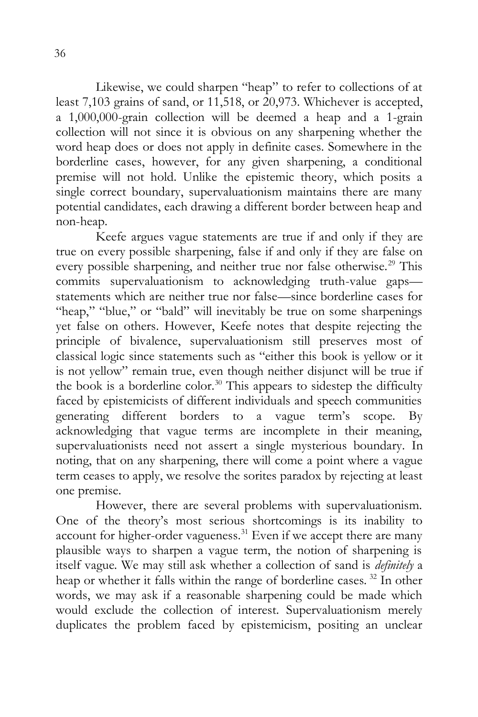Likewise, we could sharpen "heap" to refer to collections of at least 7,103 grains of sand, or 11,518, or 20,973. Whichever is accepted, a 1,000,000-grain collection will be deemed a heap and a 1-grain collection will not since it is obvious on any sharpening whether the word heap does or does not apply in definite cases. Somewhere in the borderline cases, however, for any given sharpening, a conditional premise will not hold. Unlike the epistemic theory, which posits a single correct boundary, supervaluationism maintains there are many potential candidates, each drawing a different border between heap and non-heap.

Keefe argues vague statements are true if and only if they are true on every possible sharpening, false if and only if they are false on every possible sharpening, and neither true nor false otherwise.<sup>29</sup> This commits supervaluationism to acknowledging truth-value gaps statements which are neither true nor false—since borderline cases for "heap," "blue," or "bald" will inevitably be true on some sharpenings yet false on others. However, Keefe notes that despite rejecting the principle of bivalence, supervaluationism still preserves most of classical logic since statements such as "either this book is yellow or it is not yellow" remain true, even though neither disjunct will be true if the book is a borderline color.<sup>30</sup> This appears to sidestep the difficulty faced by epistemicists of different individuals and speech communities generating different borders to a vague term's scope. By acknowledging that vague terms are incomplete in their meaning, supervaluationists need not assert a single mysterious boundary. In noting, that on any sharpening, there will come a point where a vague term ceases to apply, we resolve the sorites paradox by rejecting at least one premise.

However, there are several problems with supervaluationism. One of the theory's most serious shortcomings is its inability to account for higher-order vagueness.<sup>31</sup> Even if we accept there are many plausible ways to sharpen a vague term, the notion of sharpening is itself vague. We may still ask whether a collection of sand is *definitely* a heap or whether it falls within the range of borderline cases.<sup>32</sup> In other words, we may ask if a reasonable sharpening could be made which would exclude the collection of interest. Supervaluationism merely duplicates the problem faced by epistemicism, positing an unclear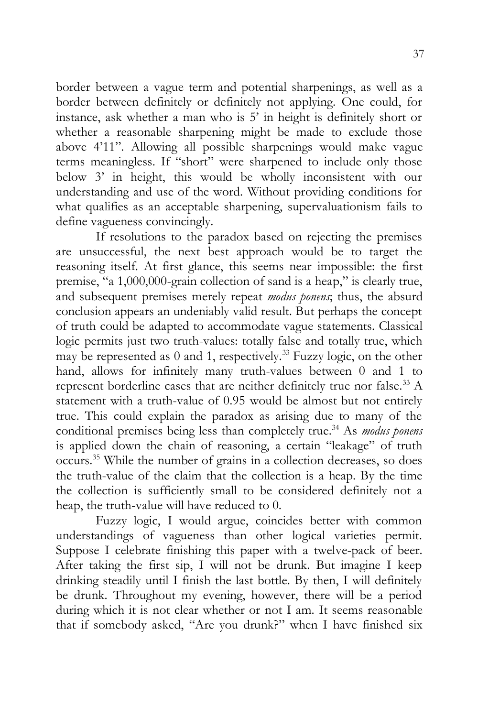border between a vague term and potential sharpenings, as well as a border between definitely or definitely not applying. One could, for instance, ask whether a man who is 5' in height is definitely short or whether a reasonable sharpening might be made to exclude those above 4'11". Allowing all possible sharpenings would make vague terms meaningless. If "short" were sharpened to include only those below 3' in height, this would be wholly inconsistent with our understanding and use of the word. Without providing conditions for what qualifies as an acceptable sharpening, supervaluationism fails to define vagueness convincingly.

If resolutions to the paradox based on rejecting the premises are unsuccessful, the next best approach would be to target the reasoning itself. At first glance, this seems near impossible: the first premise, "a 1,000,000-grain collection of sand is a heap," is clearly true, and subsequent premises merely repeat *modus ponens*; thus, the absurd conclusion appears an undeniably valid result. But perhaps the concept of truth could be adapted to accommodate vague statements. Classical logic permits just two truth-values: totally false and totally true, which may be represented as  $0$  and  $1$ , respectively.<sup>33</sup> Fuzzy logic, on the other hand, allows for infinitely many truth-values between 0 and 1 to represent borderline cases that are neither definitely true nor false.<sup>33</sup> A statement with a truth-value of 0.95 would be almost but not entirely true. This could explain the paradox as arising due to many of the conditional premises being less than completely true.<sup>34</sup> As *modus ponens* is applied down the chain of reasoning, a certain "leakage" of truth occurs.<sup>35</sup> While the number of grains in a collection decreases, so does the truth-value of the claim that the collection is a heap. By the time the collection is sufficiently small to be considered definitely not a heap, the truth-value will have reduced to 0.

Fuzzy logic, I would argue, coincides better with common understandings of vagueness than other logical varieties permit. Suppose I celebrate finishing this paper with a twelve-pack of beer. After taking the first sip, I will not be drunk. But imagine I keep drinking steadily until I finish the last bottle. By then, I will definitely be drunk. Throughout my evening, however, there will be a period during which it is not clear whether or not I am. It seems reasonable that if somebody asked, "Are you drunk?" when I have finished six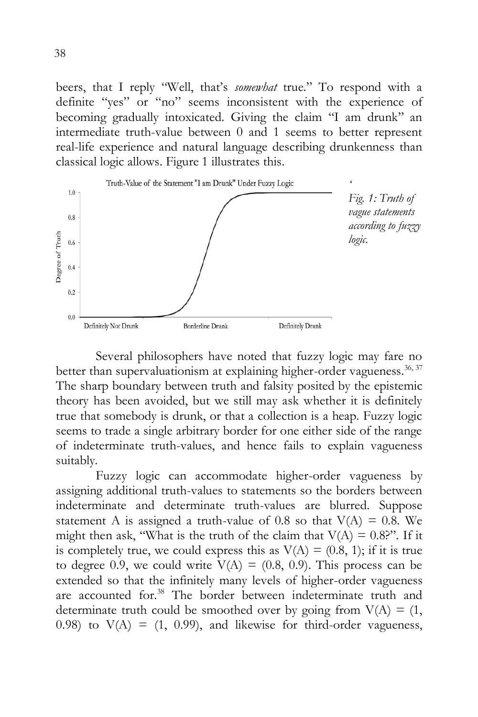beers, that I reply "Well, that's *somewhat* true." To respond with a definite "yes" or "no" seems inconsistent with the experience of becoming gradually intoxicated. Giving the claim "I am drunk" an intermediate truth-value between 0 and 1 seems to better represent real-life experience and natural language describing drunkenness than classical logic allows. Figure 1 illustrates this.



Several philosophers have noted that fuzzy logic may fare no better than supervaluationism at explaining higher-order vagueness.  $36, 37$ The sharp boundary between truth and falsity posited by the epistemic theory has been avoided, but we still may ask whether it is definitely true that somebody is drunk, or that a collection is a heap. Fuzzy logic seems to trade a single arbitrary border for one either side of the range of indeterminate truth-values, and hence fails to explain vagueness suitably.

Fuzzy logic can accommodate higher-order vagueness by assigning additional truth-values to statements so the borders between indeterminate and determinate truth-values are blurred. Suppose statement A is assigned a truth-value of 0.8 so that  $V(A) = 0.8$ . We might then ask, "What is the truth of the claim that  $V(A) = 0.8$ ?". If it is completely true, we could express this as  $V(A) = (0.8, 1)$ ; if it is true to degree 0.9, we could write  $V(A) = (0.8, 0.9)$ . This process can be extended so that the infinitely many levels of higher-order vagueness are accounted for.<sup>38</sup> The border between indeterminate truth and determinate truth could be smoothed over by going from  $V(A) = (1, 1)$ 0.98) to  $V(A) = (1, 0.99)$ , and likewise for third-order vagueness,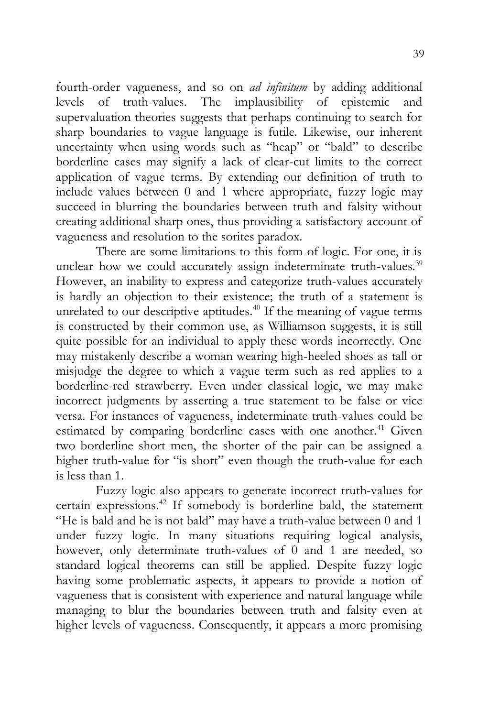fourth-order vagueness, and so on *ad infinitum* by adding additional levels of truth-values. The implausibility of epistemic and supervaluation theories suggests that perhaps continuing to search for sharp boundaries to vague language is futile. Likewise, our inherent uncertainty when using words such as "heap" or "bald" to describe borderline cases may signify a lack of clear-cut limits to the correct application of vague terms. By extending our definition of truth to include values between 0 and 1 where appropriate, fuzzy logic may succeed in blurring the boundaries between truth and falsity without creating additional sharp ones, thus providing a satisfactory account of vagueness and resolution to the sorites paradox.

There are some limitations to this form of logic. For one, it is unclear how we could accurately assign indeterminate truth-values.<sup>39</sup> However, an inability to express and categorize truth-values accurately is hardly an objection to their existence; the truth of a statement is unrelated to our descriptive aptitudes. $40$  If the meaning of vague terms is constructed by their common use, as Williamson suggests, it is still quite possible for an individual to apply these words incorrectly. One may mistakenly describe a woman wearing high-heeled shoes as tall or misjudge the degree to which a vague term such as red applies to a borderline-red strawberry. Even under classical logic, we may make incorrect judgments by asserting a true statement to be false or vice versa. For instances of vagueness, indeterminate truth-values could be estimated by comparing borderline cases with one another.<sup>41</sup> Given two borderline short men, the shorter of the pair can be assigned a higher truth-value for "is short" even though the truth-value for each is less than 1.

Fuzzy logic also appears to generate incorrect truth-values for certain expressions.<sup>42</sup> If somebody is borderline bald, the statement "He is bald and he is not bald" may have a truth-value between 0 and 1 under fuzzy logic. In many situations requiring logical analysis, however, only determinate truth-values of 0 and 1 are needed, so standard logical theorems can still be applied. Despite fuzzy logic having some problematic aspects, it appears to provide a notion of vagueness that is consistent with experience and natural language while managing to blur the boundaries between truth and falsity even at higher levels of vagueness. Consequently, it appears a more promising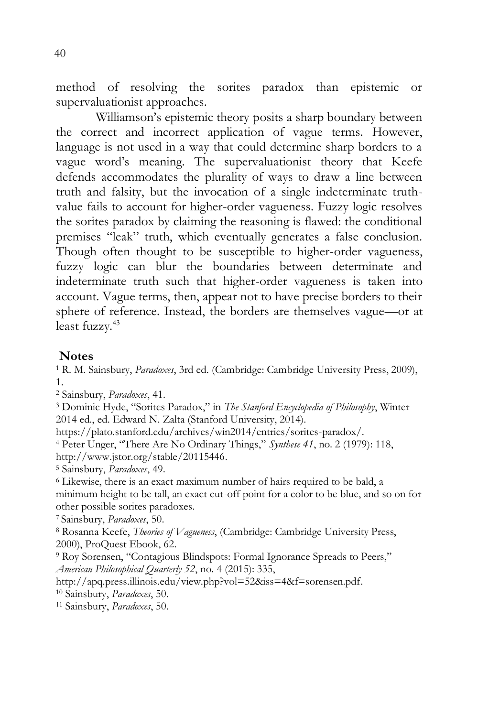method of resolving the sorites paradox than epistemic or supervaluationist approaches.

Williamson's epistemic theory posits a sharp boundary between the correct and incorrect application of vague terms. However, language is not used in a way that could determine sharp borders to a vague word's meaning. The supervaluationist theory that Keefe defends accommodates the plurality of ways to draw a line between truth and falsity, but the invocation of a single indeterminate truthvalue fails to account for higher-order vagueness. Fuzzy logic resolves the sorites paradox by claiming the reasoning is flawed: the conditional premises "leak" truth, which eventually generates a false conclusion. Though often thought to be susceptible to higher-order vagueness, fuzzy logic can blur the boundaries between determinate and indeterminate truth such that higher-order vagueness is taken into account. Vague terms, then, appear not to have precise borders to their sphere of reference. Instead, the borders are themselves vague—or at least fuzzy.<sup>43</sup>

#### **Notes**

<sup>1</sup> R. M. Sainsbury, *Paradoxes*, 3rd ed. (Cambridge: Cambridge University Press, 2009), 1.

<sup>2</sup> Sainsbury, *Paradoxes*, 41.

<sup>3</sup> Dominic Hyde, "Sorites Paradox," in *The Stanford Encyclopedia of Philosophy*, Winter 2014 ed., ed. Edward N. Zalta (Stanford University, 2014).

https://plato.stanford.edu/archives/win2014/entries/sorites-paradox/.

<sup>4</sup> Peter Unger, "There Are No Ordinary Things," *Synthese 41*, no. 2 (1979): 118, [http://www.jstor.org/stable/20115446.](http://www.jstor.org/stable/20115446)

<sup>5</sup> Sainsbury, *Paradoxes*, 49.

<sup>6</sup> Likewise, there is an exact maximum number of hairs required to be bald, a minimum height to be tall, an exact cut-off point for a color to be blue, and so on for other possible sorites paradoxes.

<sup>7</sup>Sainsbury, *Paradoxes*, 50.

<sup>8</sup> Rosanna Keefe, *Theories of Vagueness*, (Cambridge: Cambridge University Press, 2000), ProQuest Ebook, 62.

<sup>9</sup> Roy Sorensen, "Contagious Blindspots: Formal Ignorance Spreads to Peers," *American Philosophical Quarterly 52*, no. 4 (2015): 335,

[http://apq.press.illinois.edu/view.php?vol=52&iss=4&f=sorensen.pdf.](http://apq.press.illinois.edu/view.php?vol=52&iss=4&f=sorensen.pdf)

<sup>10</sup> Sainsbury, *Paradoxes*, 50.

<sup>11</sup> Sainsbury, *Paradoxes*, 50.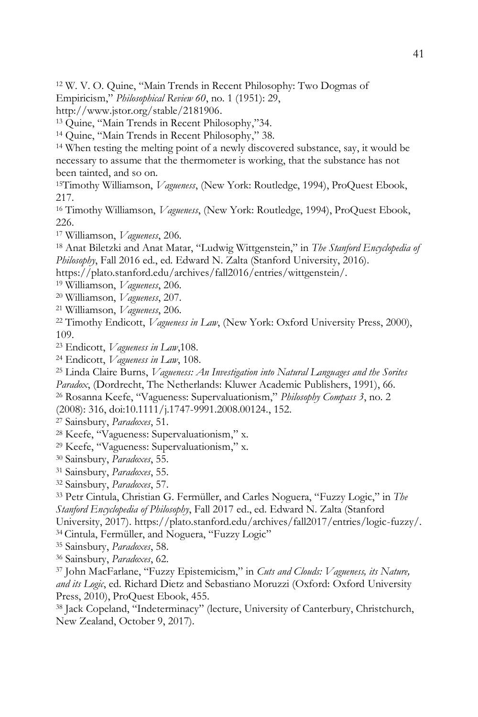W. V. O. Quine, "Main Trends in Recent Philosophy: Two Dogmas of Empiricism," *Philosophical Review 60*, no. 1 (1951): 29,

[http://www.jstor.org/stable/2181906.](http://www.jstor.org/stable/2181906)

Quine, "Main Trends in Recent Philosophy,"34.

Quine, "Main Trends in Recent Philosophy," 38.

 When testing the melting point of a newly discovered substance, say, it would be necessary to assume that the thermometer is working, that the substance has not been tainted, and so on.

Timothy Williamson, *Vagueness*, (New York: Routledge, 1994), ProQuest Ebook, 217.

 Timothy Williamson, *Vagueness*, (New York: Routledge, 1994), ProQuest Ebook, 226.

Williamson, *Vagueness*, 206.

 Anat Biletzki and Anat Matar, "Ludwig Wittgenstein," in *The Stanford Encyclopedia of Philosophy*, Fall 2016 ed., ed. Edward N. Zalta (Stanford University, 2016).

https://plato.stanford.edu/archives/fall2016/entries/wittgenstein/.

Williamson, *Vagueness*, 206.

Williamson, *Vagueness*, 207.

Williamson, *Vagueness*, 206.

 Timothy Endicott, *Vagueness in Law*, (New York: Oxford University Press, 2000), 109.

Endicott, *Vagueness in Law*,108.

Endicott, *Vagueness in Law*, 108.

 Linda Claire Burns, *Vagueness: An Investigation into Natural Languages and the Sorites Paradox*, (Dordrecht, The Netherlands: Kluwer Academic Publishers, 1991), 66.

Rosanna Keefe, "Vagueness: Supervaluationism," *Philosophy Compass 3*, no. 2

(2008): 316, doi:10.1111/j.1747-9991.2008.00124., 152.

Sainsbury, *Paradoxes*, 51.

Keefe, "Vagueness: Supervaluationism," x.

Keefe, "Vagueness: Supervaluationism," x.

Sainsbury, *Paradoxes*, 55.

Sainsbury, *Paradoxes*, 55.

Sainsbury, *Paradoxes*, 57.

 Petr Cintula, Christian G. Fermüller, and Carles Noguera, "Fuzzy Logic," in *The Stanford Encyclopedia of Philosophy*, Fall 2017 ed., ed. Edward N. Zalta (Stanford University, 2017). https://plato.stanford.edu/archives/fall2017/entries/logic-fuzzy/.

Cintula, Fermüller, and Noguera, "Fuzzy Logic"

Sainsbury, *Paradoxes*, 58.

Sainsbury, *Paradoxes*, 62.

 John MacFarlane, "Fuzzy Epistemicism," in *Cuts and Clouds: Vagueness, its Nature, and its Logic*, ed. Richard Dietz and Sebastiano Moruzzi (Oxford: Oxford University Press, 2010), ProQuest Ebook, 455.

 Jack Copeland, "Indeterminacy" (lecture, University of Canterbury, Christchurch, New Zealand, October 9, 2017).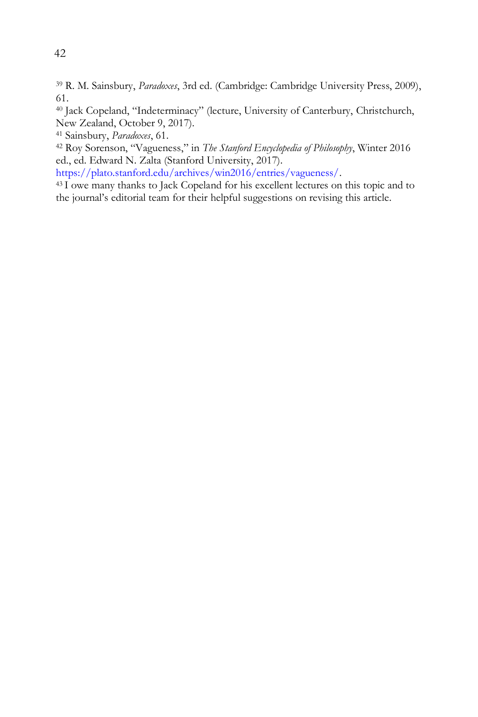<sup>39</sup> R. M. Sainsbury, *Paradoxes*, 3rd ed. (Cambridge: Cambridge University Press, 2009), 61.

<sup>40</sup> Jack Copeland, "Indeterminacy" (lecture, University of Canterbury, Christchurch, New Zealand, October 9, 2017).

<sup>41</sup> Sainsbury, *Paradoxes*, 61.

<sup>42</sup> Roy Sorenson, "Vagueness," in *The Stanford Encyclopedia of Philosophy*, Winter 2016 ed., ed. Edward N. Zalta (Stanford University, 2017).

[https://plato.stanford.edu/archives/win2016/entries/vagueness/.](https://plato.stanford.edu/archives/win2016/entries/vagueness/)

<sup>43</sup>I owe many thanks to Jack Copeland for his excellent lectures on this topic and to the journal's editorial team for their helpful suggestions on revising this article.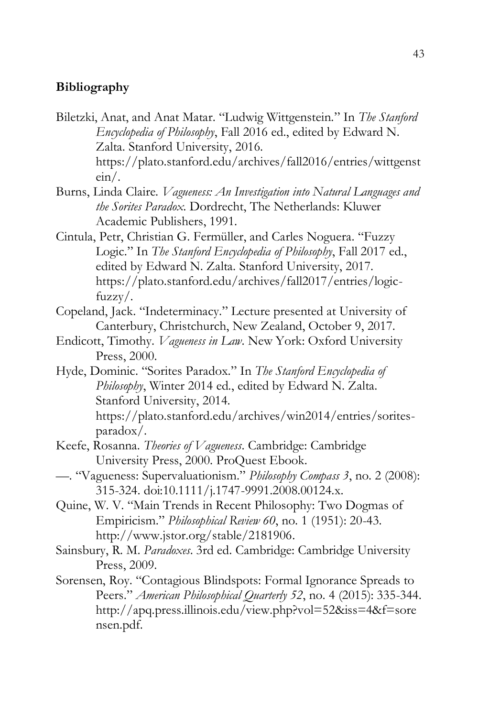## **Bibliography**

Biletzki, Anat, and Anat Matar. "Ludwig Wittgenstein." In *The Stanford Encyclopedia of Philosophy*, Fall 2016 ed., edited by Edward N. Zalta. Stanford University, 2016. https://plato.stanford.edu/archives/fall2016/entries/wittgenst ein/.

Burns, Linda Claire. *Vagueness: An Investigation into Natural Languages and the Sorites Paradox*. Dordrecht, The Netherlands: Kluwer Academic Publishers, 1991.

Cintula, Petr, Christian G. Fermüller, and Carles Noguera. "Fuzzy Logic." In *The Stanford Encyclopedia of Philosophy*, Fall 2017 ed., edited by Edward N. Zalta. Stanford University, 2017. [https://plato.stanford.edu/archives/fall2017/entries/logic](https://plato.stanford.edu/archives/fall2017/entries/logic-fuzzy)[fuzzy/](https://plato.stanford.edu/archives/fall2017/entries/logic-fuzzy).

Copeland, Jack. "Indeterminacy." Lecture presented at University of Canterbury, Christchurch, New Zealand, October 9, 2017.

- Endicott, Timothy. *Vagueness in Law*. New York: Oxford University Press, 2000.
- Hyde, Dominic. "Sorites Paradox." In *The Stanford Encyclopedia of Philosophy*, Winter 2014 ed., edited by Edward N. Zalta. Stanford University, 2014. [https://plato.stanford.edu/archives/win2014/entries/sorites](https://plato.stanford.edu/archives/win2014/entries/sorites-paradox/)[paradox/.](https://plato.stanford.edu/archives/win2014/entries/sorites-paradox/)
- Keefe, Rosanna. *Theories of Vagueness*. Cambridge: Cambridge University Press, 2000. ProQuest Ebook.
- —. "Vagueness: Supervaluationism." *Philosophy Compass 3*, no. 2 (2008): 315-324. doi:10.1111/j.1747-9991.2008.00124.x.
- Quine, W. V. "Main Trends in Recent Philosophy: Two Dogmas of Empiricism." *Philosophical Review 60*, no. 1 (1951): 20-43. [http://www.jstor.org/stable/2181906.](http://www.jstor.org/stable/2181906)
- Sainsbury, R. M. *Paradoxes*. 3rd ed. Cambridge: Cambridge University Press, 2009.

Sorensen, Roy. "Contagious Blindspots: Formal Ignorance Spreads to Peers." *American Philosophical Quarterly 52*, no. 4 (2015): 335-344. [http://apq.press.illinois.edu/view.php?vol=52&iss=4&f=sore](http://apq.press.illinois.edu/view.php?vol=52&iss=4&f=sorensen.pdf) [nsen.pdf.](http://apq.press.illinois.edu/view.php?vol=52&iss=4&f=sorensen.pdf)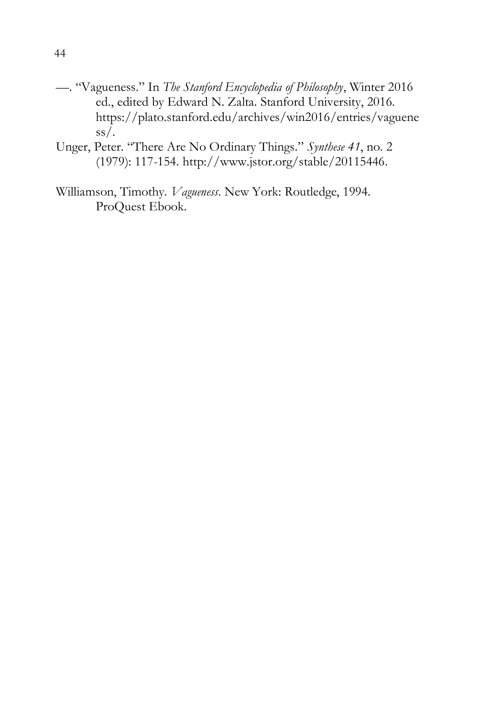- —. "Vagueness." In *The Stanford Encyclopedia of Philosophy*, Winter 2016 ed., edited by Edward N. Zalta. Stanford University, 2016. [https://plato.stanford.edu/archives/win2016/entries/vaguene](https://plato.stanford.edu/archives/win2016/entries/vagueness/)  $ss/$ .
- Unger, Peter. "There Are No Ordinary Things." *Synthese 41*, no. 2 (1979): 117-154. [http://www.jstor.org/stable/20115446.](http://www.jstor.org/stable/20115446)
- Williamson, Timothy. *Vagueness*. New York: Routledge, 1994. ProQuest Ebook.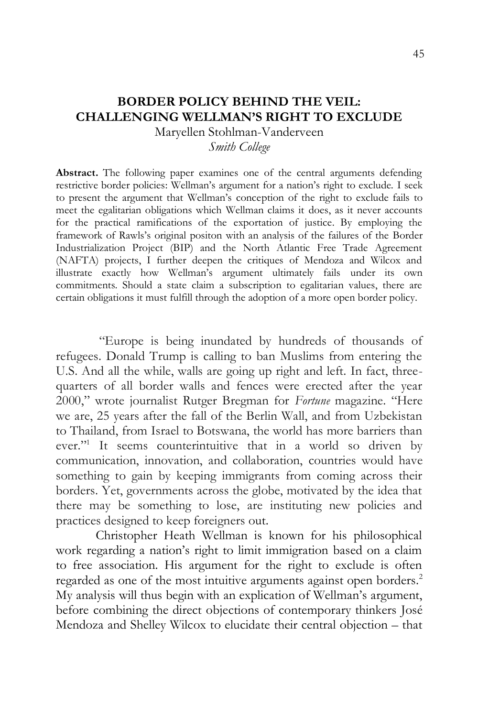# **BORDER POLICY BEHIND THE VEIL: CHALLENGING WELLMAN'S RIGHT TO EXCLUDE**

Maryellen Stohlman-Vanderveen

*Smith College*

**Abstract.** The following paper examines one of the central arguments defending restrictive border policies: Wellman's argument for a nation's right to exclude. I seek to present the argument that Wellman's conception of the right to exclude fails to meet the egalitarian obligations which Wellman claims it does, as it never accounts for the practical ramifications of the exportation of justice. By employing the framework of Rawls's original positon with an analysis of the failures of the Border Industrialization Project (BIP) and the North Atlantic Free Trade Agreement (NAFTA) projects, I further deepen the critiques of Mendoza and Wilcox and illustrate exactly how Wellman's argument ultimately fails under its own commitments. Should a state claim a subscription to egalitarian values, there are certain obligations it must fulfill through the adoption of a more open border policy.

"Europe is being inundated by hundreds of thousands of refugees. Donald Trump is calling to ban Muslims from entering the U.S. And all the while, walls are going up right and left. In fact, threequarters of all border walls and fences were erected after the year 2000," wrote journalist Rutger Bregman for *Fortune* magazine. "Here we are, 25 years after the fall of the Berlin Wall, and from Uzbekistan to Thailand, from Israel to Botswana, the world has more barriers than ever."<sup>1</sup> It seems counterintuitive that in a world so driven by communication, innovation, and collaboration, countries would have something to gain by keeping immigrants from coming across their borders. Yet, governments across the globe, motivated by the idea that there may be something to lose, are instituting new policies and practices designed to keep foreigners out.

Christopher Heath Wellman is known for his philosophical work regarding a nation's right to limit immigration based on a claim to free association. His argument for the right to exclude is often regarded as one of the most intuitive arguments against open borders.<sup>2</sup> My analysis will thus begin with an explication of Wellman's argument, before combining the direct objections of contemporary thinkers José Mendoza and Shelley Wilcox to elucidate their central objection – that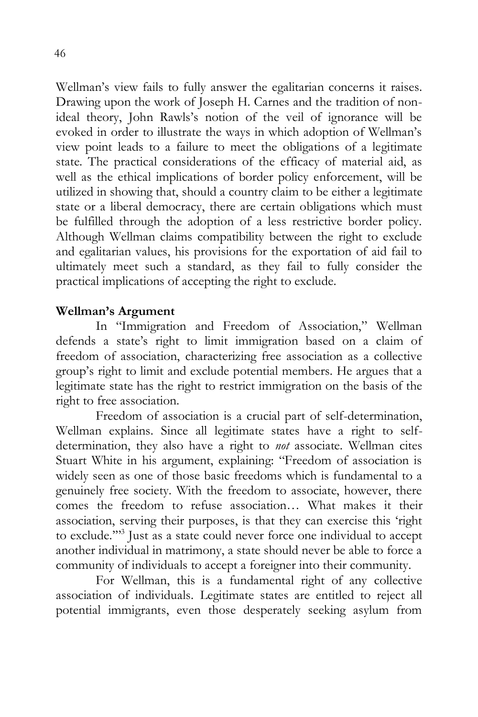Wellman's view fails to fully answer the egalitarian concerns it raises. Drawing upon the work of Joseph H. Carnes and the tradition of nonideal theory, John Rawls's notion of the veil of ignorance will be evoked in order to illustrate the ways in which adoption of Wellman's view point leads to a failure to meet the obligations of a legitimate state. The practical considerations of the efficacy of material aid, as well as the ethical implications of border policy enforcement, will be utilized in showing that, should a country claim to be either a legitimate state or a liberal democracy, there are certain obligations which must be fulfilled through the adoption of a less restrictive border policy. Although Wellman claims compatibility between the right to exclude and egalitarian values, his provisions for the exportation of aid fail to ultimately meet such a standard, as they fail to fully consider the practical implications of accepting the right to exclude.

# **Wellman's Argument**

In "Immigration and Freedom of Association," Wellman defends a state's right to limit immigration based on a claim of freedom of association, characterizing free association as a collective group's right to limit and exclude potential members. He argues that a legitimate state has the right to restrict immigration on the basis of the right to free association.

Freedom of association is a crucial part of self-determination, Wellman explains. Since all legitimate states have a right to selfdetermination, they also have a right to *not* associate. Wellman cites Stuart White in his argument, explaining: "Freedom of association is widely seen as one of those basic freedoms which is fundamental to a genuinely free society. With the freedom to associate, however, there comes the freedom to refuse association… What makes it their association, serving their purposes, is that they can exercise this 'right to exclude.'"<sup>3</sup> Just as a state could never force one individual to accept another individual in matrimony, a state should never be able to force a community of individuals to accept a foreigner into their community.

For Wellman, this is a fundamental right of any collective association of individuals. Legitimate states are entitled to reject all potential immigrants, even those desperately seeking asylum from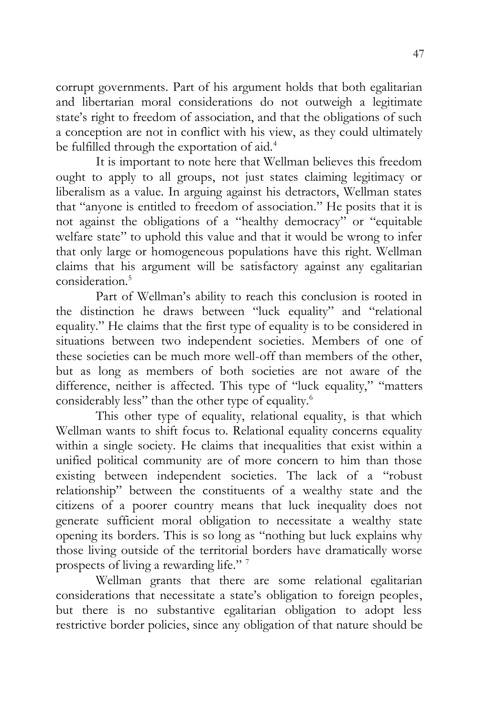corrupt governments. Part of his argument holds that both egalitarian and libertarian moral considerations do not outweigh a legitimate state's right to freedom of association, and that the obligations of such a conception are not in conflict with his view, as they could ultimately be fulfilled through the exportation of aid.<sup>4</sup>

It is important to note here that Wellman believes this freedom ought to apply to all groups, not just states claiming legitimacy or liberalism as a value. In arguing against his detractors, Wellman states that "anyone is entitled to freedom of association." He posits that it is not against the obligations of a "healthy democracy" or "equitable welfare state" to uphold this value and that it would be wrong to infer that only large or homogeneous populations have this right. Wellman claims that his argument will be satisfactory against any egalitarian consideration.<sup>5</sup>

Part of Wellman's ability to reach this conclusion is rooted in the distinction he draws between "luck equality" and "relational equality." He claims that the first type of equality is to be considered in situations between two independent societies. Members of one of these societies can be much more well-off than members of the other, but as long as members of both societies are not aware of the difference, neither is affected. This type of "luck equality," "matters considerably less" than the other type of equality.<sup>6</sup>

This other type of equality, relational equality, is that which Wellman wants to shift focus to. Relational equality concerns equality within a single society. He claims that inequalities that exist within a unified political community are of more concern to him than those existing between independent societies. The lack of a "robust relationship" between the constituents of a wealthy state and the citizens of a poorer country means that luck inequality does not generate sufficient moral obligation to necessitate a wealthy state opening its borders. This is so long as "nothing but luck explains why those living outside of the territorial borders have dramatically worse prospects of living a rewarding life." <sup>7</sup>

Wellman grants that there are some relational egalitarian considerations that necessitate a state's obligation to foreign peoples, but there is no substantive egalitarian obligation to adopt less restrictive border policies, since any obligation of that nature should be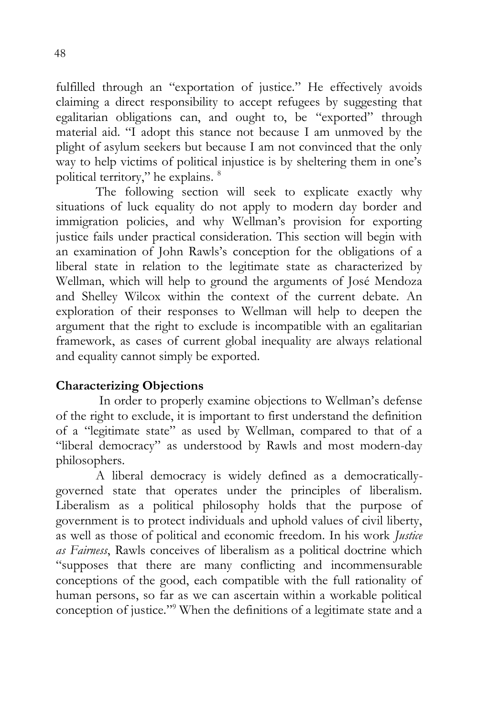fulfilled through an "exportation of justice." He effectively avoids claiming a direct responsibility to accept refugees by suggesting that egalitarian obligations can, and ought to, be "exported" through material aid. "I adopt this stance not because I am unmoved by the plight of asylum seekers but because I am not convinced that the only way to help victims of political injustice is by sheltering them in one's political territory," he explains. <sup>8</sup>

The following section will seek to explicate exactly why situations of luck equality do not apply to modern day border and immigration policies, and why Wellman's provision for exporting justice fails under practical consideration. This section will begin with an examination of John Rawls's conception for the obligations of a liberal state in relation to the legitimate state as characterized by Wellman, which will help to ground the arguments of José Mendoza and Shelley Wilcox within the context of the current debate. An exploration of their responses to Wellman will help to deepen the argument that the right to exclude is incompatible with an egalitarian framework, as cases of current global inequality are always relational and equality cannot simply be exported.

# **Characterizing Objections**

In order to properly examine objections to Wellman's defense of the right to exclude, it is important to first understand the definition of a "legitimate state" as used by Wellman, compared to that of a "liberal democracy" as understood by Rawls and most modern-day philosophers.

A liberal democracy is widely defined as a democraticallygoverned state that operates under the principles of liberalism. Liberalism as a political philosophy holds that the purpose of government is to protect individuals and uphold values of civil liberty, as well as those of political and economic freedom. In his work *Justice as Fairness*, Rawls conceives of liberalism as a political doctrine which "supposes that there are many conflicting and incommensurable conceptions of the good, each compatible with the full rationality of human persons, so far as we can ascertain within a workable political conception of justice."<sup>9</sup> When the definitions of a legitimate state and a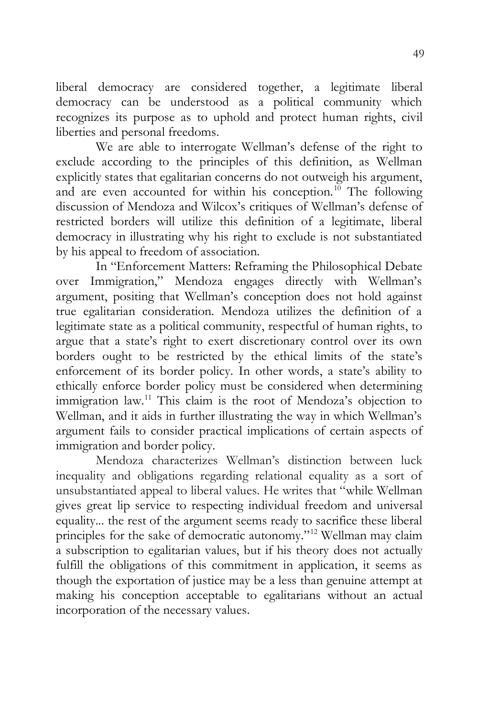liberal democracy are considered together, a legitimate liberal democracy can be understood as a political community which recognizes its purpose as to uphold and protect human rights, civil liberties and personal freedoms.

We are able to interrogate Wellman's defense of the right to exclude according to the principles of this definition, as Wellman explicitly states that egalitarian concerns do not outweigh his argument, and are even accounted for within his conception.<sup>10</sup> The following discussion of Mendoza and Wilcox's critiques of Wellman's defense of restricted borders will utilize this definition of a legitimate, liberal democracy in illustrating why his right to exclude is not substantiated by his appeal to freedom of association.

In "Enforcement Matters: Reframing the Philosophical Debate over Immigration," Mendoza engages directly with Wellman's argument, positing that Wellman's conception does not hold against true egalitarian consideration. Mendoza utilizes the definition of a legitimate state as a political community, respectful of human rights, to argue that a state's right to exert discretionary control over its own borders ought to be restricted by the ethical limits of the state's enforcement of its border policy. In other words, a state's ability to ethically enforce border policy must be considered when determining immigration law.<sup>11</sup> This claim is the root of Mendoza's objection to Wellman, and it aids in further illustrating the way in which Wellman's argument fails to consider practical implications of certain aspects of immigration and border policy.

Mendoza characterizes Wellman's distinction between luck inequality and obligations regarding relational equality as a sort of unsubstantiated appeal to liberal values. He writes that "while Wellman gives great lip service to respecting individual freedom and universal equality... the rest of the argument seems ready to sacrifice these liberal principles for the sake of democratic autonomy."<sup>12</sup> Wellman may claim a subscription to egalitarian values, but if his theory does not actually fulfill the obligations of this commitment in application, it seems as though the exportation of justice may be a less than genuine attempt at making his conception acceptable to egalitarians without an actual incorporation of the necessary values.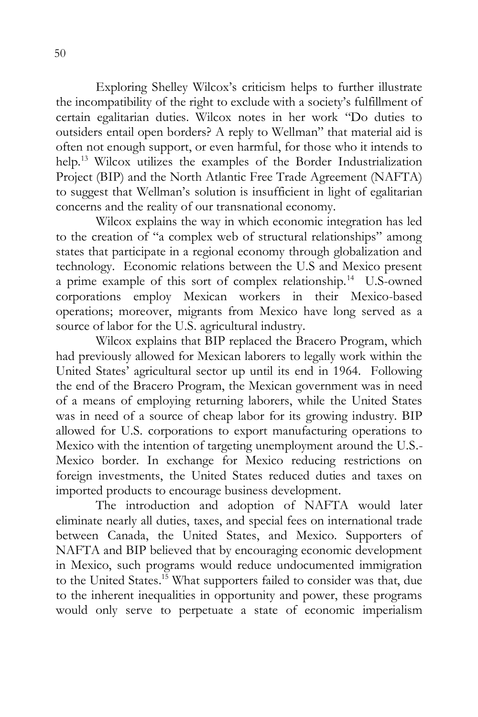Exploring Shelley Wilcox's criticism helps to further illustrate the incompatibility of the right to exclude with a society's fulfillment of certain egalitarian duties. Wilcox notes in her work "Do duties to outsiders entail open borders? A reply to Wellman" that material aid is often not enough support, or even harmful, for those who it intends to help.<sup>13</sup> Wilcox utilizes the examples of the Border Industrialization Project (BIP) and the North Atlantic Free Trade Agreement (NAFTA) to suggest that Wellman's solution is insufficient in light of egalitarian concerns and the reality of our transnational economy.

Wilcox explains the way in which economic integration has led to the creation of "a complex web of structural relationships" among states that participate in a regional economy through globalization and technology. Economic relations between the U.S and Mexico present a prime example of this sort of complex relationship.<sup>14</sup> U.S-owned corporations employ Mexican workers in their Mexico-based operations; moreover, migrants from Mexico have long served as a source of labor for the U.S. agricultural industry.

Wilcox explains that BIP replaced the Bracero Program, which had previously allowed for Mexican laborers to legally work within the United States' agricultural sector up until its end in 1964. Following the end of the Bracero Program, the Mexican government was in need of a means of employing returning laborers, while the United States was in need of a source of cheap labor for its growing industry. BIP allowed for U.S. corporations to export manufacturing operations to Mexico with the intention of targeting unemployment around the U.S.- Mexico border. In exchange for Mexico reducing restrictions on foreign investments, the United States reduced duties and taxes on imported products to encourage business development.

The introduction and adoption of NAFTA would later eliminate nearly all duties, taxes, and special fees on international trade between Canada, the United States, and Mexico. Supporters of NAFTA and BIP believed that by encouraging economic development in Mexico, such programs would reduce undocumented immigration to the United States. <sup>15</sup> What supporters failed to consider was that, due to the inherent inequalities in opportunity and power, these programs would only serve to perpetuate a state of economic imperialism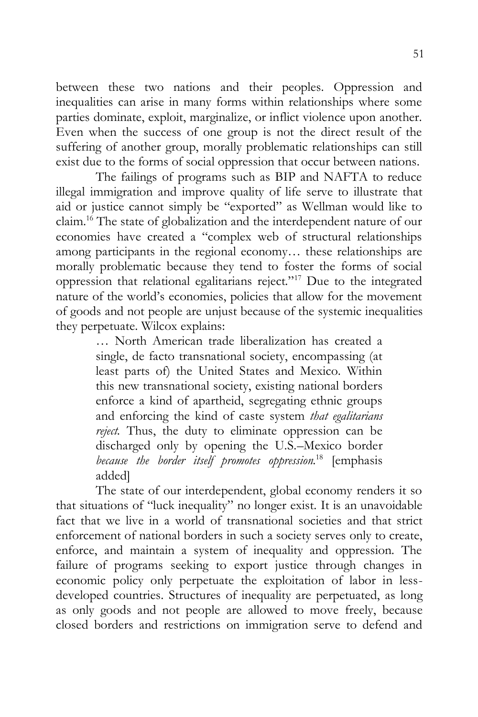between these two nations and their peoples. Oppression and inequalities can arise in many forms within relationships where some parties dominate, exploit, marginalize, or inflict violence upon another. Even when the success of one group is not the direct result of the suffering of another group, morally problematic relationships can still exist due to the forms of social oppression that occur between nations.

The failings of programs such as BIP and NAFTA to reduce illegal immigration and improve quality of life serve to illustrate that aid or justice cannot simply be "exported" as Wellman would like to claim.<sup>16</sup> The state of globalization and the interdependent nature of our economies have created a "complex web of structural relationships among participants in the regional economy… these relationships are morally problematic because they tend to foster the forms of social oppression that relational egalitarians reject."<sup>17</sup> Due to the integrated nature of the world's economies, policies that allow for the movement of goods and not people are unjust because of the systemic inequalities they perpetuate. Wilcox explains:

> … North American trade liberalization has created a single, de facto transnational society, encompassing (at least parts of) the United States and Mexico. Within this new transnational society, existing national borders enforce a kind of apartheid, segregating ethnic groups and enforcing the kind of caste system *that egalitarians reject.* Thus, the duty to eliminate oppression can be discharged only by opening the U.S.–Mexico border *because the border itself promotes oppression.*<sup>18</sup> [emphasis added]

The state of our interdependent, global economy renders it so that situations of "luck inequality" no longer exist. It is an unavoidable fact that we live in a world of transnational societies and that strict enforcement of national borders in such a society serves only to create, enforce, and maintain a system of inequality and oppression. The failure of programs seeking to export justice through changes in economic policy only perpetuate the exploitation of labor in lessdeveloped countries. Structures of inequality are perpetuated, as long as only goods and not people are allowed to move freely, because closed borders and restrictions on immigration serve to defend and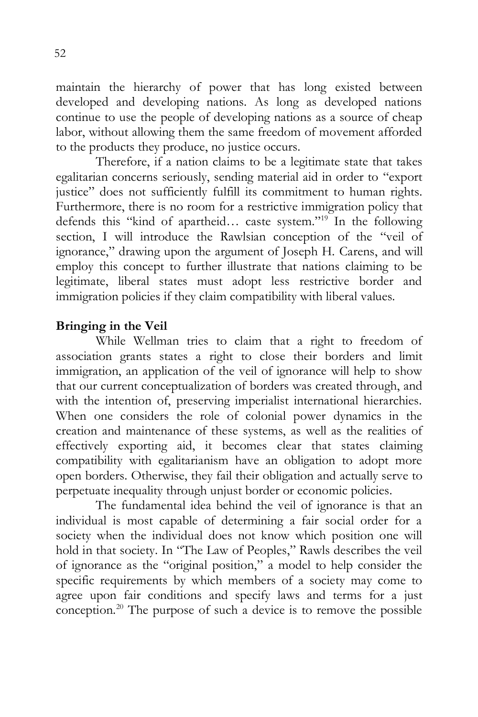maintain the hierarchy of power that has long existed between developed and developing nations. As long as developed nations continue to use the people of developing nations as a source of cheap labor, without allowing them the same freedom of movement afforded to the products they produce, no justice occurs.

Therefore, if a nation claims to be a legitimate state that takes egalitarian concerns seriously, sending material aid in order to "export justice" does not sufficiently fulfill its commitment to human rights. Furthermore, there is no room for a restrictive immigration policy that defends this "kind of apartheid... caste system."<sup>19</sup> In the following section, I will introduce the Rawlsian conception of the "veil of ignorance," drawing upon the argument of Joseph H. Carens, and will employ this concept to further illustrate that nations claiming to be legitimate, liberal states must adopt less restrictive border and immigration policies if they claim compatibility with liberal values.

## **Bringing in the Veil**

While Wellman tries to claim that a right to freedom of association grants states a right to close their borders and limit immigration, an application of the veil of ignorance will help to show that our current conceptualization of borders was created through, and with the intention of, preserving imperialist international hierarchies. When one considers the role of colonial power dynamics in the creation and maintenance of these systems, as well as the realities of effectively exporting aid, it becomes clear that states claiming compatibility with egalitarianism have an obligation to adopt more open borders. Otherwise, they fail their obligation and actually serve to perpetuate inequality through unjust border or economic policies.

The fundamental idea behind the veil of ignorance is that an individual is most capable of determining a fair social order for a society when the individual does not know which position one will hold in that society. In "The Law of Peoples," Rawls describes the veil of ignorance as the "original position," a model to help consider the specific requirements by which members of a society may come to agree upon fair conditions and specify laws and terms for a just conception.<sup>20</sup> The purpose of such a device is to remove the possible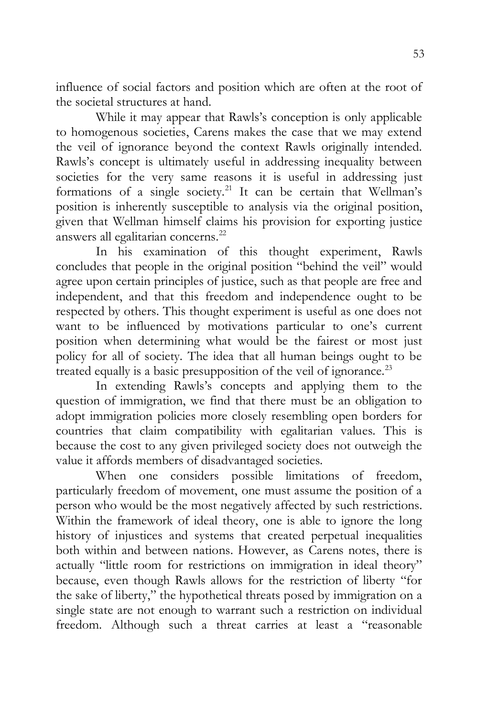influence of social factors and position which are often at the root of the societal structures at hand.

While it may appear that Rawls's conception is only applicable to homogenous societies, Carens makes the case that we may extend the veil of ignorance beyond the context Rawls originally intended. Rawls's concept is ultimately useful in addressing inequality between societies for the very same reasons it is useful in addressing just formations of a single society.<sup>21</sup> It can be certain that Wellman's position is inherently susceptible to analysis via the original position, given that Wellman himself claims his provision for exporting justice answers all egalitarian concerns.<sup>22</sup>

In his examination of this thought experiment, Rawls concludes that people in the original position "behind the veil" would agree upon certain principles of justice, such as that people are free and independent, and that this freedom and independence ought to be respected by others. This thought experiment is useful as one does not want to be influenced by motivations particular to one's current position when determining what would be the fairest or most just policy for all of society. The idea that all human beings ought to be treated equally is a basic presupposition of the veil of ignorance.<sup>23</sup>

In extending Rawls's concepts and applying them to the question of immigration, we find that there must be an obligation to adopt immigration policies more closely resembling open borders for countries that claim compatibility with egalitarian values. This is because the cost to any given privileged society does not outweigh the value it affords members of disadvantaged societies.

When one considers possible limitations of freedom, particularly freedom of movement, one must assume the position of a person who would be the most negatively affected by such restrictions. Within the framework of ideal theory, one is able to ignore the long history of injustices and systems that created perpetual inequalities both within and between nations. However, as Carens notes, there is actually "little room for restrictions on immigration in ideal theory" because, even though Rawls allows for the restriction of liberty "for the sake of liberty," the hypothetical threats posed by immigration on a single state are not enough to warrant such a restriction on individual freedom. Although such a threat carries at least a "reasonable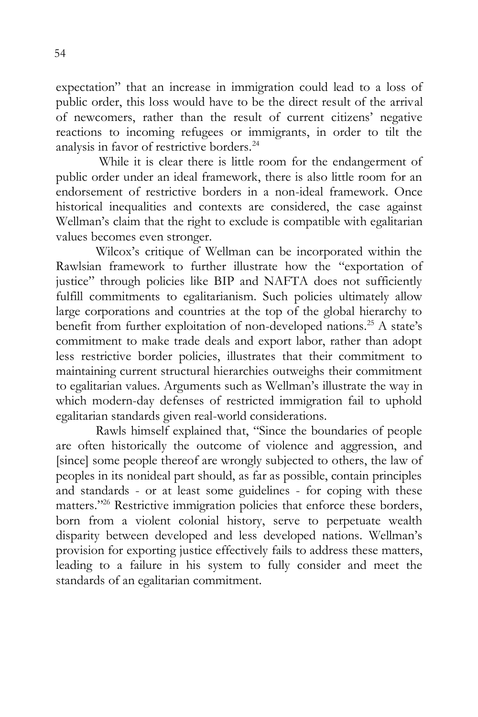expectation" that an increase in immigration could lead to a loss of public order, this loss would have to be the direct result of the arrival of newcomers, rather than the result of current citizens' negative reactions to incoming refugees or immigrants, in order to tilt the analysis in favor of restrictive borders.<sup>24</sup>

While it is clear there is little room for the endangerment of public order under an ideal framework, there is also little room for an endorsement of restrictive borders in a non-ideal framework. Once historical inequalities and contexts are considered, the case against Wellman's claim that the right to exclude is compatible with egalitarian values becomes even stronger.

Wilcox's critique of Wellman can be incorporated within the Rawlsian framework to further illustrate how the "exportation of justice" through policies like BIP and NAFTA does not sufficiently fulfill commitments to egalitarianism. Such policies ultimately allow large corporations and countries at the top of the global hierarchy to benefit from further exploitation of non-developed nations.<sup>25</sup> A state's commitment to make trade deals and export labor, rather than adopt less restrictive border policies, illustrates that their commitment to maintaining current structural hierarchies outweighs their commitment to egalitarian values. Arguments such as Wellman's illustrate the way in which modern-day defenses of restricted immigration fail to uphold egalitarian standards given real-world considerations.

Rawls himself explained that, "Since the boundaries of people are often historically the outcome of violence and aggression, and [since] some people thereof are wrongly subjected to others, the law of peoples in its nonideal part should, as far as possible, contain principles and standards - or at least some guidelines - for coping with these matters."<sup>26</sup> Restrictive immigration policies that enforce these borders, born from a violent colonial history, serve to perpetuate wealth disparity between developed and less developed nations. Wellman's provision for exporting justice effectively fails to address these matters, leading to a failure in his system to fully consider and meet the standards of an egalitarian commitment.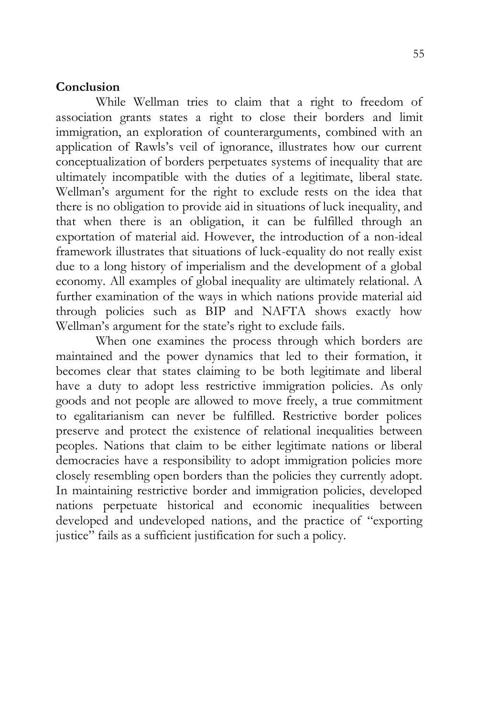#### **Conclusion**

While Wellman tries to claim that a right to freedom of association grants states a right to close their borders and limit immigration, an exploration of counterarguments, combined with an application of Rawls's veil of ignorance, illustrates how our current conceptualization of borders perpetuates systems of inequality that are ultimately incompatible with the duties of a legitimate, liberal state. Wellman's argument for the right to exclude rests on the idea that there is no obligation to provide aid in situations of luck inequality, and that when there is an obligation, it can be fulfilled through an exportation of material aid. However, the introduction of a non-ideal framework illustrates that situations of luck-equality do not really exist due to a long history of imperialism and the development of a global economy. All examples of global inequality are ultimately relational. A further examination of the ways in which nations provide material aid through policies such as BIP and NAFTA shows exactly how Wellman's argument for the state's right to exclude fails.

When one examines the process through which borders are maintained and the power dynamics that led to their formation, it becomes clear that states claiming to be both legitimate and liberal have a duty to adopt less restrictive immigration policies. As only goods and not people are allowed to move freely, a true commitment to egalitarianism can never be fulfilled. Restrictive border polices preserve and protect the existence of relational inequalities between peoples. Nations that claim to be either legitimate nations or liberal democracies have a responsibility to adopt immigration policies more closely resembling open borders than the policies they currently adopt. In maintaining restrictive border and immigration policies, developed nations perpetuate historical and economic inequalities between developed and undeveloped nations, and the practice of "exporting justice" fails as a sufficient justification for such a policy.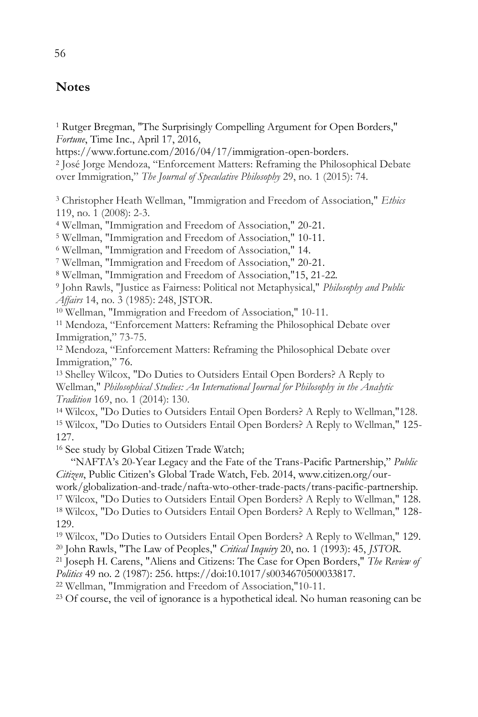## **Notes**

<sup>1</sup> Rutger Bregman, "The Surprisingly Compelling Argument for Open Borders," *Fortune*, Time Inc., April 17, 2016,

https://www.fortune.com/2016/04/17/immigration-open-borders.

2 José Jorge Mendoza, "Enforcement Matters: Reframing the Philosophical Debate over Immigration," *The Journal of Speculative Philosophy* 29, no. 1 (2015): 74.

<sup>3</sup> Christopher Heath Wellman, "Immigration and Freedom of Association," *Ethics* 119, no. 1 (2008): 2-3.

<sup>4</sup> Wellman, "Immigration and Freedom of Association," 20-21.

<sup>5</sup> Wellman, "Immigration and Freedom of Association," 10-11.

<sup>6</sup> Wellman, "Immigration and Freedom of Association," 14.

<sup>7</sup> Wellman, "Immigration and Freedom of Association," 20-21.

<sup>8</sup> Wellman, "Immigration and Freedom of Association,"15, 21-22.

9 John Rawls, "Justice as Fairness: Political not Metaphysical," *Philosophy and Public Affairs* 14, no. 3 (1985): 248, JSTOR.

<sup>10</sup> Wellman, "Immigration and Freedom of Association," 10-11.

<sup>11</sup> Mendoza, "Enforcement Matters: Reframing the Philosophical Debate over Immigration," 73-75.

<sup>12</sup> Mendoza, "Enforcement Matters: Reframing the Philosophical Debate over Immigration," 76.

<sup>13</sup> Shelley Wilcox, "Do Duties to Outsiders Entail Open Borders? A Reply to Wellman," *Philosophical Studies: An International Journal for Philosophy in the Analytic Tradition* 169, no. 1 (2014): 130.

<sup>14</sup> Wilcox, "Do Duties to Outsiders Entail Open Borders? A Reply to Wellman,"128. <sup>15</sup> Wilcox, "Do Duties to Outsiders Entail Open Borders? A Reply to Wellman," 125- 127.

<sup>16</sup> See study by Global Citizen Trade Watch;

"NAFTA's 20-Year Legacy and the Fate of the Trans-Pacific Partnership," *Public Citizen*, Public Citizen's Global Trade Watch, Feb. 2014, www.citizen.org/our-

work/globalization-and-trade/nafta-wto-other-trade-pacts/trans-pacific-partnership. <sup>17</sup> Wilcox, "Do Duties to Outsiders Entail Open Borders? A Reply to Wellman," 128. <sup>18</sup> Wilcox, "Do Duties to Outsiders Entail Open Borders? A Reply to Wellman," 128- 129.

<sup>19</sup> Wilcox, "Do Duties to Outsiders Entail Open Borders? A Reply to Wellman," 129. <sup>20</sup> John Rawls, "The Law of Peoples," *Critical Inquiry* 20, no. 1 (1993): 45, *JSTOR*.

<sup>21</sup> Joseph H. Carens, "Aliens and Citizens: The Case for Open Borders," *The Review of Politics* 49 no. 2 (1987): 256. https://doi:10.1017/s0034670500033817.

<sup>22</sup> Wellman, "Immigration and Freedom of Association,"10-11.

<sup>23</sup> Of course, the veil of ignorance is a hypothetical ideal. No human reasoning can be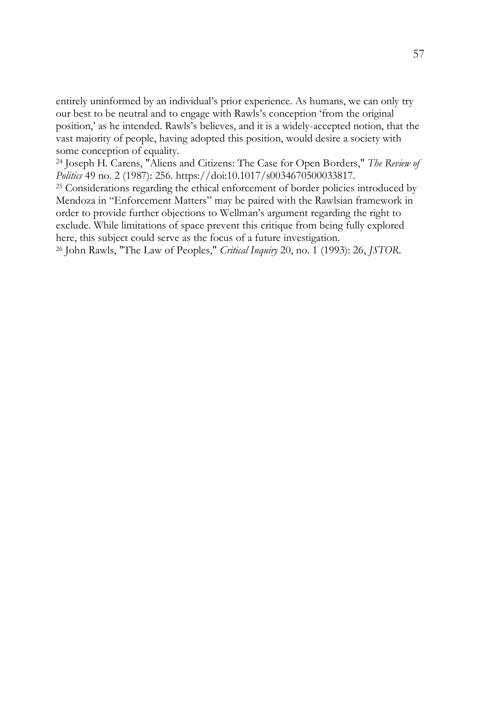entirely uninformed by an individual's prior experience. As humans, we can only try our best to be neutral and to engage with Rawls's conception 'from the original position,' as he intended. Rawls's believes, and it is a widely-accepted notion, that the vast majority of people, having adopted this position, would desire a society with some conception of equality.

<sup>24</sup> Joseph H. Carens, "Aliens and Citizens: The Case for Open Borders," *The Review of Politics* 49 no. 2 (1987): 256. https://doi:10.1017/s0034670500033817.

<sup>25</sup> Considerations regarding the ethical enforcement of border policies introduced by Mendoza in "Enforcement Matters" may be paired with the Rawlsian framework in order to provide further objections to Wellman's argument regarding the right to exclude. While limitations of space prevent this critique from being fully explored here, this subject could serve as the focus of a future investigation.

<sup>26</sup> John Rawls, "The Law of Peoples," *Critical Inquiry* 20, no. 1 (1993): 26, *JSTOR*.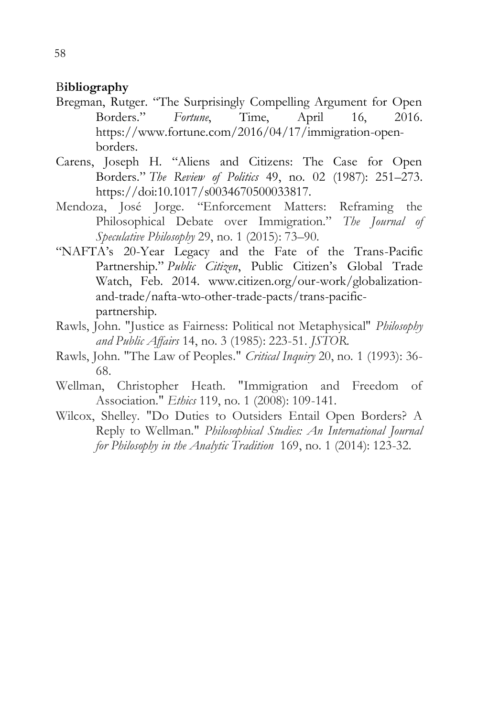## B**ibliography**

- Bregman, Rutger. "The Surprisingly Compelling Argument for Open Borders." *Fortune*, Time, April 16, 2016. https://www.fortune.com/2016/04/17/immigration-openborders.
- Carens, Joseph H. "Aliens and Citizens: The Case for Open Borders." *The Review of Politics* 49, no. 02 (1987): 251–273. https://doi:10.1017/s0034670500033817.
- Mendoza, José Jorge. "Enforcement Matters: Reframing the Philosophical Debate over Immigration." *The Journal of Speculative Philosophy* 29, no. 1 (2015): 73–90.
- "NAFTA's 20-Year Legacy and the Fate of the Trans-Pacific Partnership." *Public Citizen*, Public Citizen's Global Trade Watch, Feb. 2014. www.citizen.org/our-work/globalizationand-trade/nafta-wto-other-trade-pacts/trans-pacificpartnership.
- Rawls, John. "Justice as Fairness: Political not Metaphysical" *Philosophy and Public Affairs* 14, no. 3 (1985): 223-51. *JSTOR*.
- Rawls, John. "The Law of Peoples." *Critical Inquiry* 20, no. 1 (1993): 36- 68.
- Wellman, Christopher Heath. "Immigration and Freedom of Association." *Ethics* 119, no. 1 (2008): 109-141.
- Wilcox, Shelley. "Do Duties to Outsiders Entail Open Borders? A Reply to Wellman." *Philosophical Studies: An International Journal for Philosophy in the Analytic Tradition* 169, no. 1 (2014): 123-32.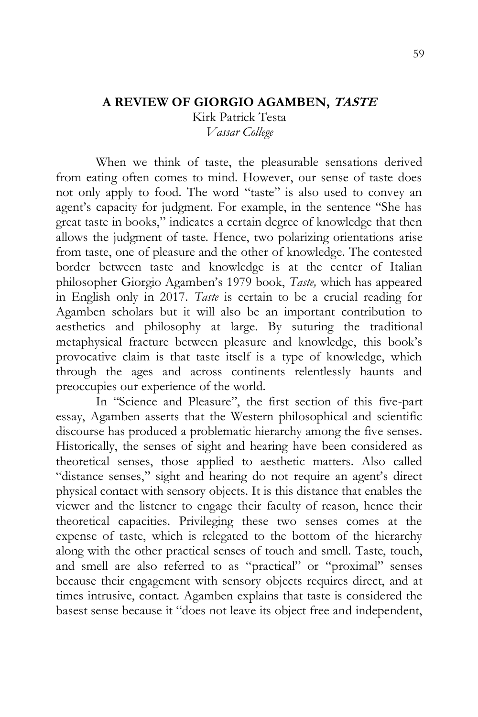# **A REVIEW OF GIORGIO AGAMBEN, TASTE**

Kirk Patrick Testa *Vassar College*

When we think of taste, the pleasurable sensations derived from eating often comes to mind. However, our sense of taste does not only apply to food. The word "taste" is also used to convey an agent's capacity for judgment. For example, in the sentence "She has great taste in books," indicates a certain degree of knowledge that then allows the judgment of taste. Hence, two polarizing orientations arise from taste, one of pleasure and the other of knowledge. The contested border between taste and knowledge is at the center of Italian philosopher Giorgio Agamben's 1979 book, *Taste,* which has appeared in English only in 2017. *Taste* is certain to be a crucial reading for Agamben scholars but it will also be an important contribution to aesthetics and philosophy at large. By suturing the traditional metaphysical fracture between pleasure and knowledge, this book's provocative claim is that taste itself is a type of knowledge, which through the ages and across continents relentlessly haunts and preoccupies our experience of the world.

In "Science and Pleasure", the first section of this five-part essay, Agamben asserts that the Western philosophical and scientific discourse has produced a problematic hierarchy among the five senses. Historically, the senses of sight and hearing have been considered as theoretical senses, those applied to aesthetic matters. Also called "distance senses," sight and hearing do not require an agent's direct physical contact with sensory objects. It is this distance that enables the viewer and the listener to engage their faculty of reason, hence their theoretical capacities. Privileging these two senses comes at the expense of taste, which is relegated to the bottom of the hierarchy along with the other practical senses of touch and smell. Taste, touch, and smell are also referred to as "practical" or "proximal" senses because their engagement with sensory objects requires direct, and at times intrusive, contact. Agamben explains that taste is considered the basest sense because it "does not leave its object free and independent,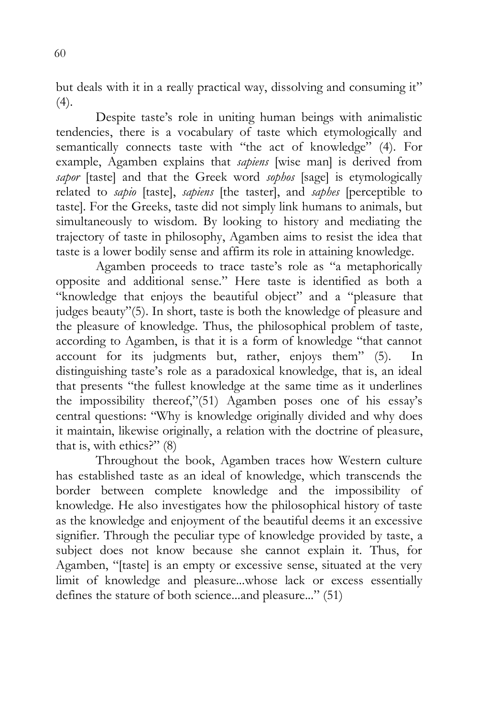but deals with it in a really practical way, dissolving and consuming it"  $(4).$ 

Despite taste's role in uniting human beings with animalistic tendencies, there is a vocabulary of taste which etymologically and semantically connects taste with "the act of knowledge" (4). For example, Agamben explains that *sapiens* [wise man] is derived from *sapor* [taste] and that the Greek word *sophos* [sage] is etymologically related to *sapio* [taste], *sapiens* [the taster], and *saphes* [perceptible to taste]. For the Greeks, taste did not simply link humans to animals, but simultaneously to wisdom. By looking to history and mediating the trajectory of taste in philosophy, Agamben aims to resist the idea that taste is a lower bodily sense and affirm its role in attaining knowledge.

Agamben proceeds to trace taste's role as "a metaphorically opposite and additional sense." Here taste is identified as both a "knowledge that enjoys the beautiful object" and a "pleasure that judges beauty"(5). In short, taste is both the knowledge of pleasure and the pleasure of knowledge. Thus, the philosophical problem of taste*,*  according to Agamben, is that it is a form of knowledge "that cannot account for its judgments but, rather, enjoys them" (5). In distinguishing taste's role as a paradoxical knowledge, that is, an ideal that presents "the fullest knowledge at the same time as it underlines the impossibility thereof,"(51) Agamben poses one of his essay's central questions: "Why is knowledge originally divided and why does it maintain, likewise originally, a relation with the doctrine of pleasure, that is, with ethics?" (8)

Throughout the book, Agamben traces how Western culture has established taste as an ideal of knowledge, which transcends the border between complete knowledge and the impossibility of knowledge. He also investigates how the philosophical history of taste as the knowledge and enjoyment of the beautiful deems it an excessive signifier. Through the peculiar type of knowledge provided by taste, a subject does not know because she cannot explain it. Thus, for Agamben, "[taste] is an empty or excessive sense, situated at the very limit of knowledge and pleasure...whose lack or excess essentially defines the stature of both science...and pleasure..." (51)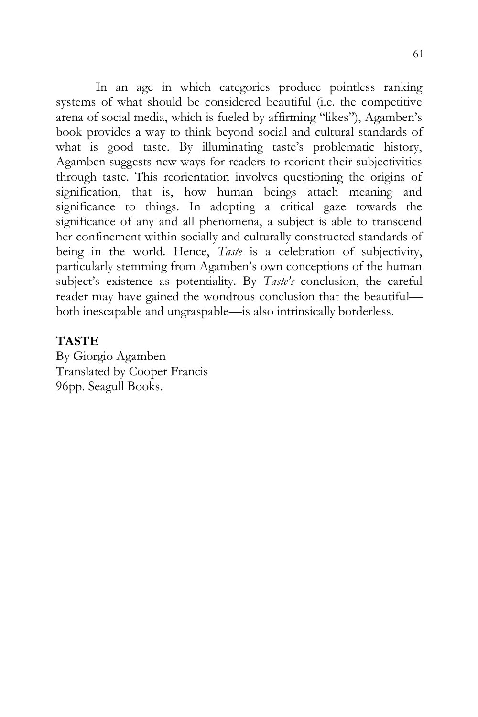In an age in which categories produce pointless ranking systems of what should be considered beautiful (i.e. the competitive arena of social media, which is fueled by affirming "likes"), Agamben's book provides a way to think beyond social and cultural standards of what is good taste. By illuminating taste's problematic history, Agamben suggests new ways for readers to reorient their subjectivities through taste. This reorientation involves questioning the origins of signification, that is, how human beings attach meaning and significance to things. In adopting a critical gaze towards the significance of any and all phenomena, a subject is able to transcend her confinement within socially and culturally constructed standards of being in the world. Hence, *Taste* is a celebration of subjectivity, particularly stemming from Agamben's own conceptions of the human subject's existence as potentiality. By *Taste's* conclusion, the careful reader may have gained the wondrous conclusion that the beautiful both inescapable and ungraspable—is also intrinsically borderless.

## **TASTE**

By Giorgio Agamben Translated by Cooper Francis 96pp. Seagull Books.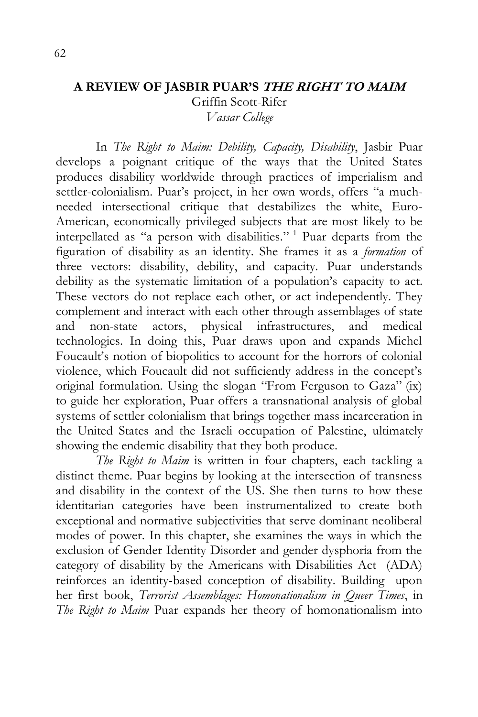### **A REVIEW OF JASBIR PUAR'S THE RIGHT TO MAIM** Griffin Scott-Rifer

*Vassar College*

In *The Right to Maim: Debility, Capacity, Disability*, Jasbir Puar develops a poignant critique of the ways that the United States produces disability worldwide through practices of imperialism and settler-colonialism. Puar's project, in her own words, offers "a muchneeded intersectional critique that destabilizes the white, Euro-American, economically privileged subjects that are most likely to be interpellated as "a person with disabilities." <sup>1</sup> Puar departs from the figuration of disability as an identity. She frames it as a *formation* of three vectors: disability, debility, and capacity. Puar understands debility as the systematic limitation of a population's capacity to act. These vectors do not replace each other, or act independently. They complement and interact with each other through assemblages of state and non-state actors, physical infrastructures, and medical technologies. In doing this, Puar draws upon and expands Michel Foucault's notion of biopolitics to account for the horrors of colonial violence, which Foucault did not sufficiently address in the concept's original formulation. Using the slogan "From Ferguson to Gaza" (ix) to guide her exploration, Puar offers a transnational analysis of global systems of settler colonialism that brings together mass incarceration in the United States and the Israeli occupation of Palestine, ultimately showing the endemic disability that they both produce.

*The Right to Maim* is written in four chapters, each tackling a distinct theme. Puar begins by looking at the intersection of transness and disability in the context of the US. She then turns to how these identitarian categories have been instrumentalized to create both exceptional and normative subjectivities that serve dominant neoliberal modes of power. In this chapter, she examines the ways in which the exclusion of Gender Identity Disorder and gender dysphoria from the category of disability by the Americans with Disabilities Act (ADA) reinforces an identity-based conception of disability. Building upon her first book, *Terrorist Assemblages: Homonationalism in Queer Times*, in *The Right to Maim* Puar expands her theory of homonationalism into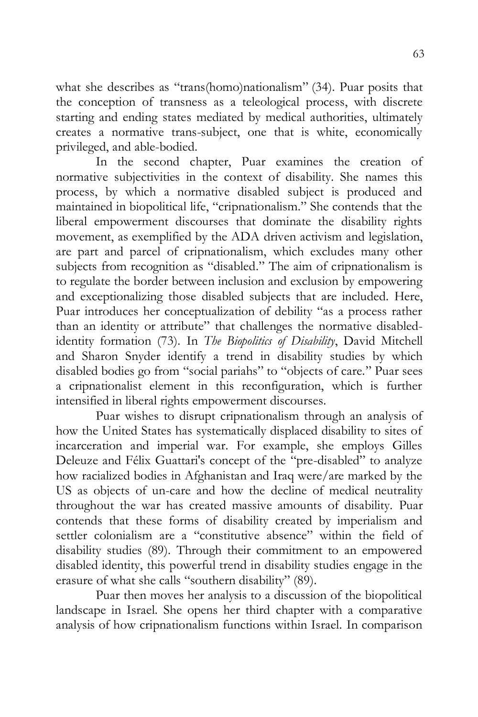what she describes as "trans(homo)nationalism" (34). Puar posits that the conception of transness as a teleological process, with discrete starting and ending states mediated by medical authorities, ultimately creates a normative trans-subject, one that is white, economically privileged, and able-bodied.

In the second chapter, Puar examines the creation of normative subjectivities in the context of disability. She names this process, by which a normative disabled subject is produced and maintained in biopolitical life, "cripnationalism." She contends that the liberal empowerment discourses that dominate the disability rights movement, as exemplified by the ADA driven activism and legislation, are part and parcel of cripnationalism, which excludes many other subjects from recognition as "disabled." The aim of cripnationalism is to regulate the border between inclusion and exclusion by empowering and exceptionalizing those disabled subjects that are included. Here, Puar introduces her conceptualization of debility "as a process rather than an identity or attribute" that challenges the normative disabledidentity formation (73). In *The Biopolitics of Disability*, David Mitchell and Sharon Snyder identify a trend in disability studies by which disabled bodies go from "social pariahs" to "objects of care." Puar sees a cripnationalist element in this reconfiguration, which is further intensified in liberal rights empowerment discourses.

Puar wishes to disrupt cripnationalism through an analysis of how the United States has systematically displaced disability to sites of incarceration and imperial war. For example, she employs Gilles Deleuze and Félix Guattari's concept of the "pre-disabled" to analyze how racialized bodies in Afghanistan and Iraq were/are marked by the US as objects of un-care and how the decline of medical neutrality throughout the war has created massive amounts of disability. Puar contends that these forms of disability created by imperialism and settler colonialism are a "constitutive absence" within the field of disability studies (89). Through their commitment to an empowered disabled identity, this powerful trend in disability studies engage in the erasure of what she calls "southern disability" (89).

Puar then moves her analysis to a discussion of the biopolitical landscape in Israel. She opens her third chapter with a comparative analysis of how cripnationalism functions within Israel. In comparison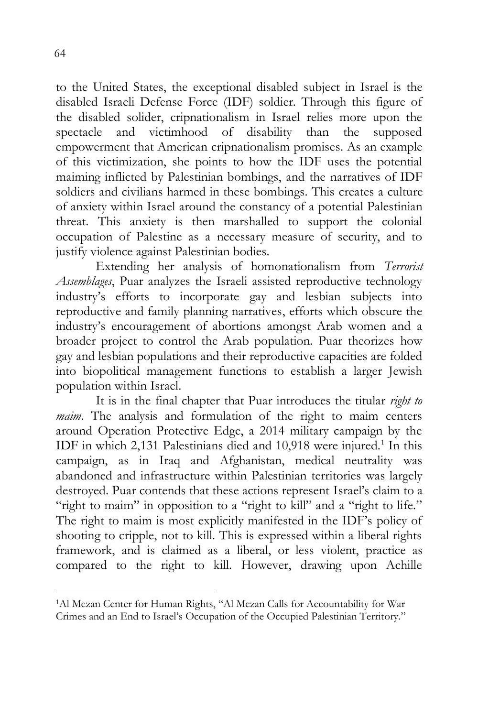to the United States, the exceptional disabled subject in Israel is the disabled Israeli Defense Force (IDF) soldier. Through this figure of the disabled solider, cripnationalism in Israel relies more upon the spectacle and victimhood of disability than the supposed empowerment that American cripnationalism promises. As an example of this victimization, she points to how the IDF uses the potential maiming inflicted by Palestinian bombings, and the narratives of IDF soldiers and civilians harmed in these bombings. This creates a culture of anxiety within Israel around the constancy of a potential Palestinian threat. This anxiety is then marshalled to support the colonial occupation of Palestine as a necessary measure of security, and to justify violence against Palestinian bodies.

Extending her analysis of homonationalism from *Terrorist Assemblages*, Puar analyzes the Israeli assisted reproductive technology industry's efforts to incorporate gay and lesbian subjects into reproductive and family planning narratives, efforts which obscure the industry's encouragement of abortions amongst Arab women and a broader project to control the Arab population. Puar theorizes how gay and lesbian populations and their reproductive capacities are folded into biopolitical management functions to establish a larger Jewish population within Israel.

It is in the final chapter that Puar introduces the titular *right to maim*. The analysis and formulation of the right to maim centers around Operation Protective Edge, a 2014 military campaign by the IDF in which 2,131 Palestinians died and 10,918 were injured.<sup>1</sup> In this campaign, as in Iraq and Afghanistan, medical neutrality was abandoned and infrastructure within Palestinian territories was largely destroyed. Puar contends that these actions represent Israel's claim to a "right to maim" in opposition to a "right to kill" and a "right to life." The right to maim is most explicitly manifested in the IDF's policy of shooting to cripple, not to kill. This is expressed within a liberal rights framework, and is claimed as a liberal, or less violent, practice as compared to the right to kill. However, drawing upon Achille

 $\overline{a}$ 

<sup>1</sup>Al Mezan Center for Human Rights, "Al Mezan Calls for Accountability for War Crimes and an End to Israel's Occupation of the Occupied Palestinian Territory."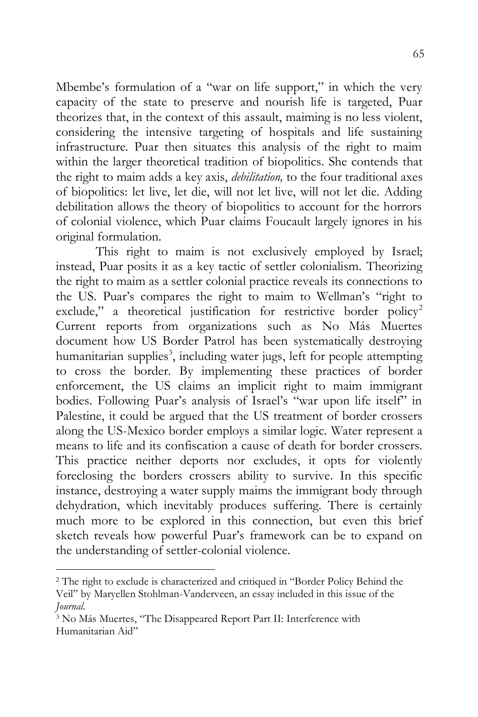Mbembe's formulation of a "war on life support," in which the very capacity of the state to preserve and nourish life is targeted, Puar theorizes that, in the context of this assault, maiming is no less violent, considering the intensive targeting of hospitals and life sustaining infrastructure. Puar then situates this analysis of the right to maim within the larger theoretical tradition of biopolitics. She contends that the right to maim adds a key axis, *debilitation,* to the four traditional axes of biopolitics: let live, let die, will not let live, will not let die. Adding debilitation allows the theory of biopolitics to account for the horrors of colonial violence, which Puar claims Foucault largely ignores in his original formulation.

This right to maim is not exclusively employed by Israel; instead, Puar posits it as a key tactic of settler colonialism. Theorizing the right to maim as a settler colonial practice reveals its connections to the US. Puar's compares the right to maim to Wellman's "right to exclude," a theoretical justification for restrictive border policy<sup>2</sup> Current reports from organizations such as No Más Muertes document how US Border Patrol has been systematically destroying humanitarian supplies<sup>3</sup>, including water jugs, left for people attempting to cross the border. By implementing these practices of border enforcement, the US claims an implicit right to maim immigrant bodies. Following Puar's analysis of Israel's "war upon life itself" in Palestine, it could be argued that the US treatment of border crossers along the US-Mexico border employs a similar logic. Water represent a means to life and its confiscation a cause of death for border crossers. This practice neither deports nor excludes, it opts for violently foreclosing the borders crossers ability to survive. In this specific instance, destroying a water supply maims the immigrant body through dehydration, which inevitably produces suffering. There is certainly much more to be explored in this connection, but even this brief sketch reveals how powerful Puar's framework can be to expand on the understanding of settler-colonial violence.

 $\overline{a}$ 

<sup>2</sup> The right to exclude is characterized and critiqued in "Border Policy Behind the Veil" by Maryellen Stohlman-Vanderveen, an essay included in this issue of the *Journal.*

<sup>3</sup> No Más Muertes, "The Disappeared Report Part II: Interference with Humanitarian Aid"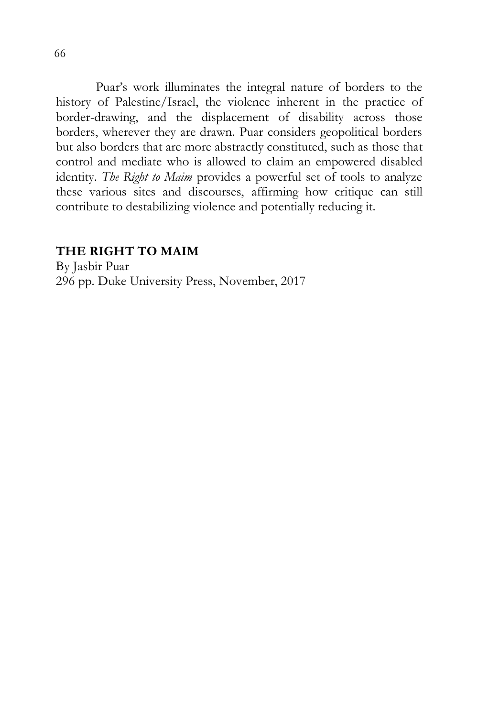Puar's work illuminates the integral nature of borders to the history of Palestine/Israel, the violence inherent in the practice of border-drawing, and the displacement of disability across those borders, wherever they are drawn. Puar considers geopolitical borders but also borders that are more abstractly constituted, such as those that control and mediate who is allowed to claim an empowered disabled identity. *The Right to Maim* provides a powerful set of tools to analyze these various sites and discourses, affirming how critique can still contribute to destabilizing violence and potentially reducing it.

## **THE RIGHT TO MAIM**

By Jasbir Puar 296 pp. Duke University Press, November, 2017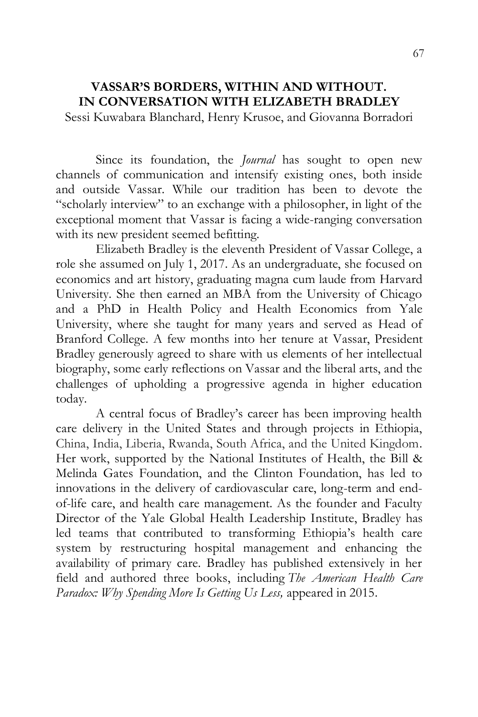# **VASSAR'S BORDERS, WITHIN AND WITHOUT. IN CONVERSATION WITH ELIZABETH BRADLEY**

Sessi Kuwabara Blanchard, Henry Krusoe, and Giovanna Borradori

Since its foundation, the *Journal* has sought to open new channels of communication and intensify existing ones, both inside and outside Vassar. While our tradition has been to devote the "scholarly interview" to an exchange with a philosopher, in light of the exceptional moment that Vassar is facing a wide-ranging conversation with its new president seemed befitting.

Elizabeth Bradley is the eleventh President of Vassar College, a role she assumed on July 1, 2017. As an undergraduate, she focused on economics and art history, graduating magna cum laude from Harvard University. She then earned an MBA from the University of Chicago and a PhD in Health Policy and Health Economics from Yale University, where she taught for many years and served as Head of Branford College. A few months into her tenure at Vassar, President Bradley generously agreed to share with us elements of her intellectual biography, some early reflections on Vassar and the liberal arts, and the challenges of upholding a progressive agenda in higher education today.

A central focus of Bradley's career has been improving health care delivery in the United States and through projects in Ethiopia, China, India, Liberia, Rwanda, South Africa, and the United Kingdom. Her work, supported by the National Institutes of Health, the Bill & Melinda Gates Foundation, and the Clinton Foundation, has led to innovations in the delivery of cardiovascular care, long-term and endof-life care, and health care management. As the founder and Faculty Director of the Yale Global Health Leadership Institute, Bradley has led teams that contributed to transforming Ethiopia's health care system by restructuring hospital management and enhancing the availability of primary care. Bradley has published extensively in her field and authored three books, including *The American Health Care Paradox: Why Spending More Is Getting Us Less,* appeared in 2015.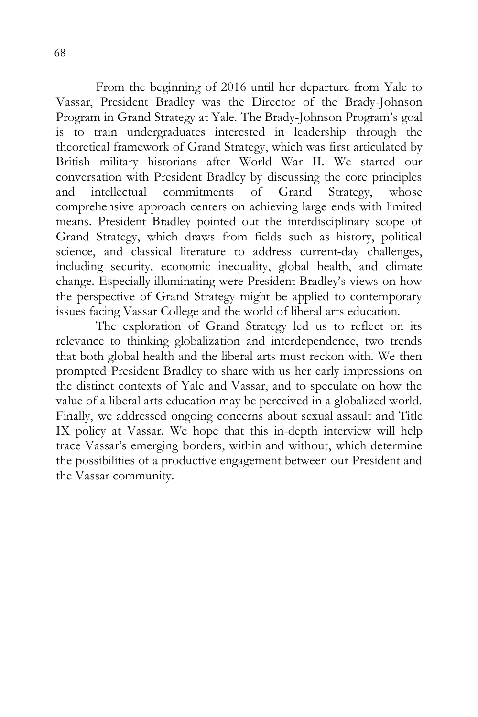From the beginning of 2016 until her departure from Yale to Vassar, President Bradley was the Director of the Brady-Johnson Program in Grand Strategy at Yale. The Brady-Johnson Program's goal is to train undergraduates interested in leadership through the theoretical framework of Grand Strategy, which was first articulated by British military historians after World War II. We started our conversation with President Bradley by discussing the core principles and intellectual commitments of Grand Strategy, whose comprehensive approach centers on achieving large ends with limited means. President Bradley pointed out the interdisciplinary scope of Grand Strategy, which draws from fields such as history, political science, and classical literature to address current-day challenges, including security, economic inequality, global health, and climate change. Especially illuminating were President Bradley's views on how the perspective of Grand Strategy might be applied to contemporary issues facing Vassar College and the world of liberal arts education.

The exploration of Grand Strategy led us to reflect on its relevance to thinking globalization and interdependence, two trends that both global health and the liberal arts must reckon with. We then prompted President Bradley to share with us her early impressions on the distinct contexts of Yale and Vassar, and to speculate on how the value of a liberal arts education may be perceived in a globalized world. Finally, we addressed ongoing concerns about sexual assault and Title IX policy at Vassar. We hope that this in-depth interview will help trace Vassar's emerging borders, within and without, which determine the possibilities of a productive engagement between our President and the Vassar community.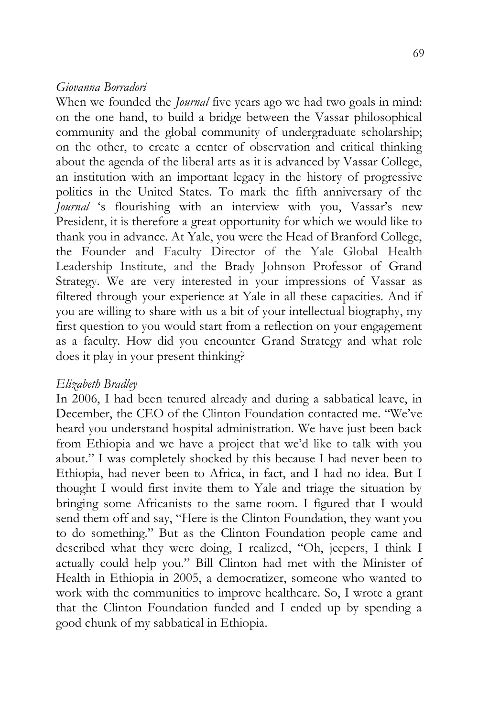#### *Giovanna Borradori*

When we founded the *Journal* five years ago we had two goals in mind: on the one hand, to build a bridge between the Vassar philosophical community and the global community of undergraduate scholarship; on the other, to create a center of observation and critical thinking about the agenda of the liberal arts as it is advanced by Vassar College, an institution with an important legacy in the history of progressive politics in the United States. To mark the fifth anniversary of the *Journal* 's flourishing with an interview with you, Vassar's new President, it is therefore a great opportunity for which we would like to thank you in advance. At Yale, you were the Head of Branford College, the Founder and Faculty Director of the Yale Global Health Leadership Institute, and the Brady Johnson Professor of Grand Strategy. We are very interested in your impressions of Vassar as filtered through your experience at Yale in all these capacities. And if you are willing to share with us a bit of your intellectual biography, my first question to you would start from a reflection on your engagement as a faculty. How did you encounter Grand Strategy and what role does it play in your present thinking?

#### *Elizabeth Bradley*

In 2006, I had been tenured already and during a sabbatical leave, in December, the CEO of the Clinton Foundation contacted me. "We've heard you understand hospital administration. We have just been back from Ethiopia and we have a project that we'd like to talk with you about." I was completely shocked by this because I had never been to Ethiopia, had never been to Africa, in fact, and I had no idea. But I thought I would first invite them to Yale and triage the situation by bringing some Africanists to the same room. I figured that I would send them off and say, "Here is the Clinton Foundation, they want you to do something." But as the Clinton Foundation people came and described what they were doing, I realized, "Oh, jeepers, I think I actually could help you." Bill Clinton had met with the Minister of Health in Ethiopia in 2005, a democratizer, someone who wanted to work with the communities to improve healthcare. So, I wrote a grant that the Clinton Foundation funded and I ended up by spending a good chunk of my sabbatical in Ethiopia.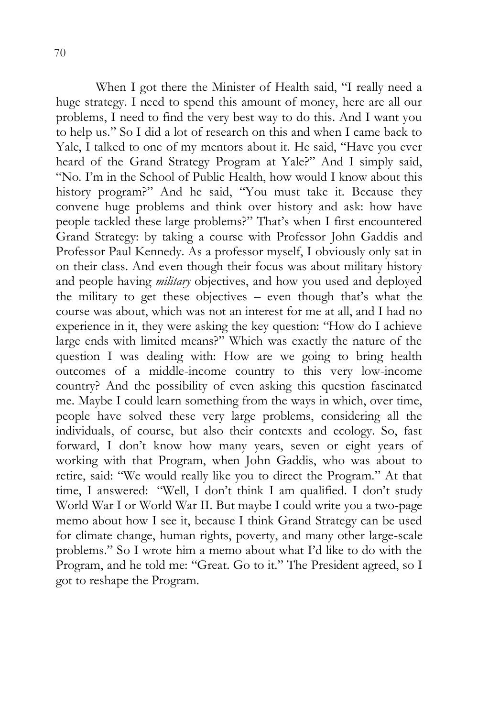When I got there the Minister of Health said, "I really need a huge strategy. I need to spend this amount of money, here are all our problems, I need to find the very best way to do this. And I want you to help us." So I did a lot of research on this and when I came back to Yale, I talked to one of my mentors about it. He said, "Have you ever heard of the Grand Strategy Program at Yale?" And I simply said, "No. I'm in the School of Public Health, how would I know about this history program?" And he said, "You must take it. Because they convene huge problems and think over history and ask: how have people tackled these large problems?" That's when I first encountered Grand Strategy: by taking a course with Professor John Gaddis and Professor Paul Kennedy. As a professor myself, I obviously only sat in on their class. And even though their focus was about military history and people having *military* objectives, and how you used and deployed the military to get these objectives – even though that's what the course was about, which was not an interest for me at all, and I had no experience in it, they were asking the key question: "How do I achieve large ends with limited means?" Which was exactly the nature of the question I was dealing with: How are we going to bring health outcomes of a middle-income country to this very low-income country? And the possibility of even asking this question fascinated me. Maybe I could learn something from the ways in which, over time, people have solved these very large problems, considering all the individuals, of course, but also their contexts and ecology. So, fast forward, I don't know how many years, seven or eight years of working with that Program, when John Gaddis, who was about to retire, said: "We would really like you to direct the Program." At that time, I answered: "Well, I don't think I am qualified. I don't study World War I or World War II. But maybe I could write you a two-page memo about how I see it, because I think Grand Strategy can be used for climate change, human rights, poverty, and many other large-scale problems." So I wrote him a memo about what I'd like to do with the Program, and he told me: "Great. Go to it." The President agreed, so I got to reshape the Program.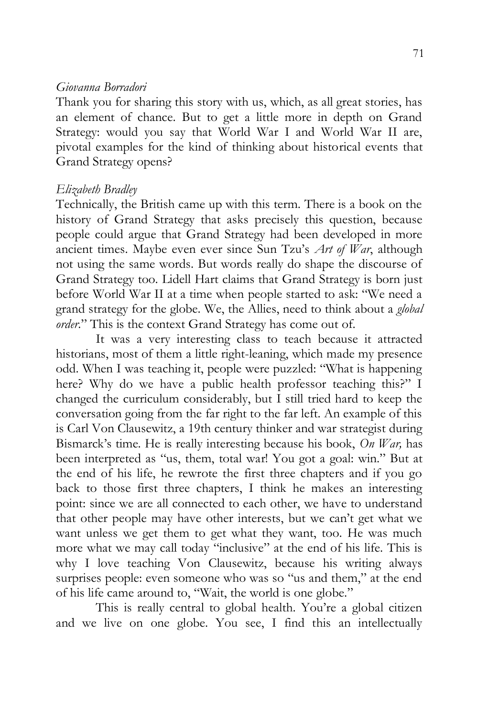#### *Giovanna Borradori*

Thank you for sharing this story with us, which, as all great stories, has an element of chance. But to get a little more in depth on Grand Strategy: would you say that World War I and World War II are, pivotal examples for the kind of thinking about historical events that Grand Strategy opens?

### *Elizabeth Bradley*

Technically, the British came up with this term. There is a book on the history of Grand Strategy that asks precisely this question, because people could argue that Grand Strategy had been developed in more ancient times. Maybe even ever since Sun Tzu's *Art of War*, although not using the same words. But words really do shape the discourse of Grand Strategy too. Lidell Hart claims that Grand Strategy is born just before World War II at a time when people started to ask: "We need a grand strategy for the globe. We, the Allies, need to think about a *global order*." This is the context Grand Strategy has come out of.

It was a very interesting class to teach because it attracted historians, most of them a little right-leaning, which made my presence odd. When I was teaching it, people were puzzled: "What is happening here? Why do we have a public health professor teaching this?" I changed the curriculum considerably, but I still tried hard to keep the conversation going from the far right to the far left. An example of this is Carl Von Clausewitz, a 19th century thinker and war strategist during Bismarck's time. He is really interesting because his book, *On War,* has been interpreted as "us, them, total war! You got a goal: win." But at the end of his life, he rewrote the first three chapters and if you go back to those first three chapters, I think he makes an interesting point: since we are all connected to each other, we have to understand that other people may have other interests, but we can't get what we want unless we get them to get what they want, too. He was much more what we may call today "inclusive" at the end of his life. This is why I love teaching Von Clausewitz, because his writing always surprises people: even someone who was so "us and them," at the end of his life came around to, "Wait, the world is one globe."

This is really central to global health. You're a global citizen and we live on one globe. You see, I find this an intellectually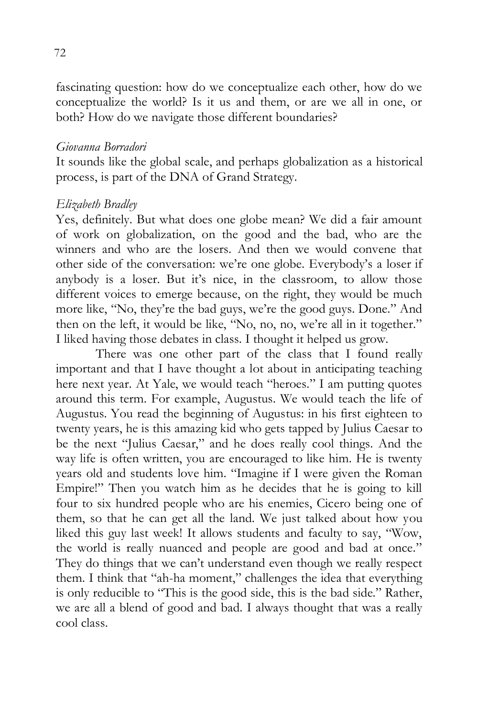fascinating question: how do we conceptualize each other, how do we conceptualize the world? Is it us and them, or are we all in one, or both? How do we navigate those different boundaries?

#### *Giovanna Borradori*

It sounds like the global scale, and perhaps globalization as a historical process, is part of the DNA of Grand Strategy.

### *Elizabeth Bradley*

Yes, definitely. But what does one globe mean? We did a fair amount of work on globalization, on the good and the bad, who are the winners and who are the losers. And then we would convene that other side of the conversation: we're one globe. Everybody's a loser if anybody is a loser. But it's nice, in the classroom, to allow those different voices to emerge because, on the right, they would be much more like, "No, they're the bad guys, we're the good guys. Done." And then on the left, it would be like, "No, no, no, we're all in it together." I liked having those debates in class. I thought it helped us grow.

There was one other part of the class that I found really important and that I have thought a lot about in anticipating teaching here next year. At Yale, we would teach "heroes." I am putting quotes around this term. For example, Augustus. We would teach the life of Augustus. You read the beginning of Augustus: in his first eighteen to twenty years, he is this amazing kid who gets tapped by Julius Caesar to be the next "Julius Caesar," and he does really cool things. And the way life is often written, you are encouraged to like him. He is twenty years old and students love him. "Imagine if I were given the Roman Empire!" Then you watch him as he decides that he is going to kill four to six hundred people who are his enemies, Cicero being one of them, so that he can get all the land. We just talked about how you liked this guy last week! It allows students and faculty to say, "Wow, the world is really nuanced and people are good and bad at once." They do things that we can't understand even though we really respect them. I think that "ah-ha moment," challenges the idea that everything is only reducible to "This is the good side, this is the bad side." Rather, we are all a blend of good and bad. I always thought that was a really cool class.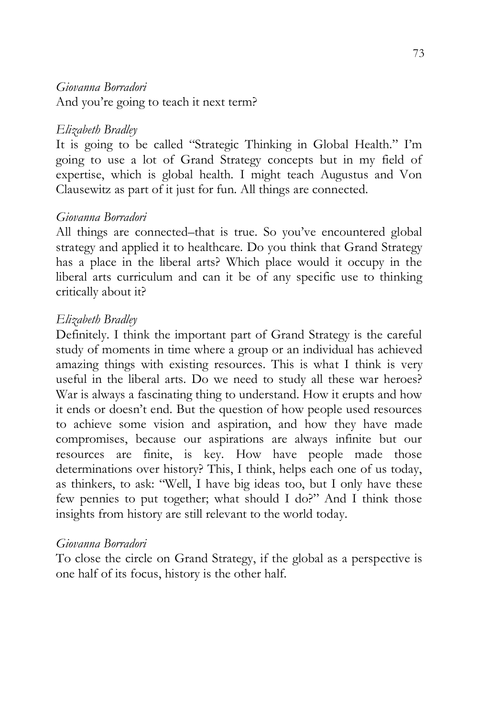## *Giovanna Borradori*

And you're going to teach it next term?

## *Elizabeth Bradley*

It is going to be called "Strategic Thinking in Global Health." I'm going to use a lot of Grand Strategy concepts but in my field of expertise, which is global health. I might teach Augustus and Von Clausewitz as part of it just for fun. All things are connected.

## *Giovanna Borradori*

All things are connected–that is true. So you've encountered global strategy and applied it to healthcare. Do you think that Grand Strategy has a place in the liberal arts? Which place would it occupy in the liberal arts curriculum and can it be of any specific use to thinking critically about it?

## *Elizabeth Bradley*

Definitely. I think the important part of Grand Strategy is the careful study of moments in time where a group or an individual has achieved amazing things with existing resources. This is what I think is very useful in the liberal arts. Do we need to study all these war heroes? War is always a fascinating thing to understand. How it erupts and how it ends or doesn't end. But the question of how people used resources to achieve some vision and aspiration, and how they have made compromises, because our aspirations are always infinite but our resources are finite, is key. How have people made those determinations over history? This, I think, helps each one of us today, as thinkers, to ask: "Well, I have big ideas too, but I only have these few pennies to put together; what should I do?" And I think those insights from history are still relevant to the world today.

#### *Giovanna Borradori*

To close the circle on Grand Strategy, if the global as a perspective is one half of its focus, history is the other half.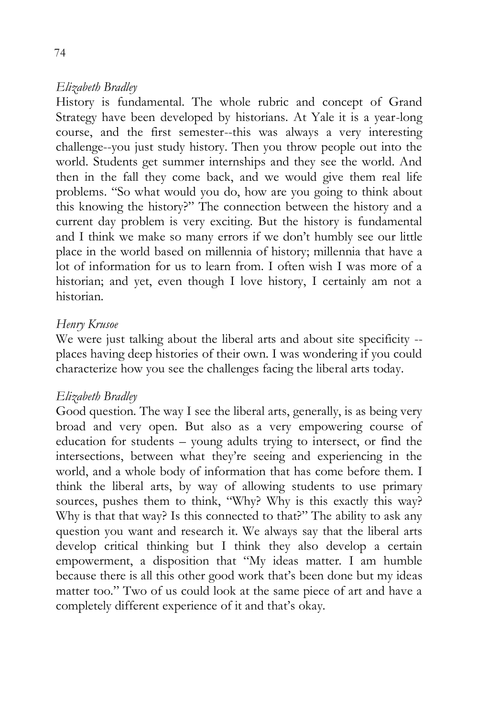History is fundamental. The whole rubric and concept of Grand Strategy have been developed by historians. At Yale it is a year-long course, and the first semester--this was always a very interesting challenge--you just study history. Then you throw people out into the world. Students get summer internships and they see the world. And then in the fall they come back, and we would give them real life problems. "So what would you do, how are you going to think about this knowing the history?" The connection between the history and a current day problem is very exciting. But the history is fundamental and I think we make so many errors if we don't humbly see our little place in the world based on millennia of history; millennia that have a lot of information for us to learn from. I often wish I was more of a historian; and yet, even though I love history, I certainly am not a historian.

## *Henry Krusoe*

We were just talking about the liberal arts and about site specificity - places having deep histories of their own. I was wondering if you could characterize how you see the challenges facing the liberal arts today.

#### *Elizabeth Bradley*

Good question. The way I see the liberal arts, generally, is as being very broad and very open. But also as a very empowering course of education for students – young adults trying to intersect, or find the intersections, between what they're seeing and experiencing in the world, and a whole body of information that has come before them. I think the liberal arts, by way of allowing students to use primary sources, pushes them to think, "Why? Why is this exactly this way? Why is that that way? Is this connected to that?" The ability to ask any question you want and research it. We always say that the liberal arts develop critical thinking but I think they also develop a certain empowerment, a disposition that "My ideas matter. I am humble because there is all this other good work that's been done but my ideas matter too." Two of us could look at the same piece of art and have a completely different experience of it and that's okay.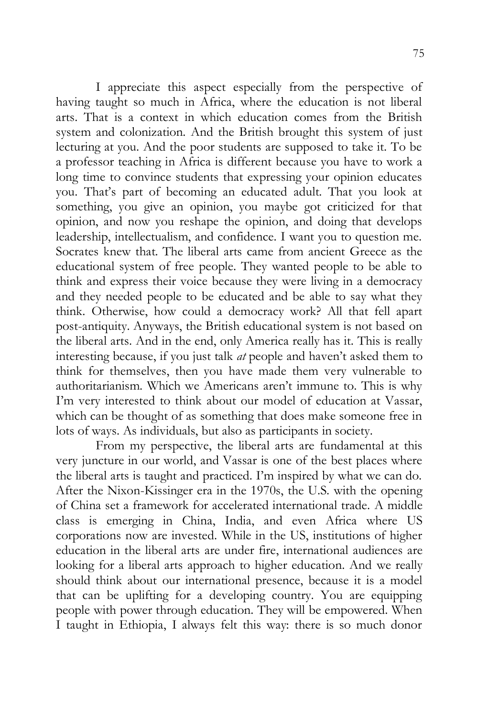I appreciate this aspect especially from the perspective of having taught so much in Africa, where the education is not liberal arts. That is a context in which education comes from the British system and colonization. And the British brought this system of just lecturing at you. And the poor students are supposed to take it. To be a professor teaching in Africa is different because you have to work a long time to convince students that expressing your opinion educates you. That's part of becoming an educated adult. That you look at something, you give an opinion, you maybe got criticized for that opinion, and now you reshape the opinion, and doing that develops leadership, intellectualism, and confidence. I want you to question me. Socrates knew that. The liberal arts came from ancient Greece as the educational system of free people. They wanted people to be able to think and express their voice because they were living in a democracy and they needed people to be educated and be able to say what they think. Otherwise, how could a democracy work? All that fell apart post-antiquity. Anyways, the British educational system is not based on the liberal arts. And in the end, only America really has it. This is really interesting because, if you just talk *at* people and haven't asked them to think for themselves, then you have made them very vulnerable to authoritarianism. Which we Americans aren't immune to. This is why I'm very interested to think about our model of education at Vassar, which can be thought of as something that does make someone free in lots of ways. As individuals, but also as participants in society.

From my perspective, the liberal arts are fundamental at this very juncture in our world, and Vassar is one of the best places where the liberal arts is taught and practiced. I'm inspired by what we can do. After the Nixon-Kissinger era in the 1970s, the U.S. with the opening of China set a framework for accelerated international trade. A middle class is emerging in China, India, and even Africa where US corporations now are invested. While in the US, institutions of higher education in the liberal arts are under fire, international audiences are looking for a liberal arts approach to higher education. And we really should think about our international presence, because it is a model that can be uplifting for a developing country. You are equipping people with power through education. They will be empowered. When I taught in Ethiopia, I always felt this way: there is so much donor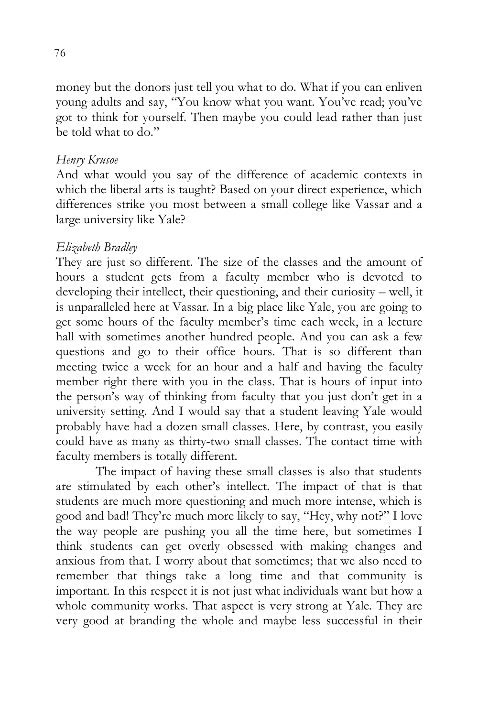money but the donors just tell you what to do. What if you can enliven young adults and say, "You know what you want. You've read; you've got to think for yourself. Then maybe you could lead rather than just be told what to do."

### *Henry Krusoe*

And what would you say of the difference of academic contexts in which the liberal arts is taught? Based on your direct experience, which differences strike you most between a small college like Vassar and a large university like Yale?

## *Elizabeth Bradley*

They are just so different. The size of the classes and the amount of hours a student gets from a faculty member who is devoted to developing their intellect, their questioning, and their curiosity – well, it is unparalleled here at Vassar. In a big place like Yale, you are going to get some hours of the faculty member's time each week, in a lecture hall with sometimes another hundred people. And you can ask a few questions and go to their office hours. That is so different than meeting twice a week for an hour and a half and having the faculty member right there with you in the class. That is hours of input into the person's way of thinking from faculty that you just don't get in a university setting. And I would say that a student leaving Yale would probably have had a dozen small classes. Here, by contrast, you easily could have as many as thirty-two small classes. The contact time with faculty members is totally different.

The impact of having these small classes is also that students are stimulated by each other's intellect. The impact of that is that students are much more questioning and much more intense, which is good and bad! They're much more likely to say, "Hey, why not?" I love the way people are pushing you all the time here, but sometimes I think students can get overly obsessed with making changes and anxious from that. I worry about that sometimes; that we also need to remember that things take a long time and that community is important. In this respect it is not just what individuals want but how a whole community works. That aspect is very strong at Yale. They are very good at branding the whole and maybe less successful in their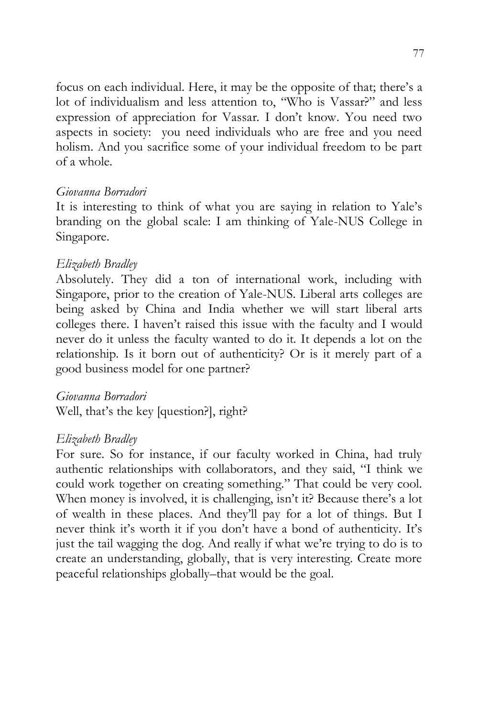focus on each individual. Here, it may be the opposite of that; there's a lot of individualism and less attention to, "Who is Vassar?" and less expression of appreciation for Vassar. I don't know. You need two aspects in society: you need individuals who are free and you need holism. And you sacrifice some of your individual freedom to be part of a whole.

#### *Giovanna Borradori*

It is interesting to think of what you are saying in relation to Yale's branding on the global scale: I am thinking of Yale-NUS College in Singapore.

## *Elizabeth Bradley*

Absolutely. They did a ton of international work, including with Singapore, prior to the creation of Yale-NUS. Liberal arts colleges are being asked by China and India whether we will start liberal arts colleges there. I haven't raised this issue with the faculty and I would never do it unless the faculty wanted to do it. It depends a lot on the relationship. Is it born out of authenticity? Or is it merely part of a good business model for one partner?

## *Giovanna Borradori*

Well, that's the key [question?], right?

## *Elizabeth Bradley*

For sure. So for instance, if our faculty worked in China, had truly authentic relationships with collaborators, and they said, "I think we could work together on creating something." That could be very cool. When money is involved, it is challenging, isn't it? Because there's a lot of wealth in these places. And they'll pay for a lot of things. But I never think it's worth it if you don't have a bond of authenticity. It's just the tail wagging the dog. And really if what we're trying to do is to create an understanding, globally, that is very interesting. Create more peaceful relationships globally–that would be the goal.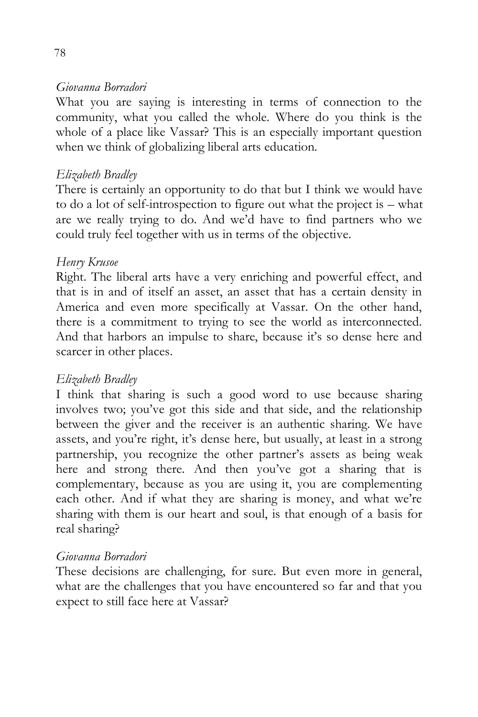#### *Giovanna Borradori*

What you are saying is interesting in terms of connection to the community, what you called the whole. Where do you think is the whole of a place like Vassar? This is an especially important question when we think of globalizing liberal arts education.

## *Elizabeth Bradley*

There is certainly an opportunity to do that but I think we would have to do a lot of self-introspection to figure out what the project is – what are we really trying to do. And we'd have to find partners who we could truly feel together with us in terms of the objective.

## *Henry Krusoe*

Right. The liberal arts have a very enriching and powerful effect, and that is in and of itself an asset, an asset that has a certain density in America and even more specifically at Vassar. On the other hand, there is a commitment to trying to see the world as interconnected. And that harbors an impulse to share, because it's so dense here and scarcer in other places.

## *Elizabeth Bradley*

I think that sharing is such a good word to use because sharing involves two; you've got this side and that side, and the relationship between the giver and the receiver is an authentic sharing. We have assets, and you're right, it's dense here, but usually, at least in a strong partnership, you recognize the other partner's assets as being weak here and strong there. And then you've got a sharing that is complementary, because as you are using it, you are complementing each other. And if what they are sharing is money, and what we're sharing with them is our heart and soul, is that enough of a basis for real sharing?

#### *Giovanna Borradori*

These decisions are challenging, for sure. But even more in general, what are the challenges that you have encountered so far and that you expect to still face here at Vassar?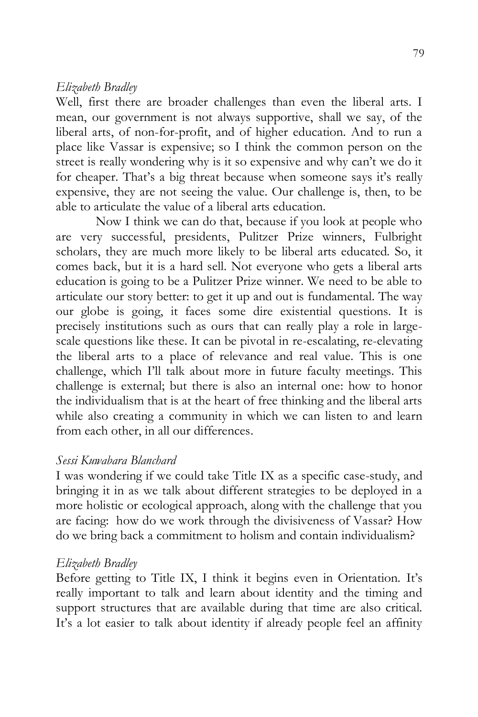Well, first there are broader challenges than even the liberal arts. I mean, our government is not always supportive, shall we say, of the liberal arts, of non-for-profit, and of higher education. And to run a place like Vassar is expensive; so I think the common person on the street is really wondering why is it so expensive and why can't we do it for cheaper. That's a big threat because when someone says it's really expensive, they are not seeing the value. Our challenge is, then, to be able to articulate the value of a liberal arts education.

Now I think we can do that, because if you look at people who are very successful, presidents, Pulitzer Prize winners, Fulbright scholars, they are much more likely to be liberal arts educated. So, it comes back, but it is a hard sell. Not everyone who gets a liberal arts education is going to be a Pulitzer Prize winner. We need to be able to articulate our story better: to get it up and out is fundamental. The way our globe is going, it faces some dire existential questions. It is precisely institutions such as ours that can really play a role in largescale questions like these. It can be pivotal in re-escalating, re-elevating the liberal arts to a place of relevance and real value. This is one challenge, which I'll talk about more in future faculty meetings. This challenge is external; but there is also an internal one: how to honor the individualism that is at the heart of free thinking and the liberal arts while also creating a community in which we can listen to and learn from each other, in all our differences.

#### *Sessi Kuwabara Blanchard*

I was wondering if we could take Title IX as a specific case-study, and bringing it in as we talk about different strategies to be deployed in a more holistic or ecological approach, along with the challenge that you are facing: how do we work through the divisiveness of Vassar? How do we bring back a commitment to holism and contain individualism?

#### *Elizabeth Bradley*

Before getting to Title IX, I think it begins even in Orientation. It's really important to talk and learn about identity and the timing and support structures that are available during that time are also critical. It's a lot easier to talk about identity if already people feel an affinity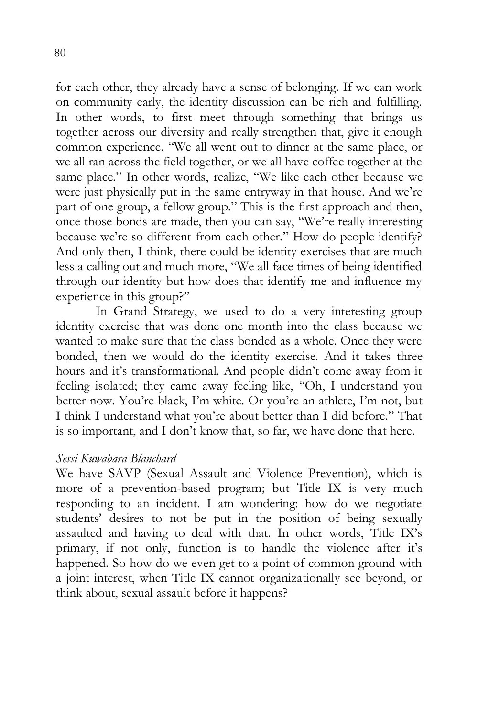for each other, they already have a sense of belonging. If we can work on community early, the identity discussion can be rich and fulfilling. In other words, to first meet through something that brings us together across our diversity and really strengthen that, give it enough common experience. "We all went out to dinner at the same place, or we all ran across the field together, or we all have coffee together at the same place." In other words, realize, "We like each other because we were just physically put in the same entryway in that house. And we're part of one group, a fellow group." This is the first approach and then, once those bonds are made, then you can say, "We're really interesting because we're so different from each other." How do people identify? And only then, I think, there could be identity exercises that are much less a calling out and much more, "We all face times of being identified through our identity but how does that identify me and influence my experience in this group?"

In Grand Strategy, we used to do a very interesting group identity exercise that was done one month into the class because we wanted to make sure that the class bonded as a whole. Once they were bonded, then we would do the identity exercise. And it takes three hours and it's transformational. And people didn't come away from it feeling isolated; they came away feeling like, "Oh, I understand you better now. You're black, I'm white. Or you're an athlete, I'm not, but I think I understand what you're about better than I did before." That is so important, and I don't know that, so far, we have done that here.

#### *Sessi Kuwabara Blanchard*

We have SAVP (Sexual Assault and Violence Prevention), which is more of a prevention-based program; but Title IX is very much responding to an incident. I am wondering: how do we negotiate students' desires to not be put in the position of being sexually assaulted and having to deal with that. In other words, Title IX's primary, if not only, function is to handle the violence after it's happened. So how do we even get to a point of common ground with a joint interest, when Title IX cannot organizationally see beyond, or think about, sexual assault before it happens?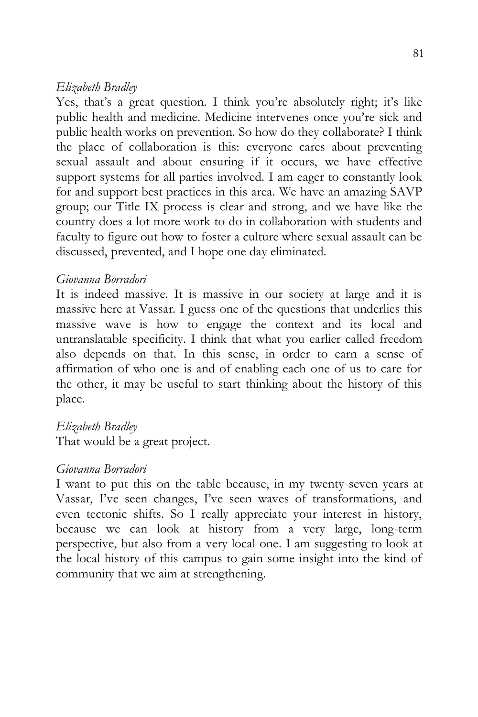Yes, that's a great question. I think you're absolutely right; it's like public health and medicine. Medicine intervenes once you're sick and public health works on prevention. So how do they collaborate? I think the place of collaboration is this: everyone cares about preventing sexual assault and about ensuring if it occurs, we have effective support systems for all parties involved. I am eager to constantly look for and support best practices in this area. We have an amazing SAVP group; our Title IX process is clear and strong, and we have like the country does a lot more work to do in collaboration with students and faculty to figure out how to foster a culture where sexual assault can be discussed, prevented, and I hope one day eliminated.

#### *Giovanna Borradori*

It is indeed massive. It is massive in our society at large and it is massive here at Vassar. I guess one of the questions that underlies this massive wave is how to engage the context and its local and untranslatable specificity. I think that what you earlier called freedom also depends on that. In this sense, in order to earn a sense of affirmation of who one is and of enabling each one of us to care for the other, it may be useful to start thinking about the history of this place.

#### *Elizabeth Bradley*

That would be a great project.

#### *Giovanna Borradori*

I want to put this on the table because, in my twenty-seven years at Vassar, I've seen changes, I've seen waves of transformations, and even tectonic shifts. So I really appreciate your interest in history, because we can look at history from a very large, long-term perspective, but also from a very local one. I am suggesting to look at the local history of this campus to gain some insight into the kind of community that we aim at strengthening.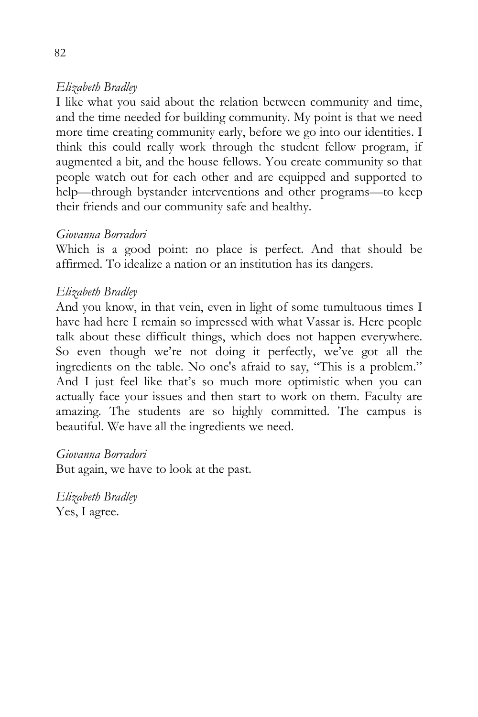I like what you said about the relation between community and time, and the time needed for building community. My point is that we need more time creating community early, before we go into our identities. I think this could really work through the student fellow program, if augmented a bit, and the house fellows. You create community so that people watch out for each other and are equipped and supported to help—through bystander interventions and other programs—to keep their friends and our community safe and healthy.

## *Giovanna Borradori*

Which is a good point: no place is perfect. And that should be affirmed. To idealize a nation or an institution has its dangers.

## *Elizabeth Bradley*

And you know, in that vein, even in light of some tumultuous times I have had here I remain so impressed with what Vassar is. Here people talk about these difficult things, which does not happen everywhere. So even though we're not doing it perfectly, we've got all the ingredients on the table. No one's afraid to say, "This is a problem." And I just feel like that's so much more optimistic when you can actually face your issues and then start to work on them. Faculty are amazing. The students are so highly committed. The campus is beautiful. We have all the ingredients we need.

#### *Giovanna Borradori*

But again, we have to look at the past.

*Elizabeth Bradley* Yes, I agree.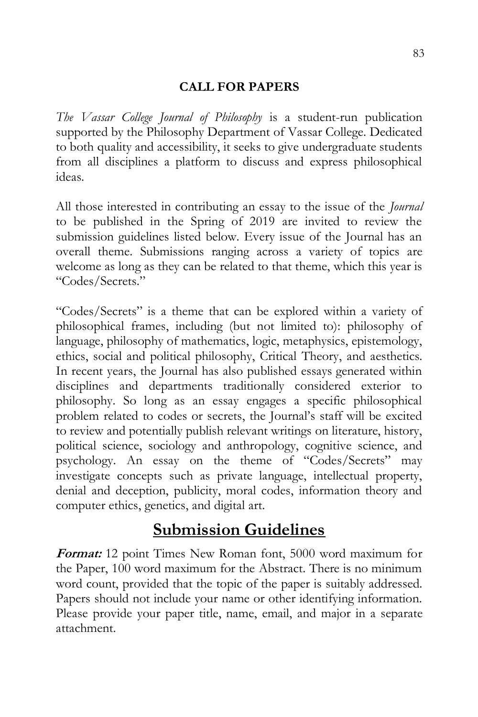## **CALL FOR PAPERS**

*The Vassar College Journal of Philosophy* is a student-run publication supported by the Philosophy Department of Vassar College. Dedicated to both quality and accessibility, it seeks to give undergraduate students from all disciplines a platform to discuss and express philosophical ideas.

All those interested in contributing an essay to the issue of the *Journal* to be published in the Spring of 2019 are invited to review the submission guidelines listed below. Every issue of the Journal has an overall theme. Submissions ranging across a variety of topics are welcome as long as they can be related to that theme, which this year is "Codes/Secrets."

"Codes/Secrets" is a theme that can be explored within a variety of philosophical frames, including (but not limited to): philosophy of language, philosophy of mathematics, logic, metaphysics, epistemology, ethics, social and political philosophy, Critical Theory, and aesthetics. In recent years, the Journal has also published essays generated within disciplines and departments traditionally considered exterior to philosophy. So long as an essay engages a specific philosophical problem related to codes or secrets, the Journal's staff will be excited to review and potentially publish relevant writings on literature, history, political science, sociology and anthropology, cognitive science, and psychology. An essay on the theme of "Codes/Secrets" may investigate concepts such as private language, intellectual property, denial and deception, publicity, moral codes, information theory and computer ethics, genetics, and digital art.

# **Submission Guidelines**

**Format:** 12 point Times New Roman font, 5000 word maximum for the Paper, 100 word maximum for the Abstract. There is no minimum word count, provided that the topic of the paper is suitably addressed. Papers should not include your name or other identifying information. Please provide your paper title, name, email, and major in a separate attachment.